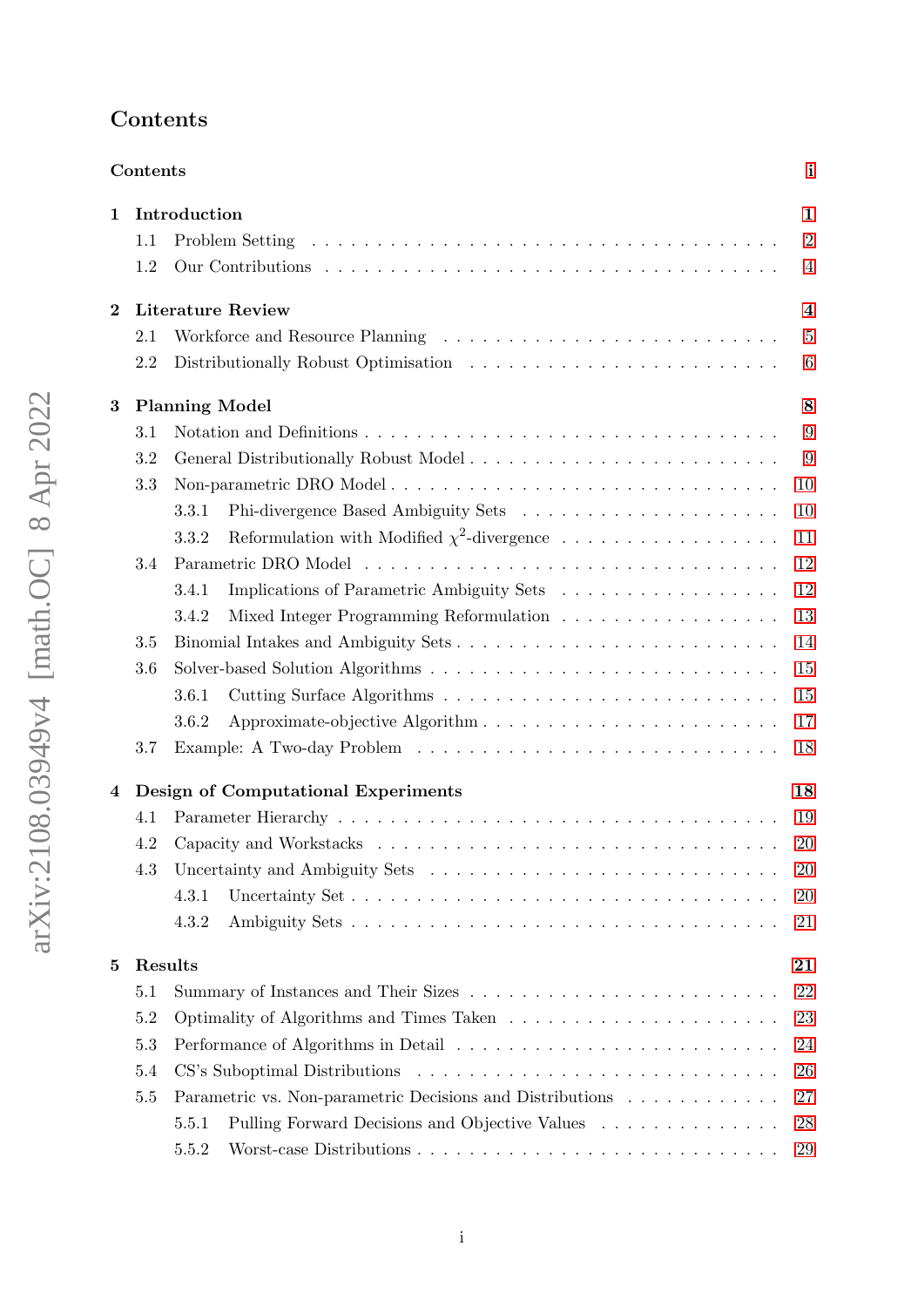# <span id="page-0-0"></span>Contents

|          | Contents |                                                           | $\mathbf{i}$            |
|----------|----------|-----------------------------------------------------------|-------------------------|
| 1        |          | Introduction                                              | $\mathbf{1}$            |
|          | 1.1      |                                                           | $\overline{2}$          |
|          | 1.2      |                                                           | $\overline{4}$          |
| $\bf{2}$ |          | <b>Literature Review</b>                                  | $\overline{\mathbf{4}}$ |
|          | 2.1      |                                                           | $\overline{5}$          |
|          | 2.2      |                                                           | $6\phantom{.}6$         |
| 3        |          | <b>Planning Model</b>                                     | 8                       |
|          | 3.1      |                                                           | 9                       |
|          | 3.2      |                                                           | 9                       |
|          | 3.3      |                                                           | 10                      |
|          |          | 3.3.1                                                     | 10                      |
|          |          | Reformulation with Modified $\chi^2$ -divergence<br>3.3.2 | 11                      |
|          | 3.4      |                                                           | 12                      |
|          |          | 3.4.1                                                     | 12                      |
|          |          | Mixed Integer Programming Reformulation<br>3.4.2          | 13                      |
|          | 3.5      | Binomial Intakes and Ambiguity Sets                       | 14                      |
|          | 3.6      |                                                           | 15                      |
|          |          | 3.6.1                                                     | 15                      |
|          |          | 3.6.2                                                     | 17                      |
|          | 3.7      |                                                           | 18                      |
| 4        |          | Design of Computational Experiments                       | 18                      |
|          | 4.1      |                                                           | 19                      |
|          | 4.2      |                                                           | 20                      |
|          | 4.3      |                                                           | 20                      |
|          |          | 4.3.1<br>Uncertainty Set                                  | 20                      |
|          |          | 4.3.2                                                     | 21                      |
| 5        |          | Results                                                   | 21                      |
|          | 5.1      |                                                           | 22                      |
|          | $5.2\,$  |                                                           | 23                      |
|          | 5.3      |                                                           | 24                      |
|          | 5.4      |                                                           | 26                      |
|          | 5.5      | Parametric vs. Non-parametric Decisions and Distributions | 27                      |
|          |          | Pulling Forward Decisions and Objective Values<br>5.5.1   | 28                      |
|          |          | 5.5.2                                                     | 29                      |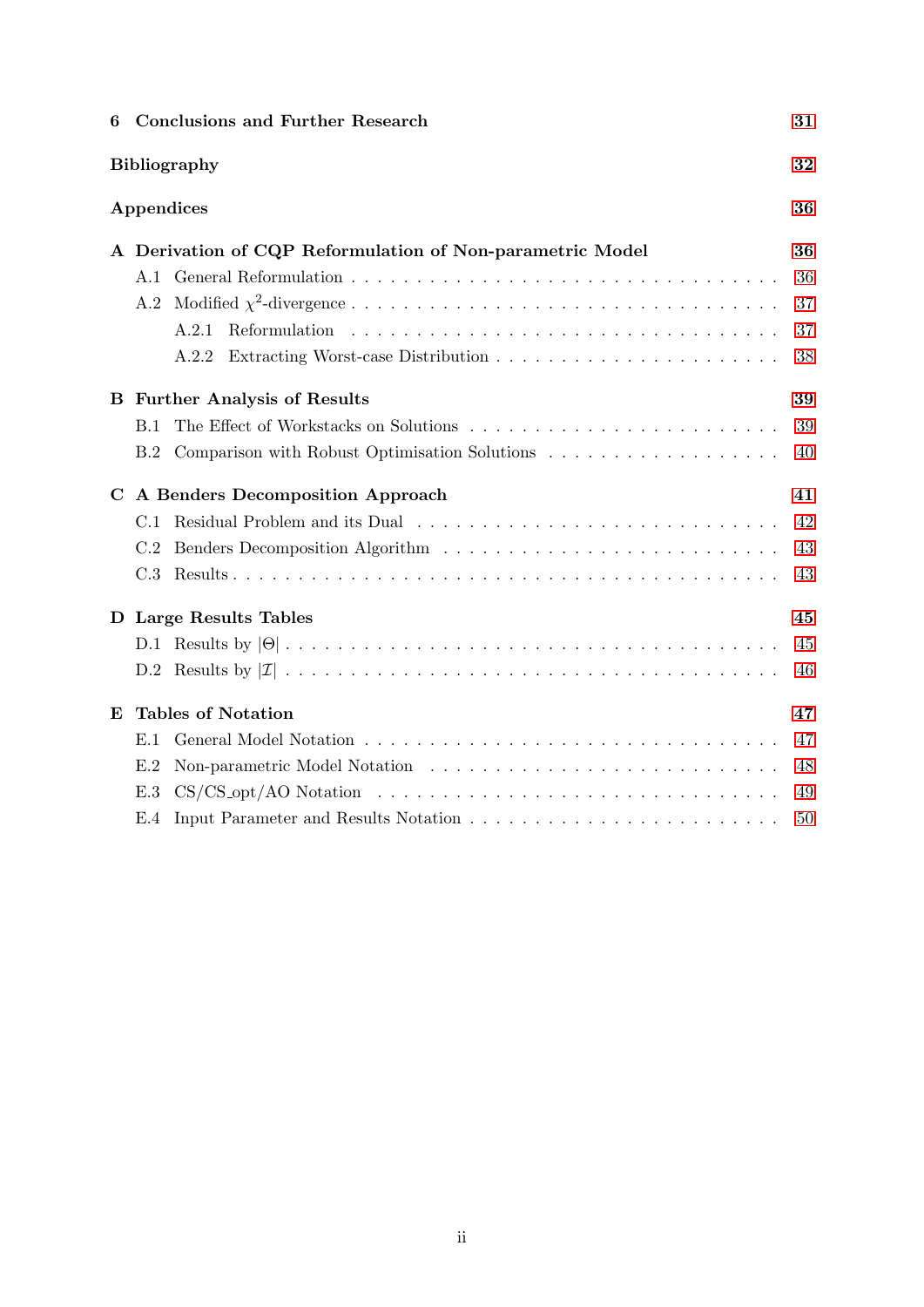| 6 |     | <b>Conclusions and Further Research</b>                   | 31 |
|---|-----|-----------------------------------------------------------|----|
|   |     | <b>Bibliography</b>                                       | 32 |
|   |     | Appendices                                                | 36 |
|   |     | A Derivation of CQP Reformulation of Non-parametric Model | 36 |
|   |     |                                                           | 36 |
|   |     |                                                           | 37 |
|   |     | A.2.1                                                     | 37 |
|   |     | A.2.2                                                     | 38 |
|   |     | <b>B</b> Further Analysis of Results                      | 39 |
|   | B.1 |                                                           | 39 |
|   | B.2 |                                                           | 40 |
| C |     | A Benders Decomposition Approach                          | 41 |
|   | C.1 |                                                           | 42 |
|   | C.2 |                                                           | 43 |
|   |     |                                                           | 43 |
| D |     | Large Results Tables                                      | 45 |
|   |     |                                                           | 45 |
|   |     |                                                           | 46 |
| E |     | <b>Tables of Notation</b>                                 | 47 |
|   | E.1 |                                                           | 47 |
|   | E.2 |                                                           | 48 |
|   | E.3 |                                                           | 49 |
|   | E.4 |                                                           | 50 |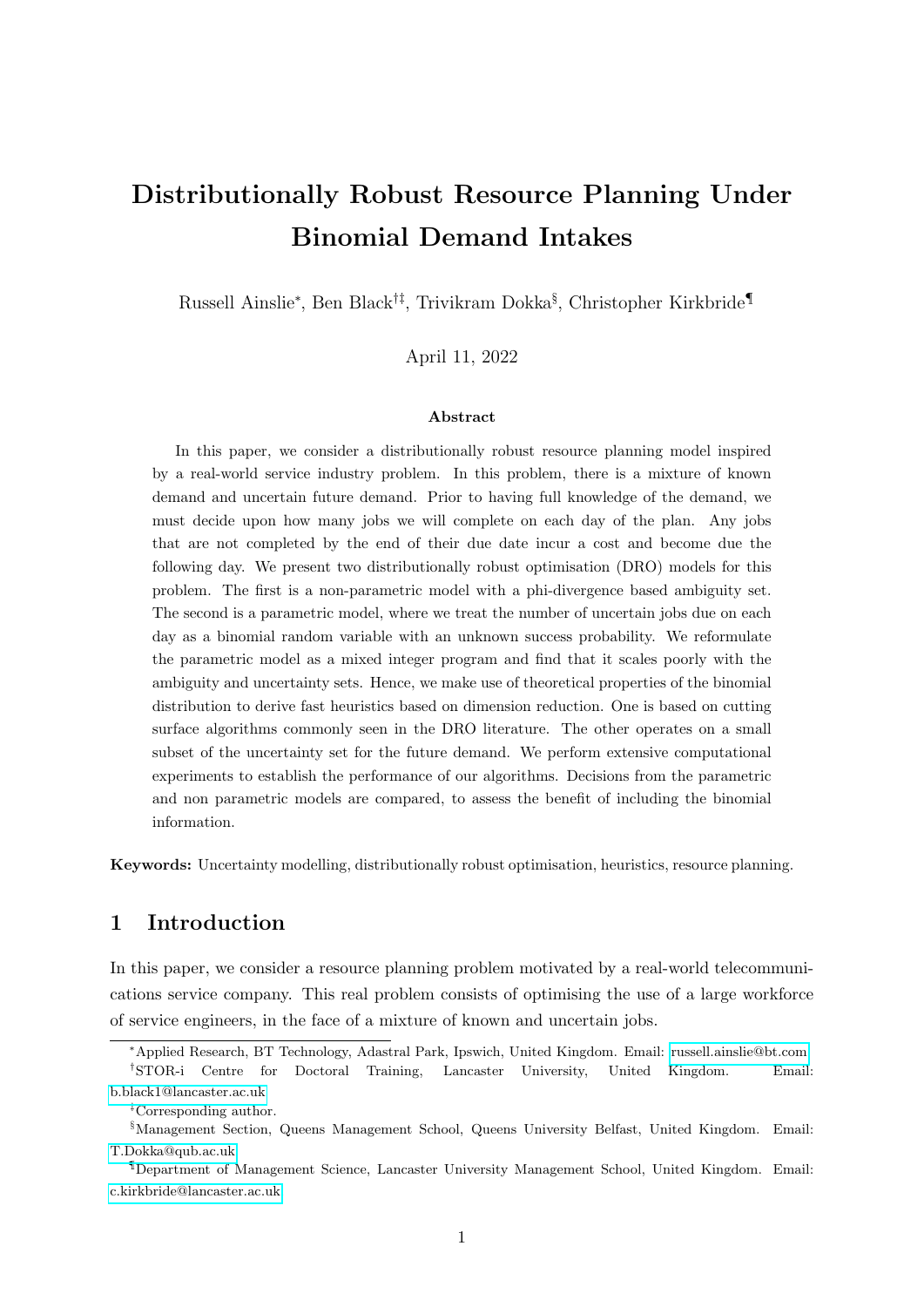# Distributionally Robust Resource Planning Under Binomial Demand Intakes

Russell Ainslie<sup>∗</sup> , Ben Black†‡, Trivikram Dokka§ , Christopher Kirkbride¶

April 11, 2022

#### Abstract

In this paper, we consider a distributionally robust resource planning model inspired by a real-world service industry problem. In this problem, there is a mixture of known demand and uncertain future demand. Prior to having full knowledge of the demand, we must decide upon how many jobs we will complete on each day of the plan. Any jobs that are not completed by the end of their due date incur a cost and become due the following day. We present two distributionally robust optimisation (DRO) models for this problem. The first is a non-parametric model with a phi-divergence based ambiguity set. The second is a parametric model, where we treat the number of uncertain jobs due on each day as a binomial random variable with an unknown success probability. We reformulate the parametric model as a mixed integer program and find that it scales poorly with the ambiguity and uncertainty sets. Hence, we make use of theoretical properties of the binomial distribution to derive fast heuristics based on dimension reduction. One is based on cutting surface algorithms commonly seen in the DRO literature. The other operates on a small subset of the uncertainty set for the future demand. We perform extensive computational experiments to establish the performance of our algorithms. Decisions from the parametric and non parametric models are compared, to assess the benefit of including the binomial information.

Keywords: Uncertainty modelling, distributionally robust optimisation, heuristics, resource planning.

## <span id="page-2-0"></span>1 Introduction

In this paper, we consider a resource planning problem motivated by a real-world telecommunications service company. This real problem consists of optimising the use of a large workforce of service engineers, in the face of a mixture of known and uncertain jobs.

<sup>∗</sup>Applied Research, BT Technology, Adastral Park, Ipswich, United Kingdom. Email: [russell.ainslie@bt.com](mailto:russell.ainslie@bt.com) †STOR-i Centre for Doctoral Training, Lancaster University, United Kingdom. Email:

[b.black1@lancaster.ac.uk](mailto:b.black1@lancaster.ac.uk)

<sup>‡</sup>Corresponding author.

<sup>§</sup>Management Section, Queens Management School, Queens University Belfast, United Kingdom. Email: [T.Dokka@qub.ac.uk](mailto:T.Dokka@qub.ac.uk)

<sup>¶</sup>Department of Management Science, Lancaster University Management School, United Kingdom. Email: [c.kirkbride@lancaster.ac.uk.](mailto:c.kirkbride@lancaster.ac.uk)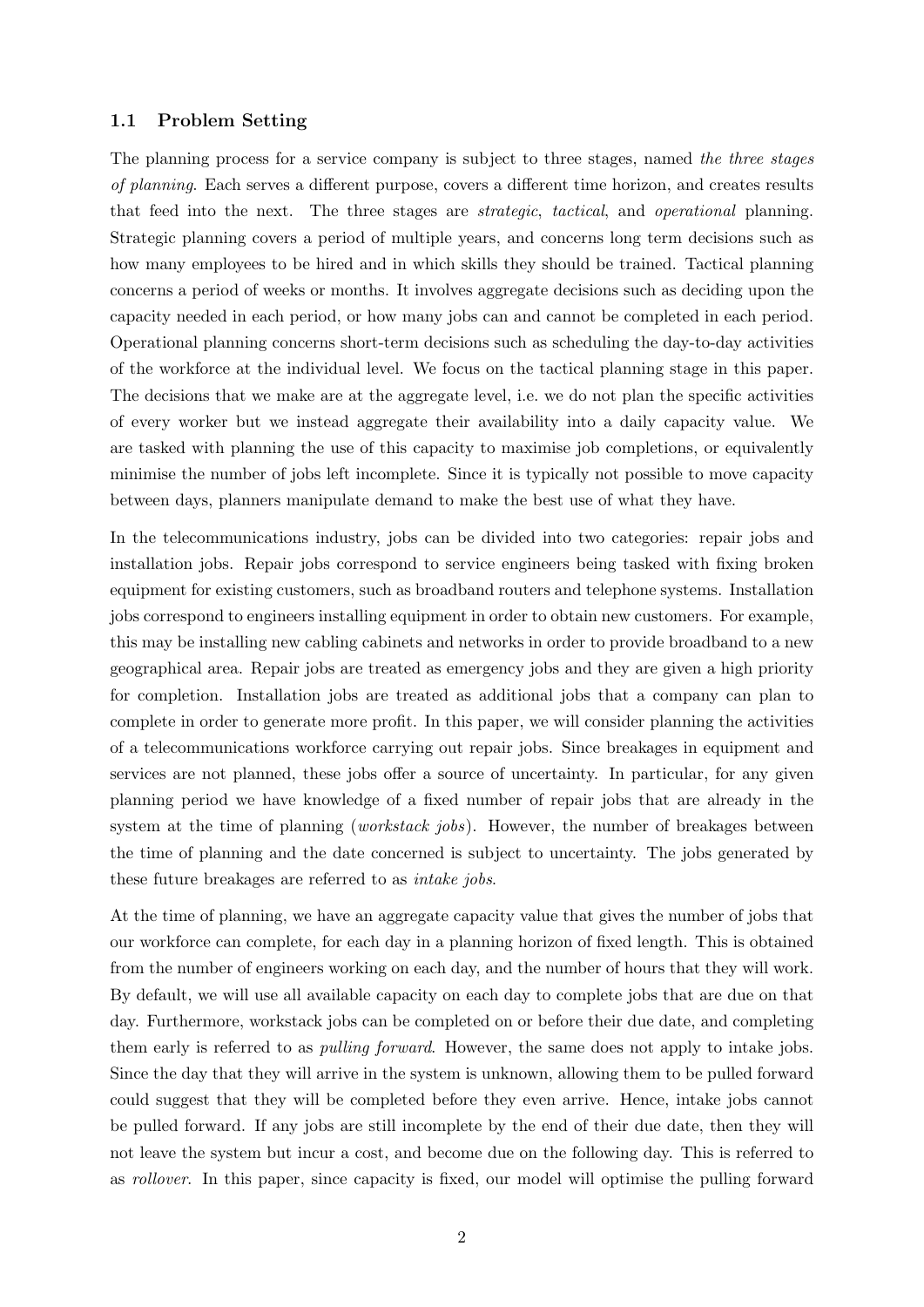#### <span id="page-3-0"></span>1.1 Problem Setting

The planning process for a service company is subject to three stages, named the three stages of planning. Each serves a different purpose, covers a different time horizon, and creates results that feed into the next. The three stages are strategic, tactical, and operational planning. Strategic planning covers a period of multiple years, and concerns long term decisions such as how many employees to be hired and in which skills they should be trained. Tactical planning concerns a period of weeks or months. It involves aggregate decisions such as deciding upon the capacity needed in each period, or how many jobs can and cannot be completed in each period. Operational planning concerns short-term decisions such as scheduling the day-to-day activities of the workforce at the individual level. We focus on the tactical planning stage in this paper. The decisions that we make are at the aggregate level, i.e. we do not plan the specific activities of every worker but we instead aggregate their availability into a daily capacity value. We are tasked with planning the use of this capacity to maximise job completions, or equivalently minimise the number of jobs left incomplete. Since it is typically not possible to move capacity between days, planners manipulate demand to make the best use of what they have.

In the telecommunications industry, jobs can be divided into two categories: repair jobs and installation jobs. Repair jobs correspond to service engineers being tasked with fixing broken equipment for existing customers, such as broadband routers and telephone systems. Installation jobs correspond to engineers installing equipment in order to obtain new customers. For example, this may be installing new cabling cabinets and networks in order to provide broadband to a new geographical area. Repair jobs are treated as emergency jobs and they are given a high priority for completion. Installation jobs are treated as additional jobs that a company can plan to complete in order to generate more profit. In this paper, we will consider planning the activities of a telecommunications workforce carrying out repair jobs. Since breakages in equipment and services are not planned, these jobs offer a source of uncertainty. In particular, for any given planning period we have knowledge of a fixed number of repair jobs that are already in the system at the time of planning (*workstack jobs*). However, the number of breakages between the time of planning and the date concerned is subject to uncertainty. The jobs generated by these future breakages are referred to as intake jobs.

At the time of planning, we have an aggregate capacity value that gives the number of jobs that our workforce can complete, for each day in a planning horizon of fixed length. This is obtained from the number of engineers working on each day, and the number of hours that they will work. By default, we will use all available capacity on each day to complete jobs that are due on that day. Furthermore, workstack jobs can be completed on or before their due date, and completing them early is referred to as pulling forward. However, the same does not apply to intake jobs. Since the day that they will arrive in the system is unknown, allowing them to be pulled forward could suggest that they will be completed before they even arrive. Hence, intake jobs cannot be pulled forward. If any jobs are still incomplete by the end of their due date, then they will not leave the system but incur a cost, and become due on the following day. This is referred to as rollover. In this paper, since capacity is fixed, our model will optimise the pulling forward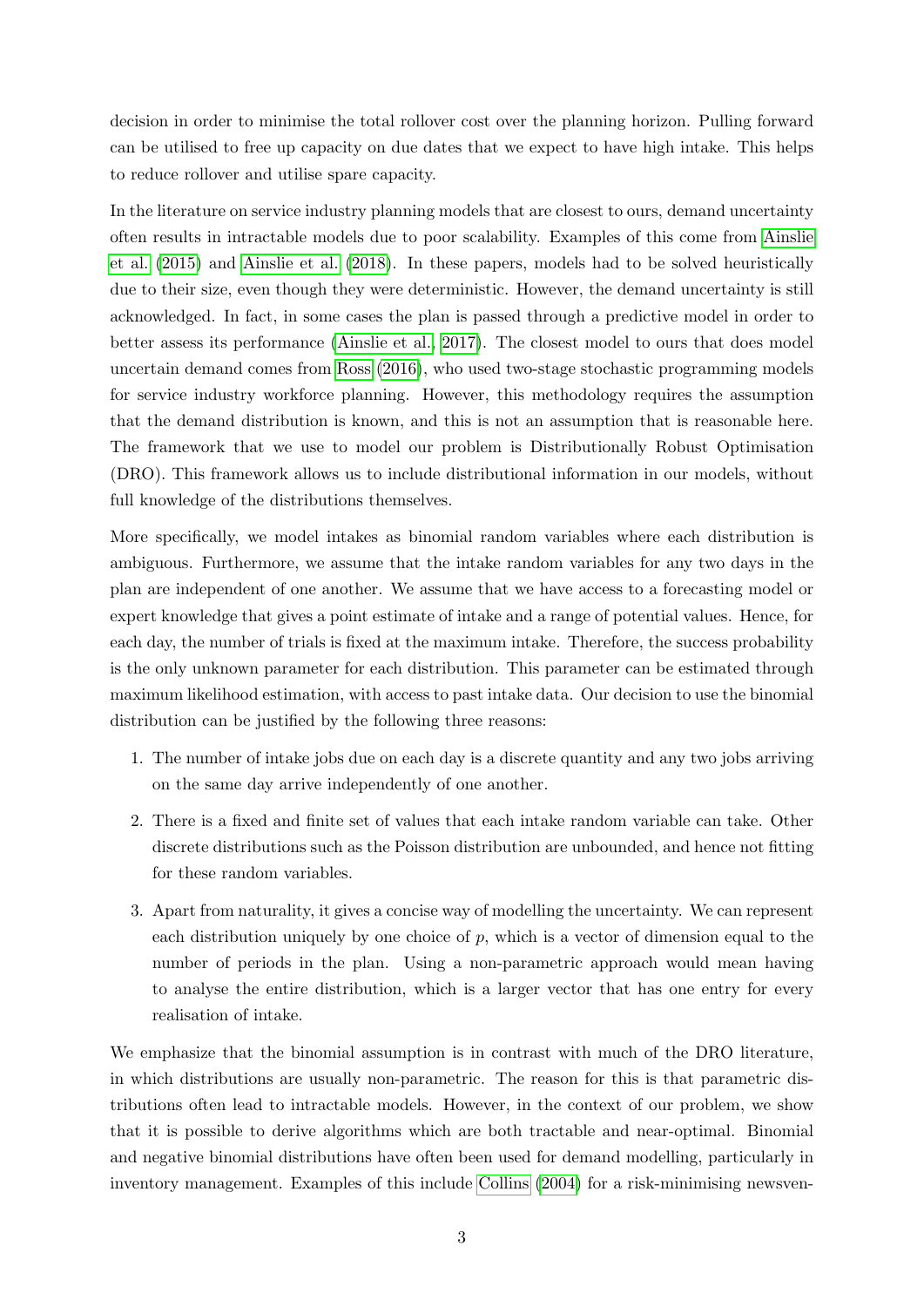decision in order to minimise the total rollover cost over the planning horizon. Pulling forward can be utilised to free up capacity on due dates that we expect to have high intake. This helps to reduce rollover and utilise spare capacity.

In the literature on service industry planning models that are closest to ours, demand uncertainty often results in intractable models due to poor scalability. Examples of this come from [Ainslie](#page-33-1) [et al.](#page-33-1) [\(2015\)](#page-33-1) and [Ainslie et al.](#page-33-2) [\(2018\)](#page-33-2). In these papers, models had to be solved heuristically due to their size, even though they were deterministic. However, the demand uncertainty is still acknowledged. In fact, in some cases the plan is passed through a predictive model in order to better assess its performance [\(Ainslie et al., 2017\)](#page-33-3). The closest model to ours that does model uncertain demand comes from [Ross](#page-36-0) [\(2016\)](#page-36-0), who used two-stage stochastic programming models for service industry workforce planning. However, this methodology requires the assumption that the demand distribution is known, and this is not an assumption that is reasonable here. The framework that we use to model our problem is Distributionally Robust Optimisation (DRO). This framework allows us to include distributional information in our models, without full knowledge of the distributions themselves.

More specifically, we model intakes as binomial random variables where each distribution is ambiguous. Furthermore, we assume that the intake random variables for any two days in the plan are independent of one another. We assume that we have access to a forecasting model or expert knowledge that gives a point estimate of intake and a range of potential values. Hence, for each day, the number of trials is fixed at the maximum intake. Therefore, the success probability is the only unknown parameter for each distribution. This parameter can be estimated through maximum likelihood estimation, with access to past intake data. Our decision to use the binomial distribution can be justified by the following three reasons:

- 1. The number of intake jobs due on each day is a discrete quantity and any two jobs arriving on the same day arrive independently of one another.
- 2. There is a fixed and finite set of values that each intake random variable can take. Other discrete distributions such as the Poisson distribution are unbounded, and hence not fitting for these random variables.
- 3. Apart from naturality, it gives a concise way of modelling the uncertainty. We can represent each distribution uniquely by one choice of  $p$ , which is a vector of dimension equal to the number of periods in the plan. Using a non-parametric approach would mean having to analyse the entire distribution, which is a larger vector that has one entry for every realisation of intake.

We emphasize that the binomial assumption is in contrast with much of the DRO literature, in which distributions are usually non-parametric. The reason for this is that parametric distributions often lead to intractable models. However, in the context of our problem, we show that it is possible to derive algorithms which are both tractable and near-optimal. Binomial and negative binomial distributions have often been used for demand modelling, particularly in inventory management. Examples of this include [Collins](#page-34-0) [\(2004\)](#page-34-0) for a risk-minimising newsven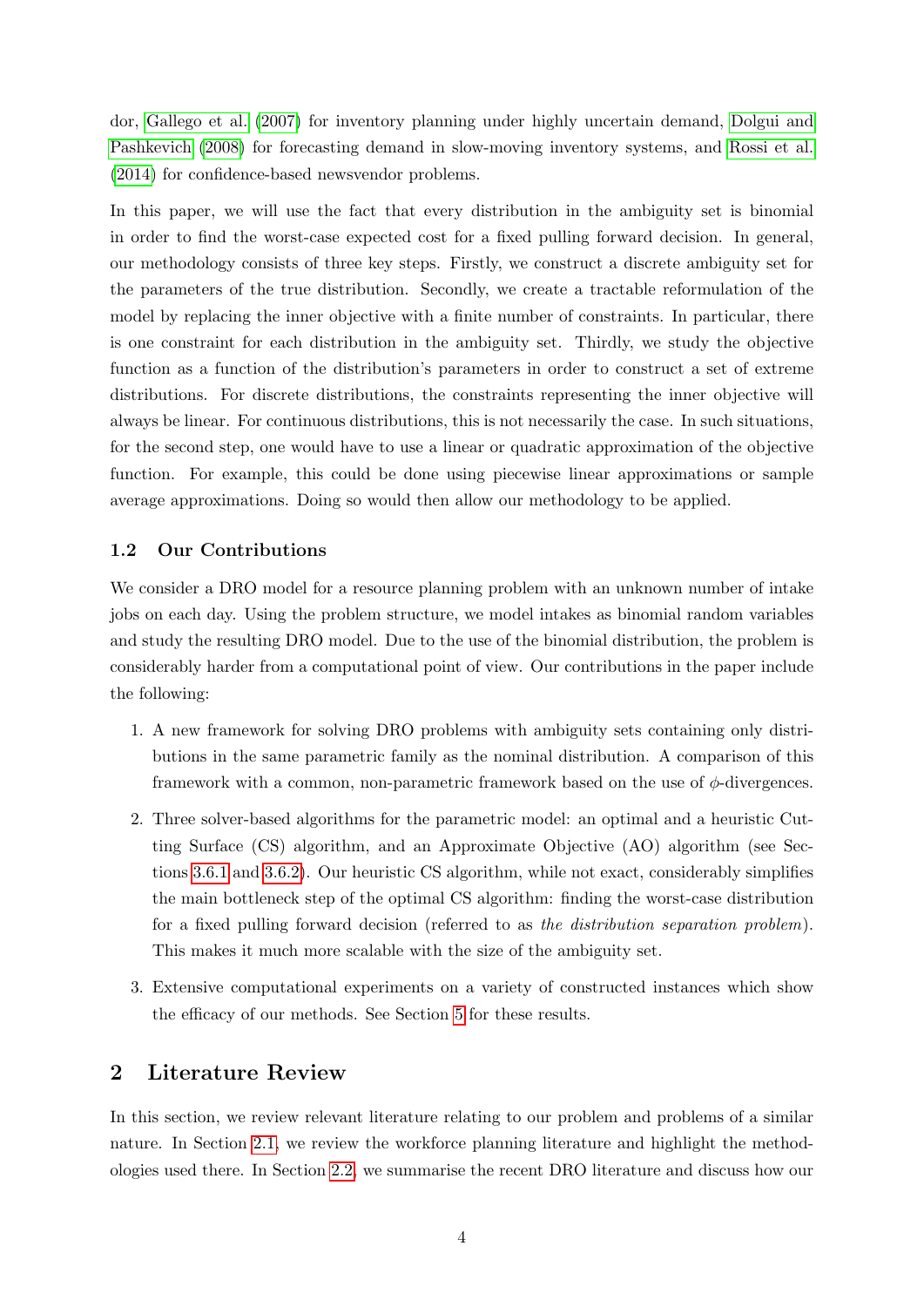dor, [Gallego et al.](#page-34-1) [\(2007\)](#page-34-1) for inventory planning under highly uncertain demand, [Dolgui and](#page-34-2) [Pashkevich](#page-34-2) [\(2008\)](#page-34-2) for forecasting demand in slow-moving inventory systems, and [Rossi et al.](#page-36-1) [\(2014\)](#page-36-1) for confidence-based newsvendor problems.

In this paper, we will use the fact that every distribution in the ambiguity set is binomial in order to find the worst-case expected cost for a fixed pulling forward decision. In general, our methodology consists of three key steps. Firstly, we construct a discrete ambiguity set for the parameters of the true distribution. Secondly, we create a tractable reformulation of the model by replacing the inner objective with a finite number of constraints. In particular, there is one constraint for each distribution in the ambiguity set. Thirdly, we study the objective function as a function of the distribution's parameters in order to construct a set of extreme distributions. For discrete distributions, the constraints representing the inner objective will always be linear. For continuous distributions, this is not necessarily the case. In such situations, for the second step, one would have to use a linear or quadratic approximation of the objective function. For example, this could be done using piecewise linear approximations or sample average approximations. Doing so would then allow our methodology to be applied.

#### <span id="page-5-0"></span>1.2 Our Contributions

We consider a DRO model for a resource planning problem with an unknown number of intake jobs on each day. Using the problem structure, we model intakes as binomial random variables and study the resulting DRO model. Due to the use of the binomial distribution, the problem is considerably harder from a computational point of view. Our contributions in the paper include the following:

- 1. A new framework for solving DRO problems with ambiguity sets containing only distributions in the same parametric family as the nominal distribution. A comparison of this framework with a common, non-parametric framework based on the use of  $\phi$ -divergences.
- 2. Three solver-based algorithms for the parametric model: an optimal and a heuristic Cutting Surface (CS) algorithm, and an Approximate Objective (AO) algorithm (see Sections [3.6.1](#page-16-1) and [3.6.2\)](#page-18-0). Our heuristic CS algorithm, while not exact, considerably simplifies the main bottleneck step of the optimal CS algorithm: finding the worst-case distribution for a fixed pulling forward decision (referred to as the distribution separation problem). This makes it much more scalable with the size of the ambiguity set.
- 3. Extensive computational experiments on a variety of constructed instances which show the efficacy of our methods. See Section [5](#page-22-1) for these results.

## <span id="page-5-1"></span>2 Literature Review

In this section, we review relevant literature relating to our problem and problems of a similar nature. In Section [2.1,](#page-6-0) we review the workforce planning literature and highlight the methodologies used there. In Section [2.2,](#page-7-0) we summarise the recent DRO literature and discuss how our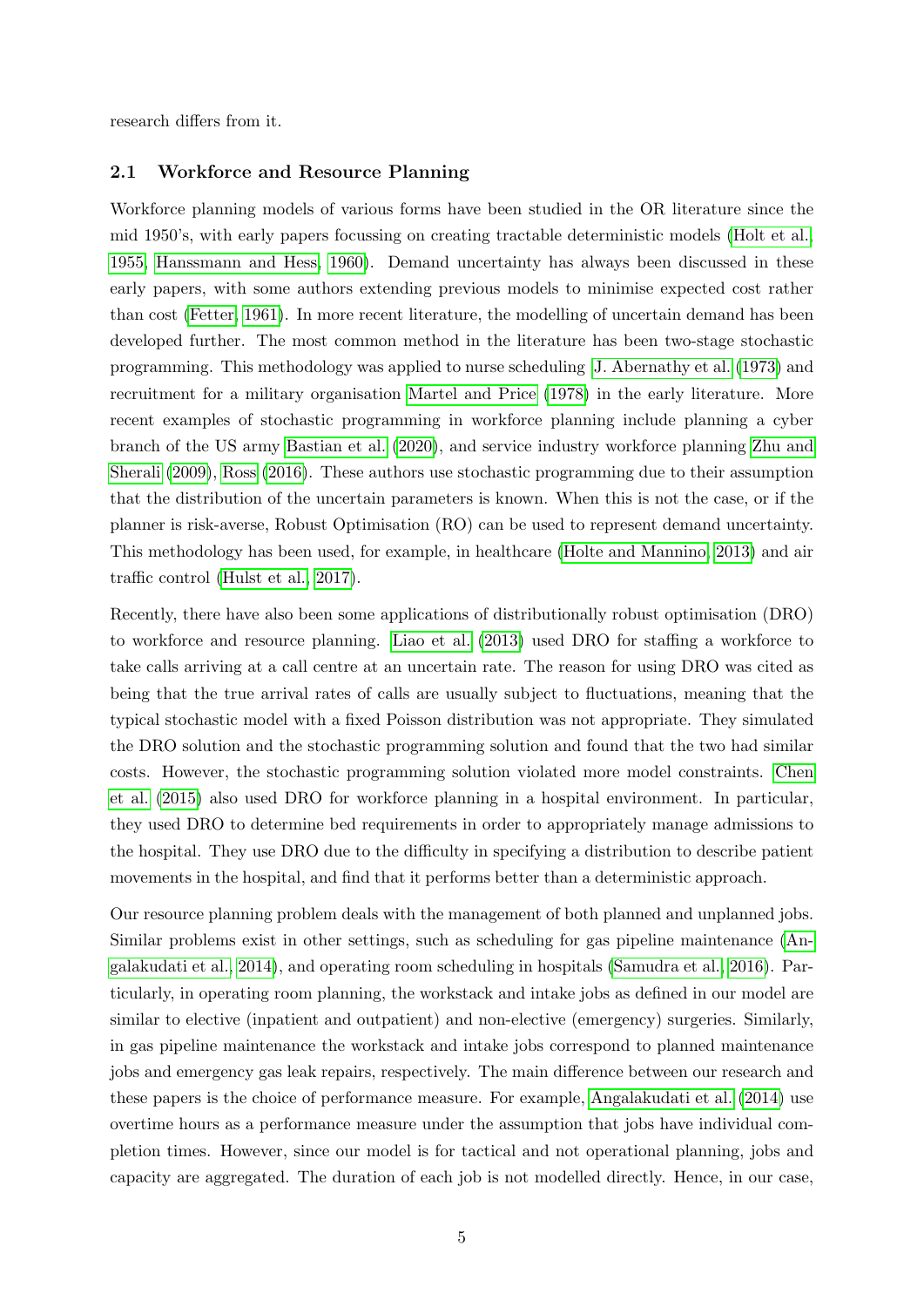<span id="page-6-0"></span>research differs from it.

#### 2.1 Workforce and Resource Planning

Workforce planning models of various forms have been studied in the OR literature since the mid 1950's, with early papers focussing on creating tractable deterministic models [\(Holt et al.,](#page-35-0) [1955,](#page-35-0) [Hanssmann and Hess, 1960\)](#page-34-3). Demand uncertainty has always been discussed in these early papers, with some authors extending previous models to minimise expected cost rather than cost [\(Fetter, 1961\)](#page-34-4). In more recent literature, the modelling of uncertain demand has been developed further. The most common method in the literature has been two-stage stochastic programming. This methodology was applied to nurse scheduling [J. Abernathy et al.](#page-35-1) [\(1973\)](#page-35-1) and recruitment for a military organisation [Martel and Price](#page-36-2) [\(1978\)](#page-36-2) in the early literature. More recent examples of stochastic programming in workforce planning include planning a cyber branch of the US army [Bastian et al.](#page-34-5) [\(2020\)](#page-34-5), and service industry workforce planning [Zhu and](#page-36-3) [Sherali](#page-36-3) [\(2009\)](#page-36-3), [Ross](#page-36-0) [\(2016\)](#page-36-0). These authors use stochastic programming due to their assumption that the distribution of the uncertain parameters is known. When this is not the case, or if the planner is risk-averse, Robust Optimisation (RO) can be used to represent demand uncertainty. This methodology has been used, for example, in healthcare [\(Holte and Mannino, 2013\)](#page-35-2) and air traffic control [\(Hulst et al., 2017\)](#page-35-3).

Recently, there have also been some applications of distributionally robust optimisation (DRO) to workforce and resource planning. [Liao et al.](#page-35-4) [\(2013\)](#page-35-4) used DRO for staffing a workforce to take calls arriving at a call centre at an uncertain rate. The reason for using DRO was cited as being that the true arrival rates of calls are usually subject to fluctuations, meaning that the typical stochastic model with a fixed Poisson distribution was not appropriate. They simulated the DRO solution and the stochastic programming solution and found that the two had similar costs. However, the stochastic programming solution violated more model constraints. [Chen](#page-34-6) [et al.](#page-34-6) [\(2015\)](#page-34-6) also used DRO for workforce planning in a hospital environment. In particular, they used DRO to determine bed requirements in order to appropriately manage admissions to the hospital. They use DRO due to the difficulty in specifying a distribution to describe patient movements in the hospital, and find that it performs better than a deterministic approach.

Our resource planning problem deals with the management of both planned and unplanned jobs. Similar problems exist in other settings, such as scheduling for gas pipeline maintenance [\(An](#page-33-4)[galakudati et al., 2014\)](#page-33-4), and operating room scheduling in hospitals [\(Samudra et al., 2016\)](#page-36-4). Particularly, in operating room planning, the workstack and intake jobs as defined in our model are similar to elective (inpatient and outpatient) and non-elective (emergency) surgeries. Similarly, in gas pipeline maintenance the workstack and intake jobs correspond to planned maintenance jobs and emergency gas leak repairs, respectively. The main difference between our research and these papers is the choice of performance measure. For example, [Angalakudati et al.](#page-33-4) [\(2014\)](#page-33-4) use overtime hours as a performance measure under the assumption that jobs have individual completion times. However, since our model is for tactical and not operational planning, jobs and capacity are aggregated. The duration of each job is not modelled directly. Hence, in our case,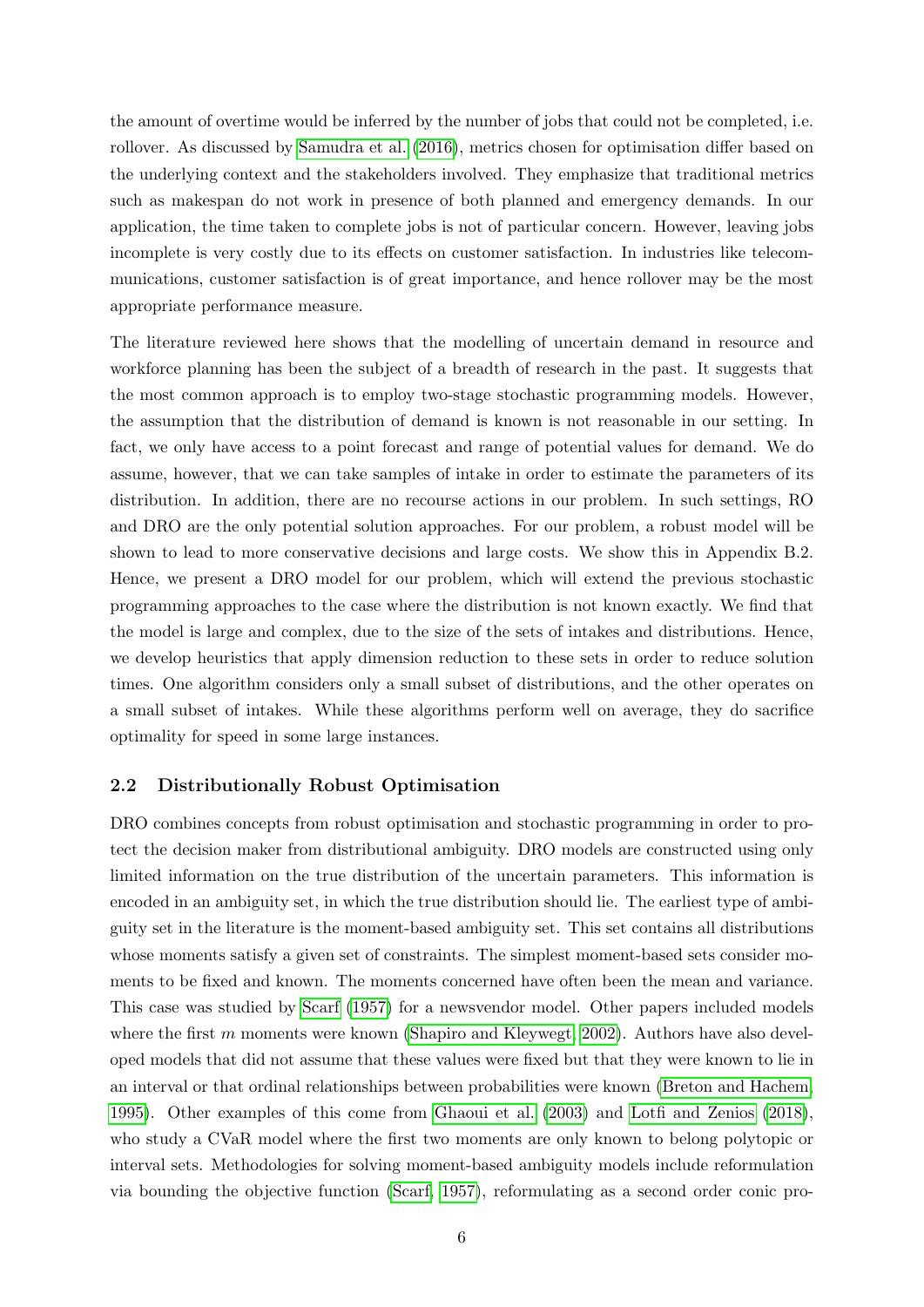the amount of overtime would be inferred by the number of jobs that could not be completed, i.e. rollover. As discussed by [Samudra et al.](#page-36-4) [\(2016\)](#page-36-4), metrics chosen for optimisation differ based on the underlying context and the stakeholders involved. They emphasize that traditional metrics such as makespan do not work in presence of both planned and emergency demands. In our application, the time taken to complete jobs is not of particular concern. However, leaving jobs incomplete is very costly due to its effects on customer satisfaction. In industries like telecommunications, customer satisfaction is of great importance, and hence rollover may be the most appropriate performance measure.

The literature reviewed here shows that the modelling of uncertain demand in resource and workforce planning has been the subject of a breadth of research in the past. It suggests that the most common approach is to employ two-stage stochastic programming models. However, the assumption that the distribution of demand is known is not reasonable in our setting. In fact, we only have access to a point forecast and range of potential values for demand. We do assume, however, that we can take samples of intake in order to estimate the parameters of its distribution. In addition, there are no recourse actions in our problem. In such settings, RO and DRO are the only potential solution approaches. For our problem, a robust model will be shown to lead to more conservative decisions and large costs. We show this in Appendix B.2. Hence, we present a DRO model for our problem, which will extend the previous stochastic programming approaches to the case where the distribution is not known exactly. We find that the model is large and complex, due to the size of the sets of intakes and distributions. Hence, we develop heuristics that apply dimension reduction to these sets in order to reduce solution times. One algorithm considers only a small subset of distributions, and the other operates on a small subset of intakes. While these algorithms perform well on average, they do sacrifice optimality for speed in some large instances.

#### <span id="page-7-0"></span>2.2 Distributionally Robust Optimisation

DRO combines concepts from robust optimisation and stochastic programming in order to protect the decision maker from distributional ambiguity. DRO models are constructed using only limited information on the true distribution of the uncertain parameters. This information is encoded in an ambiguity set, in which the true distribution should lie. The earliest type of ambiguity set in the literature is the moment-based ambiguity set. This set contains all distributions whose moments satisfy a given set of constraints. The simplest moment-based sets consider moments to be fixed and known. The moments concerned have often been the mean and variance. This case was studied by [Scarf](#page-36-5) [\(1957\)](#page-36-5) for a newsvendor model. Other papers included models where the first m moments were known [\(Shapiro and Kleywegt, 2002\)](#page-36-6). Authors have also developed models that did not assume that these values were fixed but that they were known to lie in an interval or that ordinal relationships between probabilities were known [\(Breton and Hachem,](#page-34-7) [1995\)](#page-34-7). Other examples of this come from [Ghaoui et al.](#page-34-8) [\(2003\)](#page-34-8) and [Lotfi and Zenios](#page-35-5) [\(2018\)](#page-35-5), who study a CVaR model where the first two moments are only known to belong polytopic or interval sets. Methodologies for solving moment-based ambiguity models include reformulation via bounding the objective function [\(Scarf, 1957\)](#page-36-5), reformulating as a second order conic pro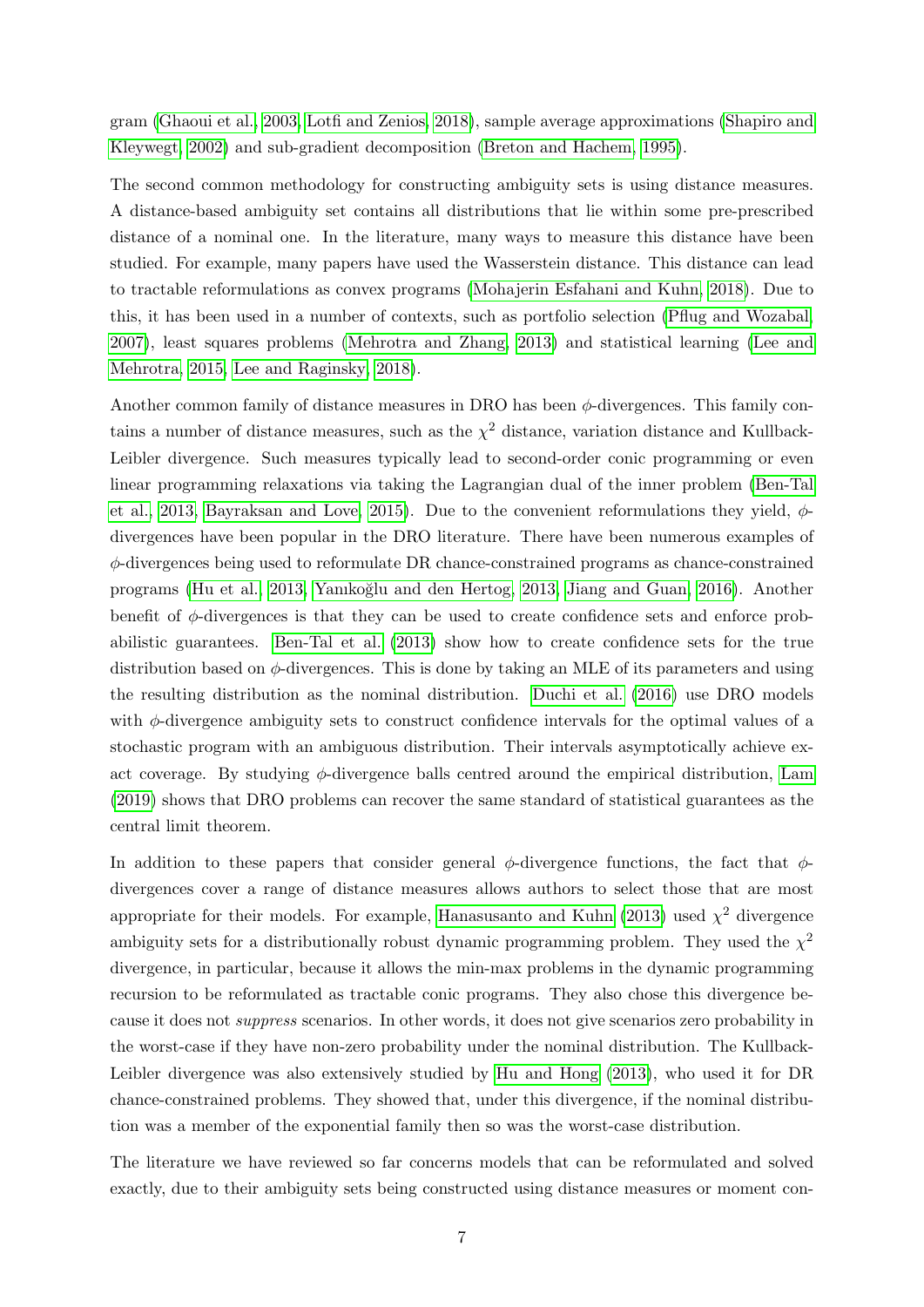gram [\(Ghaoui et al., 2003,](#page-34-8) [Lotfi and Zenios, 2018\)](#page-35-5), sample average approximations [\(Shapiro and](#page-36-6) [Kleywegt, 2002\)](#page-36-6) and sub-gradient decomposition [\(Breton and Hachem, 1995\)](#page-34-7).

The second common methodology for constructing ambiguity sets is using distance measures. A distance-based ambiguity set contains all distributions that lie within some pre-prescribed distance of a nominal one. In the literature, many ways to measure this distance have been studied. For example, many papers have used the Wasserstein distance. This distance can lead to tractable reformulations as convex programs [\(Mohajerin Esfahani and Kuhn, 2018\)](#page-36-7). Due to this, it has been used in a number of contexts, such as portfolio selection [\(Pflug and Wozabal,](#page-36-8) [2007\)](#page-36-8), least squares problems [\(Mehrotra and Zhang, 2013\)](#page-36-9) and statistical learning [\(Lee and](#page-35-6) [Mehrotra, 2015,](#page-35-6) [Lee and Raginsky, 2018\)](#page-35-7).

Another common family of distance measures in DRO has been  $\phi$ -divergences. This family contains a number of distance measures, such as the  $\chi^2$  distance, variation distance and Kullback-Leibler divergence. Such measures typically lead to second-order conic programming or even linear programming relaxations via taking the Lagrangian dual of the inner problem [\(Ben-Tal](#page-34-9) [et al., 2013,](#page-34-9) [Bayraksan and Love, 2015\)](#page-34-10). Due to the convenient reformulations they yield,  $\phi$ divergences have been popular in the DRO literature. There have been numerous examples of φ-divergences being used to reformulate DR chance-constrained programs as chance-constrained programs [\(Hu et al., 2013,](#page-35-8) [Yanıko˘glu and den Hertog, 2013,](#page-36-10) [Jiang and Guan, 2016\)](#page-35-9). Another benefit of  $\phi$ -divergences is that they can be used to create confidence sets and enforce probabilistic guarantees. [Ben-Tal et al.](#page-34-9) [\(2013\)](#page-34-9) show how to create confidence sets for the true distribution based on  $\phi$ -divergences. This is done by taking an MLE of its parameters and using the resulting distribution as the nominal distribution. [Duchi et al.](#page-34-11) [\(2016\)](#page-34-11) use DRO models with  $\phi$ -divergence ambiguity sets to construct confidence intervals for the optimal values of a stochastic program with an ambiguous distribution. Their intervals asymptotically achieve exact coverage. By studying  $\phi$ -divergence balls centred around the empirical distribution, [Lam](#page-35-10) [\(2019\)](#page-35-10) shows that DRO problems can recover the same standard of statistical guarantees as the central limit theorem.

In addition to these papers that consider general  $\phi$ -divergence functions, the fact that  $\phi$ divergences cover a range of distance measures allows authors to select those that are most appropriate for their models. For example, [Hanasusanto and Kuhn](#page-34-12) [\(2013\)](#page-34-12) used  $\chi^2$  divergence ambiguity sets for a distributionally robust dynamic programming problem. They used the  $\chi^2$ divergence, in particular, because it allows the min-max problems in the dynamic programming recursion to be reformulated as tractable conic programs. They also chose this divergence because it does not suppress scenarios. In other words, it does not give scenarios zero probability in the worst-case if they have non-zero probability under the nominal distribution. The Kullback-Leibler divergence was also extensively studied by [Hu and Hong](#page-35-11) [\(2013\)](#page-35-11), who used it for DR chance-constrained problems. They showed that, under this divergence, if the nominal distribution was a member of the exponential family then so was the worst-case distribution.

The literature we have reviewed so far concerns models that can be reformulated and solved exactly, due to their ambiguity sets being constructed using distance measures or moment con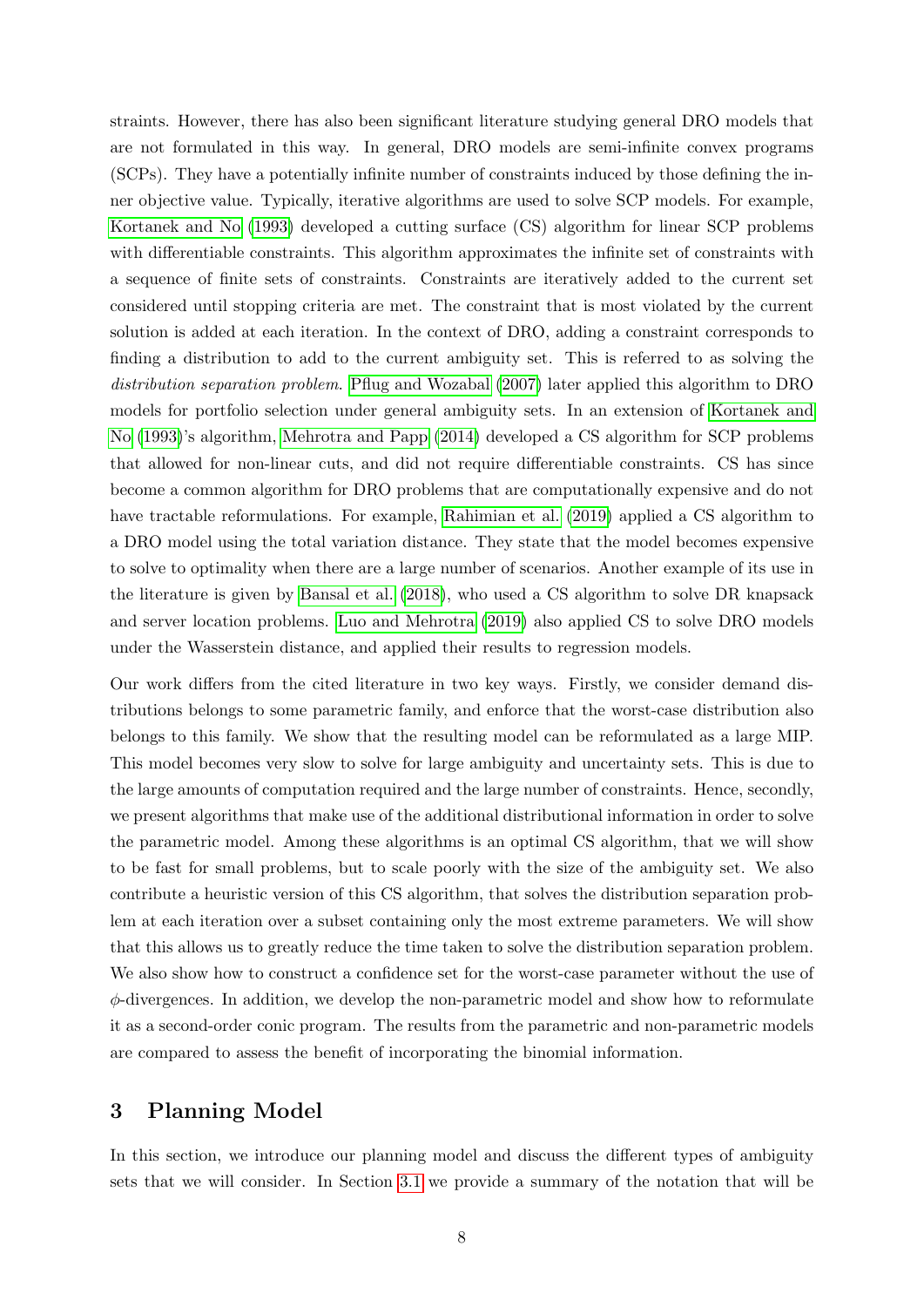straints. However, there has also been significant literature studying general DRO models that are not formulated in this way. In general, DRO models are semi-infinite convex programs (SCPs). They have a potentially infinite number of constraints induced by those defining the inner objective value. Typically, iterative algorithms are used to solve SCP models. For example, [Kortanek and No](#page-35-12) [\(1993\)](#page-35-12) developed a cutting surface (CS) algorithm for linear SCP problems with differentiable constraints. This algorithm approximates the infinite set of constraints with a sequence of finite sets of constraints. Constraints are iteratively added to the current set considered until stopping criteria are met. The constraint that is most violated by the current solution is added at each iteration. In the context of DRO, adding a constraint corresponds to finding a distribution to add to the current ambiguity set. This is referred to as solving the distribution separation problem. [Pflug and Wozabal](#page-36-8) [\(2007\)](#page-36-8) later applied this algorithm to DRO models for portfolio selection under general ambiguity sets. In an extension of [Kortanek and](#page-35-12) [No](#page-35-12) [\(1993\)](#page-35-12)'s algorithm, [Mehrotra and Papp](#page-36-11) [\(2014\)](#page-36-11) developed a CS algorithm for SCP problems that allowed for non-linear cuts, and did not require differentiable constraints. CS has since become a common algorithm for DRO problems that are computationally expensive and do not have tractable reformulations. For example, [Rahimian et al.](#page-36-12) [\(2019\)](#page-36-12) applied a CS algorithm to a DRO model using the total variation distance. They state that the model becomes expensive to solve to optimality when there are a large number of scenarios. Another example of its use in the literature is given by [Bansal et al.](#page-34-13) [\(2018\)](#page-34-13), who used a CS algorithm to solve DR knapsack and server location problems. [Luo and Mehrotra](#page-35-13) [\(2019\)](#page-35-13) also applied CS to solve DRO models under the Wasserstein distance, and applied their results to regression models.

Our work differs from the cited literature in two key ways. Firstly, we consider demand distributions belongs to some parametric family, and enforce that the worst-case distribution also belongs to this family. We show that the resulting model can be reformulated as a large MIP. This model becomes very slow to solve for large ambiguity and uncertainty sets. This is due to the large amounts of computation required and the large number of constraints. Hence, secondly, we present algorithms that make use of the additional distributional information in order to solve the parametric model. Among these algorithms is an optimal CS algorithm, that we will show to be fast for small problems, but to scale poorly with the size of the ambiguity set. We also contribute a heuristic version of this CS algorithm, that solves the distribution separation problem at each iteration over a subset containing only the most extreme parameters. We will show that this allows us to greatly reduce the time taken to solve the distribution separation problem. We also show how to construct a confidence set for the worst-case parameter without the use of  $\phi$ -divergences. In addition, we develop the non-parametric model and show how to reformulate it as a second-order conic program. The results from the parametric and non-parametric models are compared to assess the benefit of incorporating the binomial information.

## <span id="page-9-0"></span>3 Planning Model

In this section, we introduce our planning model and discuss the different types of ambiguity sets that we will consider. In Section [3.1](#page-10-0) we provide a summary of the notation that will be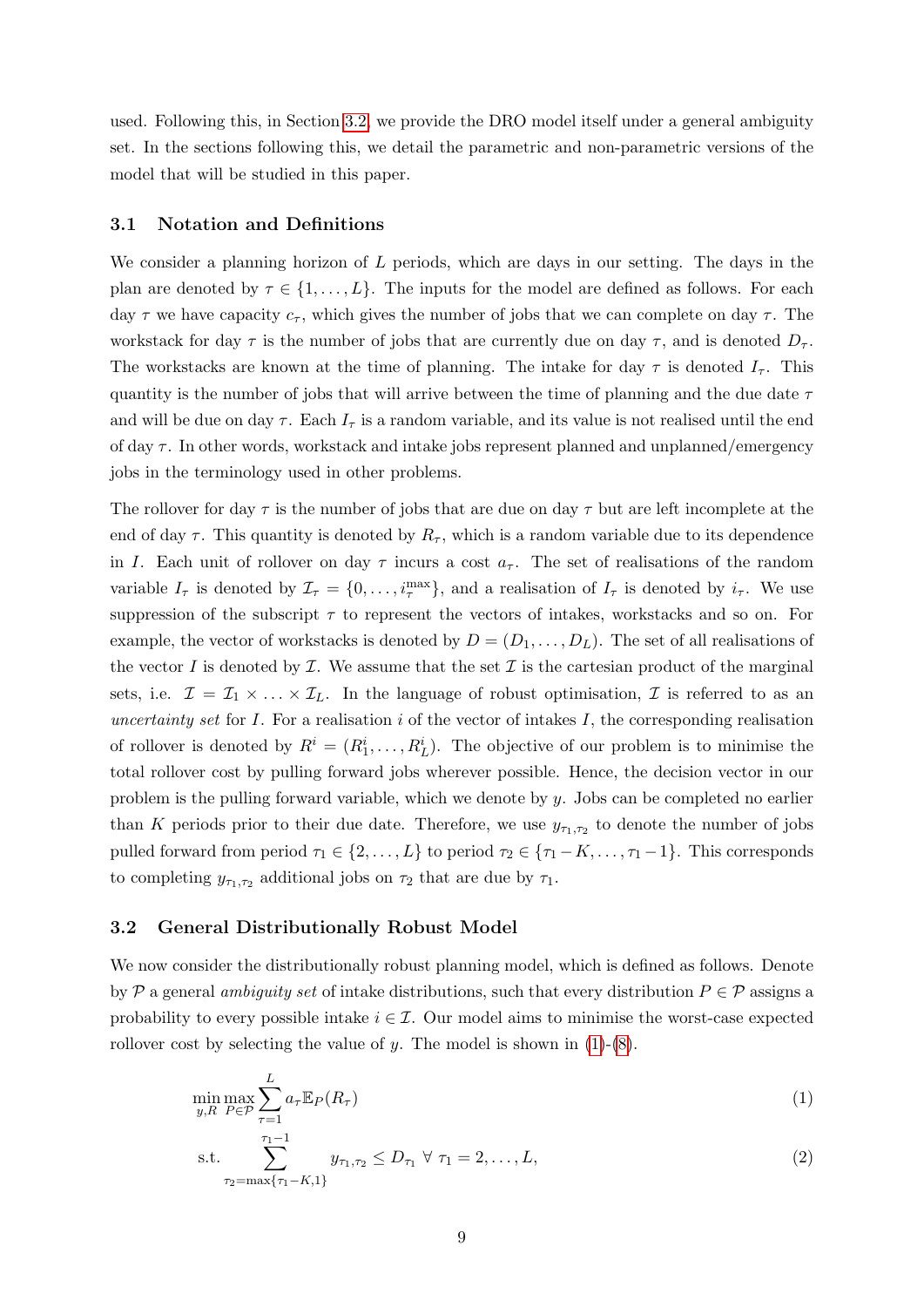used. Following this, in Section [3.2,](#page-10-1) we provide the DRO model itself under a general ambiguity set. In the sections following this, we detail the parametric and non-parametric versions of the model that will be studied in this paper.

#### <span id="page-10-0"></span>3.1 Notation and Definitions

We consider a planning horizon of  $L$  periods, which are days in our setting. The days in the plan are denoted by  $\tau \in \{1, \ldots, L\}$ . The inputs for the model are defined as follows. For each day  $\tau$  we have capacity  $c_{\tau}$ , which gives the number of jobs that we can complete on day  $\tau$ . The workstack for day  $\tau$  is the number of jobs that are currently due on day  $\tau$ , and is denoted  $D_{\tau}$ . The workstacks are known at the time of planning. The intake for day  $\tau$  is denoted  $I_{\tau}$ . This quantity is the number of jobs that will arrive between the time of planning and the due date  $\tau$ and will be due on day  $\tau$ . Each  $I_{\tau}$  is a random variable, and its value is not realised until the end of day  $\tau$ . In other words, workstack and intake jobs represent planned and unplanned/emergency jobs in the terminology used in other problems.

The rollover for day  $\tau$  is the number of jobs that are due on day  $\tau$  but are left incomplete at the end of day  $\tau$ . This quantity is denoted by  $R_{\tau}$ , which is a random variable due to its dependence in I. Each unit of rollover on day  $\tau$  incurs a cost  $a_{\tau}$ . The set of realisations of the random variable  $I_{\tau}$  is denoted by  $\mathcal{I}_{\tau} = \{0, \ldots, i_{\tau}^{\max}\}\$ , and a realisation of  $I_{\tau}$  is denoted by  $i_{\tau}$ . We use suppression of the subscript  $\tau$  to represent the vectors of intakes, workstacks and so on. For example, the vector of workstacks is denoted by  $D = (D_1, \ldots, D_L)$ . The set of all realisations of the vector I is denoted by  $\mathcal I$ . We assume that the set  $\mathcal I$  is the cartesian product of the marginal sets, i.e.  $\mathcal{I} = \mathcal{I}_1 \times \ldots \times \mathcal{I}_L$ . In the language of robust optimisation,  $\mathcal{I}$  is referred to as an uncertainty set for  $I$ . For a realisation  $i$  of the vector of intakes  $I$ , the corresponding realisation of rollover is denoted by  $R^i = (R_1^i, \ldots, R_L^i)$ . The objective of our problem is to minimise the total rollover cost by pulling forward jobs wherever possible. Hence, the decision vector in our problem is the pulling forward variable, which we denote by y. Jobs can be completed no earlier than K periods prior to their due date. Therefore, we use  $y_{\tau_1,\tau_2}$  to denote the number of jobs pulled forward from period  $\tau_1 \in \{2, \ldots, L\}$  to period  $\tau_2 \in \{\tau_1 - K, \ldots, \tau_1 - 1\}$ . This corresponds to completing  $y_{\tau_1,\tau_2}$  additional jobs on  $\tau_2$  that are due by  $\tau_1$ .

#### <span id="page-10-1"></span>3.2 General Distributionally Robust Model

We now consider the distributionally robust planning model, which is defined as follows. Denote by P a general ambiguity set of intake distributions, such that every distribution  $P \in \mathcal{P}$  assigns a probability to every possible intake  $i \in \mathcal{I}$ . Our model aims to minimise the worst-case expected rollover cost by selecting the value of y. The model is shown in  $(1)-(8)$  $(1)-(8)$  $(1)-(8)$ .

$$
\min_{y,R} \max_{P \in \mathcal{P}} \sum_{\tau=1}^{L} a_{\tau} \mathbb{E}_P(R_{\tau})
$$
\n(1)

<span id="page-10-3"></span><span id="page-10-2"></span>s.t. 
$$
\sum_{\tau_2=\max\{\tau_1-K,1\}}^{\tau_1-1} y_{\tau_1,\tau_2} \le D_{\tau_1} \ \forall \ \tau_1=2,\ldots,L,
$$
 (2)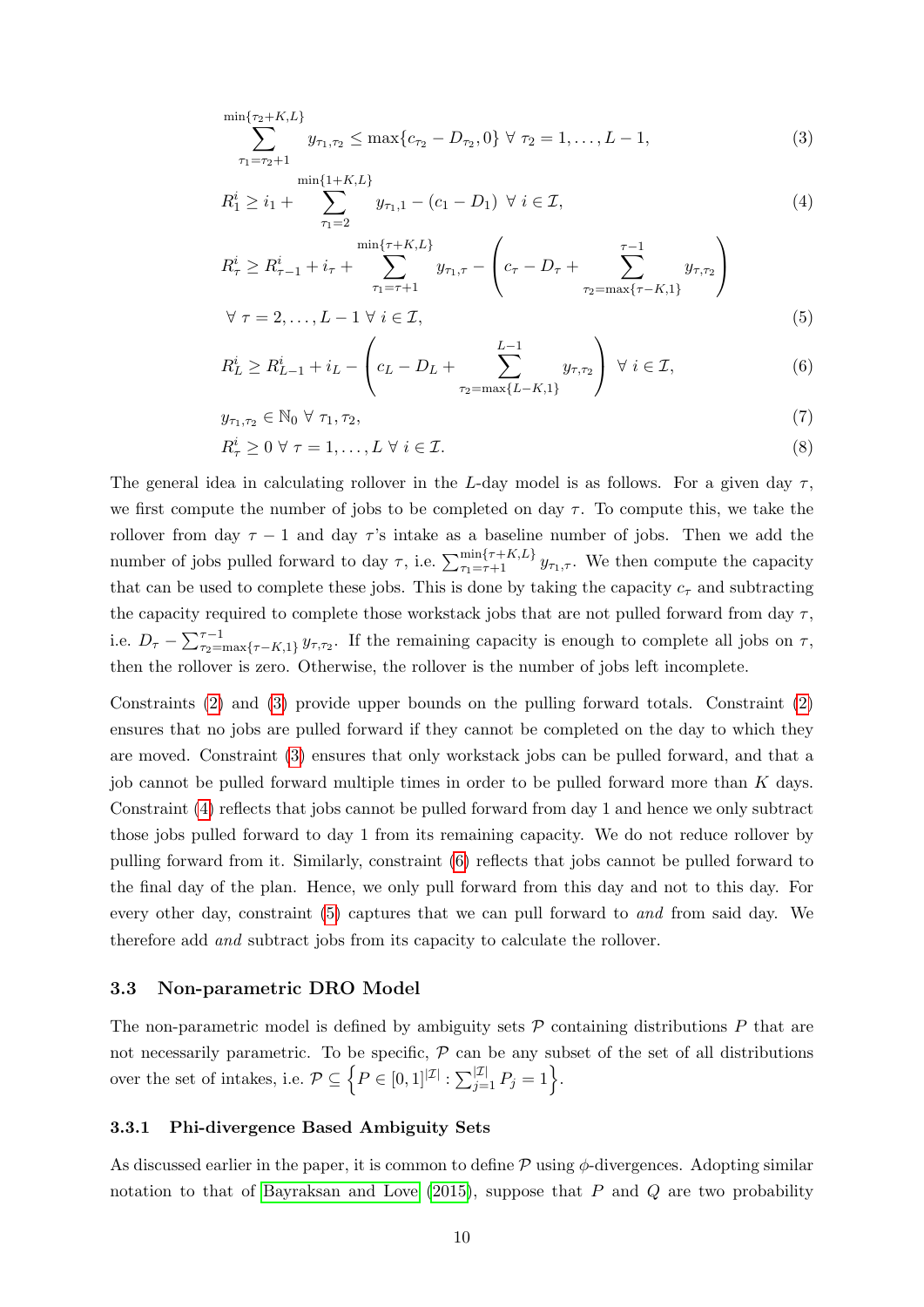<span id="page-11-3"></span>
$$
\sum_{\tau_1=\tau_2+1}^{\min\{\tau_2+K,L\}} y_{\tau_1,\tau_2} \le \max\{c_{\tau_2} - D_{\tau_2}, 0\} \,\forall \,\,\tau_2=1,\ldots,L-1,\tag{3}
$$

<span id="page-11-4"></span>
$$
R_1^i \ge i_1 + \sum_{\tau_1=2}^{\min\{1+K,L\}} y_{\tau_1,1} - (c_1 - D_1) \ \forall \ i \in \mathcal{I}, \tag{4}
$$

$$
R_{\tau}^{i} \geq R_{\tau-1}^{i} + i_{\tau} + \sum_{\tau_{1} = \tau+1}^{\min\{\tau + K, L\}} y_{\tau_{1},\tau} - \left(c_{\tau} - D_{\tau} + \sum_{\tau_{2} = \max\{\tau - K, 1\}}^{\tau - 1} y_{\tau,\tau_{2}}\right)
$$
  

$$
\forall \tau = 2, ..., L - 1 \forall i \in \mathcal{I},
$$
\n(5)

<span id="page-11-6"></span><span id="page-11-5"></span>
$$
R_L^i \ge R_{L-1}^i + i_L - \left(c_L - D_L + \sum_{j \in \mathcal{I}, j \in \mathcal{I}}^{L-1} y_{\tau, \tau_2}\right) \ \forall \ i \in \mathcal{I}, \tag{6}
$$

<span id="page-11-2"></span>
$$
y_{\tau_1, \tau_2} \in \mathbb{N}_0 \ \forall \ \tau_1, \tau_2,
$$
\n
$$
(7)
$$

$$
R^i_\tau \ge 0 \,\,\forall \,\,\tau = 1,\ldots,L \,\,\forall \,\,i \in \mathcal{I}.\tag{8}
$$

The general idea in calculating rollover in the L-day model is as follows. For a given day  $\tau$ , we first compute the number of jobs to be completed on day  $\tau$ . To compute this, we take the rollover from day  $\tau - 1$  and day  $\tau$ 's intake as a baseline number of jobs. Then we add the number of jobs pulled forward to day  $\tau$ , i.e.  $\sum_{\tau_1=\tau+1}^{\min\{\tau+K,L\}} y_{\tau_1,\tau}$ . We then compute the capacity that can be used to complete these jobs. This is done by taking the capacity  $c<sub>\tau</sub>$  and subtracting the capacity required to complete those workstack jobs that are not pulled forward from day  $\tau$ , i.e.  $D_{\tau} - \sum_{\tau_2 = \max\{\tau - K, 1\}}^{\tau - 1} y_{\tau, \tau_2}$ . If the remaining capacity is enough to complete all jobs on  $\tau$ , then the rollover is zero. Otherwise, the rollover is the number of jobs left incomplete.

Constraints [\(2\)](#page-10-3) and [\(3\)](#page-11-3) provide upper bounds on the pulling forward totals. Constraint [\(2\)](#page-10-3) ensures that no jobs are pulled forward if they cannot be completed on the day to which they are moved. Constraint [\(3\)](#page-11-3) ensures that only workstack jobs can be pulled forward, and that a job cannot be pulled forward multiple times in order to be pulled forward more than K days. Constraint [\(4\)](#page-11-4) reflects that jobs cannot be pulled forward from day 1 and hence we only subtract those jobs pulled forward to day 1 from its remaining capacity. We do not reduce rollover by pulling forward from it. Similarly, constraint [\(6\)](#page-11-5) reflects that jobs cannot be pulled forward to the final day of the plan. Hence, we only pull forward from this day and not to this day. For every other day, constraint [\(5\)](#page-11-6) captures that we can pull forward to and from said day. We therefore add and subtract jobs from its capacity to calculate the rollover.

#### <span id="page-11-0"></span>3.3 Non-parametric DRO Model

The non-parametric model is defined by ambiguity sets  $P$  containing distributions  $P$  that are not necessarily parametric. To be specific,  $\mathcal P$  can be any subset of the set of all distributions over the set of intakes, i.e.  $\mathcal{P} \subseteq \left\{ P \in [0,1]^{|\mathcal{I}|} : \sum_{j=1}^{|\mathcal{I}|} P_j = 1 \right\}$ .

#### <span id="page-11-1"></span>3.3.1 Phi-divergence Based Ambiguity Sets

As discussed earlier in the paper, it is common to define  $\mathcal P$  using  $\phi$ -divergences. Adopting similar notation to that of [Bayraksan and Love](#page-34-10)  $(2015)$ , suppose that P and Q are two probability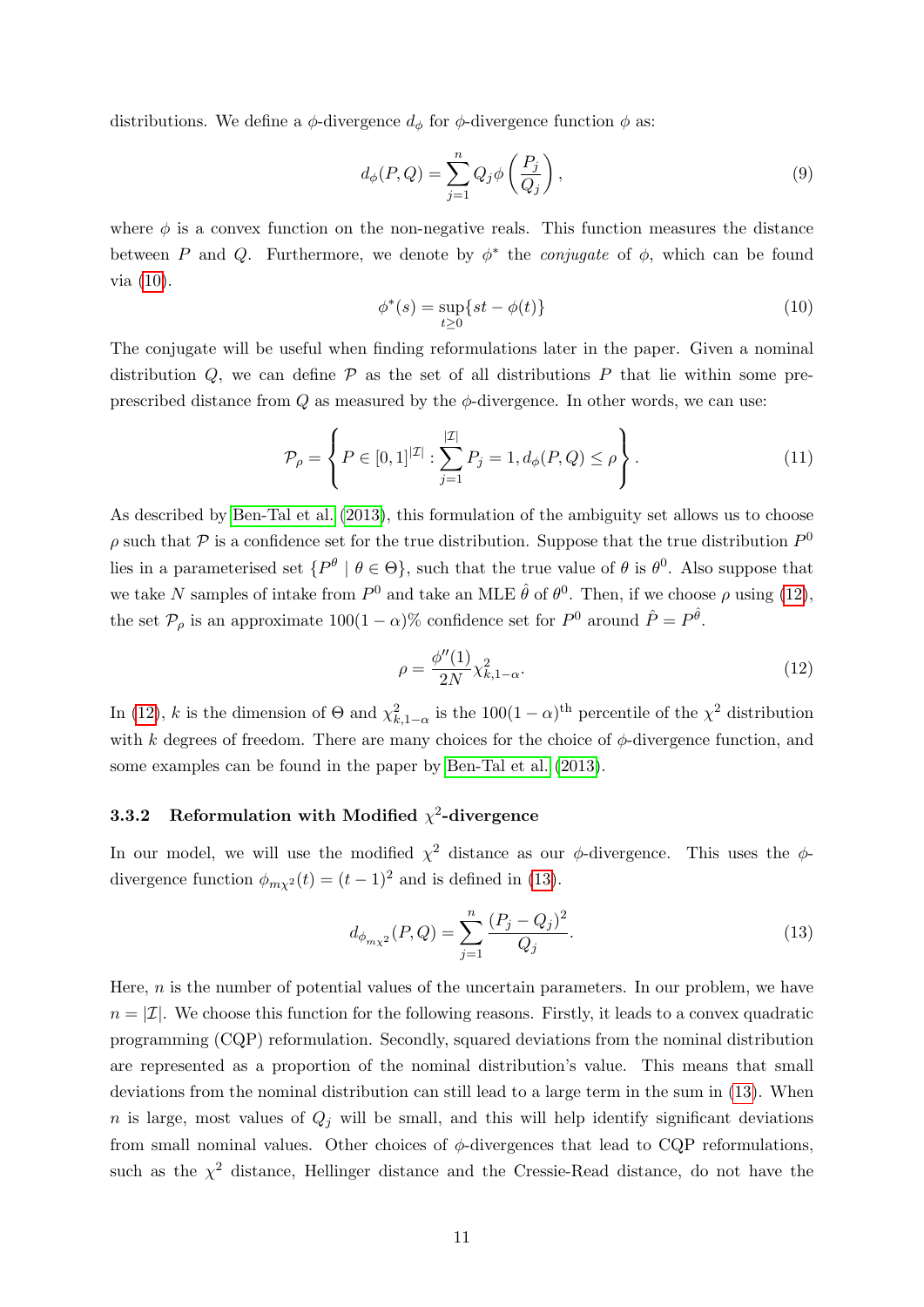distributions. We define a  $\phi$ -divergence  $d_{\phi}$  for  $\phi$ -divergence function  $\phi$  as:

$$
d_{\phi}(P,Q) = \sum_{j=1}^{n} Q_j \phi\left(\frac{P_j}{Q_j}\right),\tag{9}
$$

where  $\phi$  is a convex function on the non-negative reals. This function measures the distance between P and Q. Furthermore, we denote by  $\phi^*$  the *conjugate* of  $\phi$ , which can be found via [\(10\)](#page-12-1).

<span id="page-12-1"></span>
$$
\phi^*(s) = \sup_{t \ge 0} \{ st - \phi(t) \}
$$
\n<sup>(10)</sup>

The conjugate will be useful when finding reformulations later in the paper. Given a nominal distribution  $Q$ , we can define  $\mathcal P$  as the set of all distributions  $P$  that lie within some preprescribed distance from  $Q$  as measured by the  $\phi$ -divergence. In other words, we can use:

<span id="page-12-4"></span>
$$
\mathcal{P}_{\rho} = \left\{ P \in [0,1]^{|\mathcal{I}|} : \sum_{j=1}^{|\mathcal{I}|} P_j = 1, d_{\phi}(P, Q) \le \rho \right\}.
$$
\n(11)

As described by [Ben-Tal et al.](#page-34-9) [\(2013\)](#page-34-9), this formulation of the ambiguity set allows us to choose  $\rho$  such that  $\mathcal P$  is a confidence set for the true distribution. Suppose that the true distribution  $P^0$ lies in a parameterised set  $\{P^{\theta} \mid \theta \in \Theta\}$ , such that the true value of  $\theta$  is  $\theta^0$ . Also suppose that we take N samples of intake from  $P^0$  and take an MLE  $\hat{\theta}$  of  $\theta^0$ . Then, if we choose  $\rho$  using [\(12\)](#page-12-2), the set  $\mathcal{P}_{\rho}$  is an approximate  $100(1-\alpha)\%$  confidence set for  $P^0$  around  $\hat{P} = P^{\hat{\theta}}$ .

<span id="page-12-2"></span>
$$
\rho = \frac{\phi''(1)}{2N} \chi_{k,1-\alpha}^2.
$$
\n(12)

In [\(12\)](#page-12-2), k is the dimension of  $\Theta$  and  $\chi^2_{k,1-\alpha}$  is the 100(1 –  $\alpha$ )<sup>th</sup> percentile of the  $\chi^2$  distribution with k degrees of freedom. There are many choices for the choice of  $\phi$ -divergence function, and some examples can be found in the paper by [Ben-Tal et al.](#page-34-9) [\(2013\)](#page-34-9).

## <span id="page-12-0"></span>3.3.2 Reformulation with Modified  $\chi^2$ -divergence

In our model, we will use the modified  $\chi^2$  distance as our  $\phi$ -divergence. This uses the  $\phi$ divergence function  $\phi_{m\chi^2}(t) = (t-1)^2$  and is defined in [\(13\)](#page-12-3).

<span id="page-12-3"></span>
$$
d_{\phi_{m\chi^2}}(P,Q) = \sum_{j=1}^n \frac{(P_j - Q_j)^2}{Q_j}.
$$
\n(13)

Here,  $n$  is the number of potential values of the uncertain parameters. In our problem, we have  $n = |\mathcal{I}|$ . We choose this function for the following reasons. Firstly, it leads to a convex quadratic programming (CQP) reformulation. Secondly, squared deviations from the nominal distribution are represented as a proportion of the nominal distribution's value. This means that small deviations from the nominal distribution can still lead to a large term in the sum in [\(13\)](#page-12-3). When  $n$  is large, most values of  $Q_j$  will be small, and this will help identify significant deviations from small nominal values. Other choices of  $\phi$ -divergences that lead to CQP reformulations, such as the  $\chi^2$  distance, Hellinger distance and the Cressie-Read distance, do not have the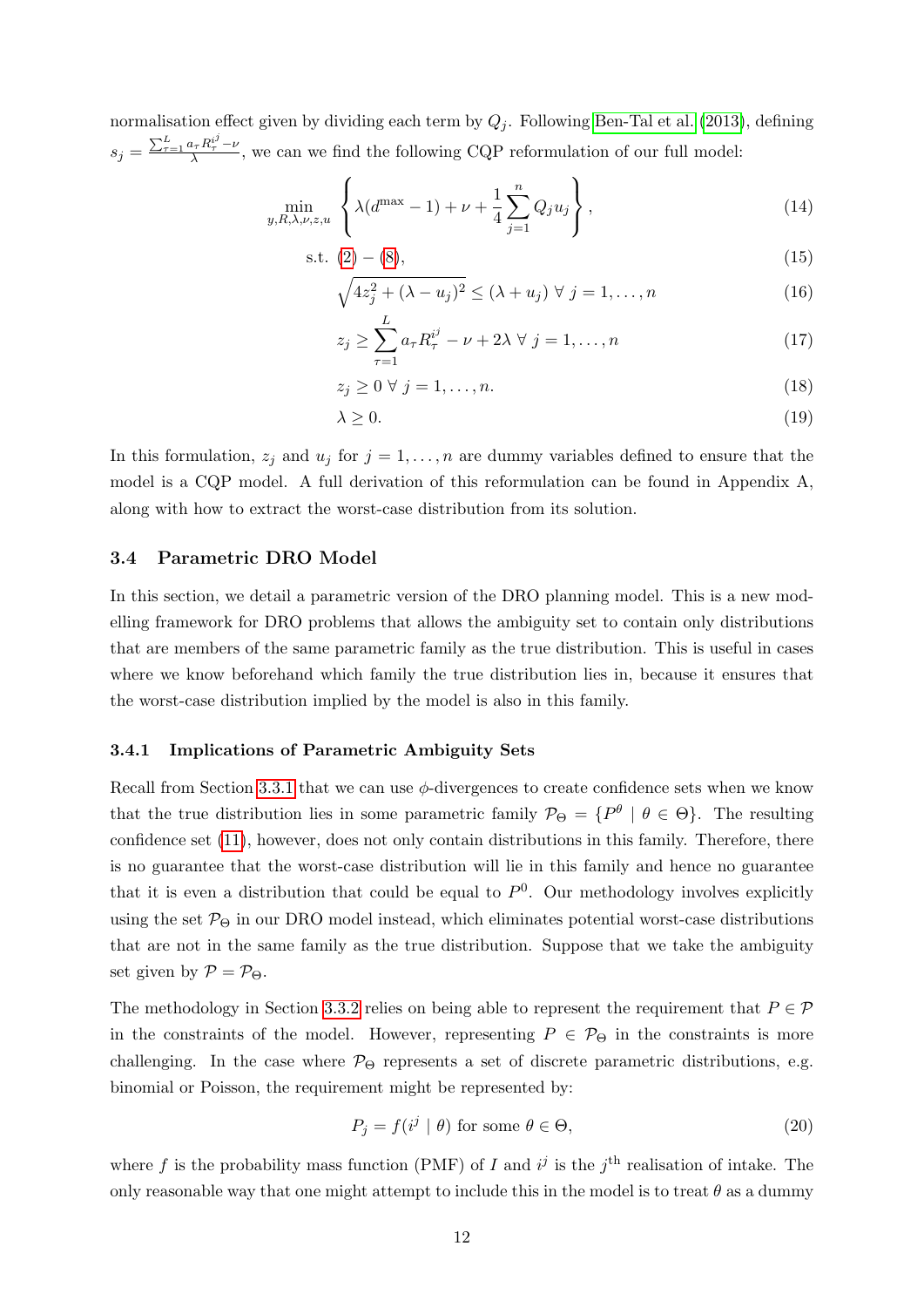normalisation effect given by dividing each term by  $Q_i$ . Following [Ben-Tal et al.](#page-34-9) [\(2013\)](#page-34-9), defining  $s_j = \frac{\sum_{\tau=1}^L a_\tau R_\tau^{i^j} - \nu}{\lambda}$  $\frac{\partial f_{\tau} h_{\tau} - \nu}{\partial \lambda}$ , we can we find the following CQP reformulation of our full model:

$$
\min_{y,R,\lambda,\nu,z,u} \left\{ \lambda(d^{\max} - 1) + \nu + \frac{1}{4} \sum_{j=1}^{n} Q_j u_j \right\},
$$
\n(14)

$$
s.t. (2) - (8), \tag{15}
$$

$$
\sqrt{4z_j^2 + (\lambda - u_j)^2} \le (\lambda + u_j) \ \forall \ j = 1, \dots, n
$$
\n(16)

$$
z_j \ge \sum_{\tau=1}^L a_\tau R_\tau^{i^j} - \nu + 2\lambda \ \forall \ j = 1, \dots, n \tag{17}
$$

$$
z_j \ge 0 \ \forall \ j = 1, \dots, n. \tag{18}
$$

$$
\lambda \ge 0. \tag{19}
$$

In this formulation,  $z_j$  and  $u_j$  for  $j = 1, ..., n$  are dummy variables defined to ensure that the model is a CQP model. A full derivation of this reformulation can be found in Appendix A, along with how to extract the worst-case distribution from its solution.

#### <span id="page-13-0"></span>3.4 Parametric DRO Model

In this section, we detail a parametric version of the DRO planning model. This is a new modelling framework for DRO problems that allows the ambiguity set to contain only distributions that are members of the same parametric family as the true distribution. This is useful in cases where we know beforehand which family the true distribution lies in, because it ensures that the worst-case distribution implied by the model is also in this family.

#### <span id="page-13-1"></span>3.4.1 Implications of Parametric Ambiguity Sets

Recall from Section [3.3.1](#page-11-1) that we can use  $\phi$ -divergences to create confidence sets when we know that the true distribution lies in some parametric family  $\mathcal{P}_{\Theta} = \{P^{\theta} | \theta \in \Theta\}$ . The resulting confidence set [\(11\)](#page-12-4), however, does not only contain distributions in this family. Therefore, there is no guarantee that the worst-case distribution will lie in this family and hence no guarantee that it is even a distribution that could be equal to  $P^0$ . Our methodology involves explicitly using the set  $\mathcal{P}_{\Theta}$  in our DRO model instead, which eliminates potential worst-case distributions that are not in the same family as the true distribution. Suppose that we take the ambiguity set given by  $P = P_{\Theta}$ .

The methodology in Section [3.3.2](#page-12-0) relies on being able to represent the requirement that  $P \in \mathcal{P}$ in the constraints of the model. However, representing  $P \in \mathcal{P}_{\Theta}$  in the constraints is more challenging. In the case where  $\mathcal{P}_{\Theta}$  represents a set of discrete parametric distributions, e.g. binomial or Poisson, the requirement might be represented by:

$$
P_j = f(i^j \mid \theta) \text{ for some } \theta \in \Theta,
$$
\n(20)

where f is the probability mass function (PMF) of I and  $i^j$  is the  $j^{\text{th}}$  realisation of intake. The only reasonable way that one might attempt to include this in the model is to treat  $\theta$  as a dummy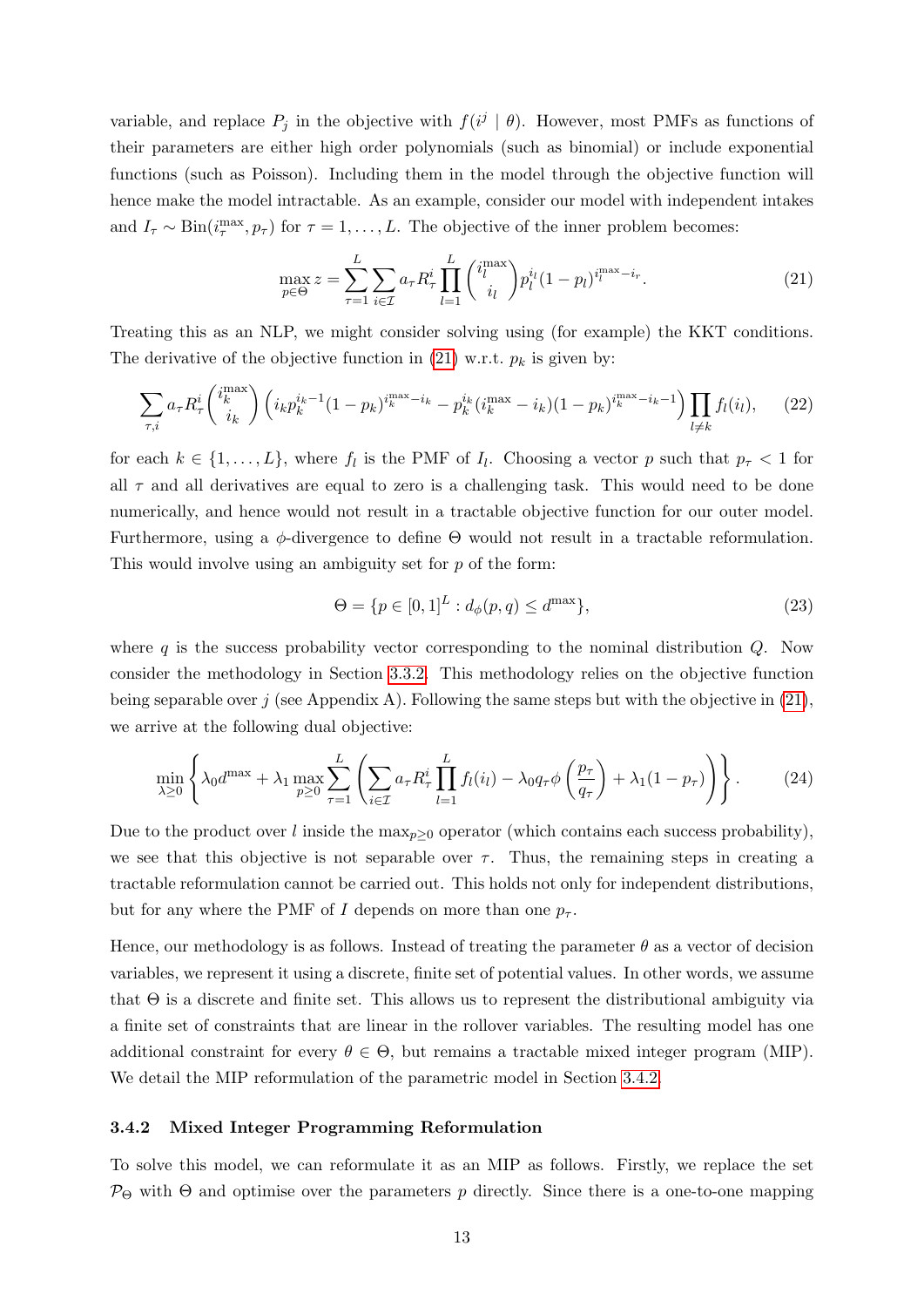variable, and replace  $P_j$  in the objective with  $f(i^j | \theta)$ . However, most PMFs as functions of their parameters are either high order polynomials (such as binomial) or include exponential functions (such as Poisson). Including them in the model through the objective function will hence make the model intractable. As an example, consider our model with independent intakes and  $I_{\tau} \sim \text{Bin}(i_{\tau}^{\text{max}}, p_{\tau})$  for  $\tau = 1, \ldots, L$ . The objective of the inner problem becomes:

<span id="page-14-1"></span>
$$
\max_{p \in \Theta} z = \sum_{\tau=1}^{L} \sum_{i \in \mathcal{I}} a_{\tau} R_{\tau}^{i} \prod_{l=1}^{L} {i_l^{\max} \choose i_l} p_l^{i_l} (1 - p_l)^{i_l^{\max} - i_r}.
$$
 (21)

Treating this as an NLP, we might consider solving using (for example) the KKT conditions. The derivative of the objective function in [\(21\)](#page-14-1) w.r.t.  $p_k$  is given by:

$$
\sum_{\tau,i} a_{\tau} R_{\tau}^{i} \binom{i_{k}^{\max}}{i_{k}} \left( i_{k} p_{k}^{i_{k}-1} (1-p_{k})^{i_{k}^{\max}-i_{k}} - p_{k}^{i_{k}} (i_{k}^{\max}-i_{k}) (1-p_{k})^{i_{k}^{\max}-i_{k}-1} \right) \prod_{l \neq k} f_{l}(i_{l}), \qquad (22)
$$

for each  $k \in \{1, ..., L\}$ , where  $f_l$  is the PMF of  $I_l$ . Choosing a vector p such that  $p_{\tau} < 1$  for all  $\tau$  and all derivatives are equal to zero is a challenging task. This would need to be done numerically, and hence would not result in a tractable objective function for our outer model. Furthermore, using a  $\phi$ -divergence to define  $\Theta$  would not result in a tractable reformulation. This would involve using an ambiguity set for p of the form:

$$
\Theta = \{ p \in [0, 1]^L : d_{\phi}(p, q) \le d^{\max} \},\tag{23}
$$

where q is the success probability vector corresponding to the nominal distribution  $Q$ . Now consider the methodology in Section [3.3.2.](#page-12-0) This methodology relies on the objective function being separable over j (see Appendix A). Following the same steps but with the objective in  $(21)$ , we arrive at the following dual objective:

$$
\min_{\lambda \ge 0} \left\{ \lambda_0 d^{\max} + \lambda_1 \max_{p \ge 0} \sum_{\tau=1}^L \left( \sum_{i \in \mathcal{I}} a_\tau R_\tau^i \prod_{l=1}^L f_l(i_l) - \lambda_0 q_\tau \phi \left( \frac{p_\tau}{q_\tau} \right) + \lambda_1 (1 - p_\tau) \right) \right\}.
$$
 (24)

Due to the product over l inside the  $\max_{p\geq 0}$  operator (which contains each success probability), we see that this objective is not separable over  $\tau$ . Thus, the remaining steps in creating a tractable reformulation cannot be carried out. This holds not only for independent distributions, but for any where the PMF of I depends on more than one  $p_{\tau}$ .

Hence, our methodology is as follows. Instead of treating the parameter  $\theta$  as a vector of decision variables, we represent it using a discrete, finite set of potential values. In other words, we assume that Θ is a discrete and finite set. This allows us to represent the distributional ambiguity via a finite set of constraints that are linear in the rollover variables. The resulting model has one additional constraint for every  $\theta \in \Theta$ , but remains a tractable mixed integer program (MIP). We detail the MIP reformulation of the parametric model in Section [3.4.2.](#page-14-0)

#### <span id="page-14-0"></span>3.4.2 Mixed Integer Programming Reformulation

To solve this model, we can reformulate it as an MIP as follows. Firstly, we replace the set  $\mathcal{P}_{\Theta}$  with  $\Theta$  and optimise over the parameters p directly. Since there is a one-to-one mapping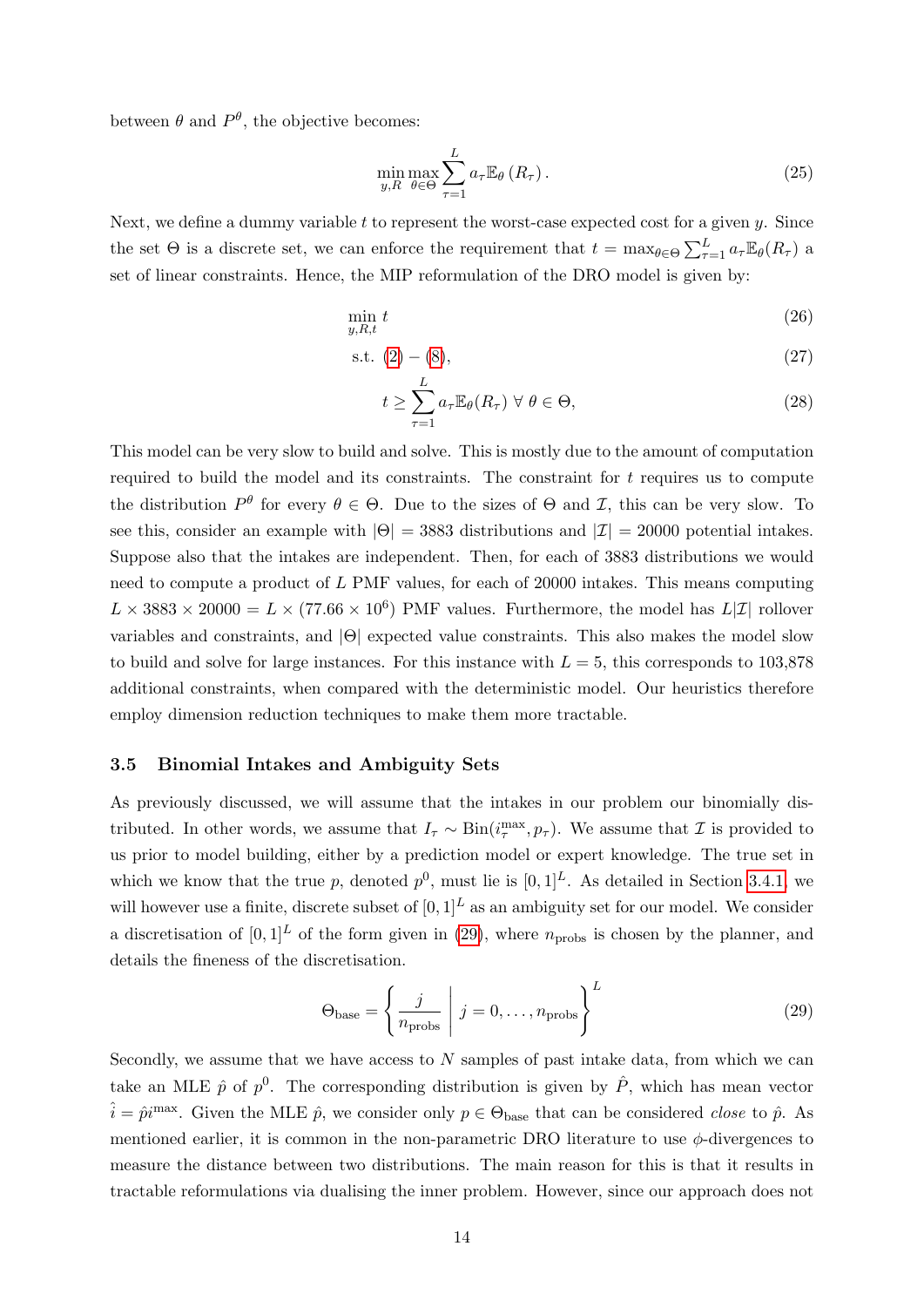between  $\theta$  and  $P^{\theta}$ , the objective becomes:

$$
\min_{y,R} \max_{\theta \in \Theta} \sum_{\tau=1}^{L} a_{\tau} \mathbb{E}_{\theta} \left( R_{\tau} \right). \tag{25}
$$

Next, we define a dummy variable  $t$  to represent the worst-case expected cost for a given  $y$ . Since the set  $\Theta$  is a discrete set, we can enforce the requirement that  $t = \max_{\theta \in \Theta} \sum_{\tau=1}^{L} a_{\tau} \mathbb{E}_{\theta}(R_{\tau})$  a set of linear constraints. Hence, the MIP reformulation of the DRO model is given by:

$$
\min_{y,R,t} t \tag{26}
$$

$$
s.t. (2) - (8), \tag{27}
$$

$$
t \geq \sum_{\tau=1}^{L} a_{\tau} \mathbb{E}_{\theta}(R_{\tau}) \ \forall \ \theta \in \Theta,
$$
\n(28)

This model can be very slow to build and solve. This is mostly due to the amount of computation required to build the model and its constraints. The constraint for  $t$  requires us to compute the distribution  $P^{\theta}$  for every  $\theta \in \Theta$ . Due to the sizes of  $\Theta$  and  $\mathcal{I}$ , this can be very slow. To see this, consider an example with  $|\Theta| = 3883$  distributions and  $|\mathcal{I}| = 20000$  potential intakes. Suppose also that the intakes are independent. Then, for each of 3883 distributions we would need to compute a product of L PMF values, for each of 20000 intakes. This means computing  $L \times 3883 \times 20000 = L \times (77.66 \times 10^6)$  PMF values. Furthermore, the model has  $L[\mathcal{I}]$  rollover variables and constraints, and |Θ| expected value constraints. This also makes the model slow to build and solve for large instances. For this instance with  $L = 5$ , this corresponds to 103,878 additional constraints, when compared with the deterministic model. Our heuristics therefore employ dimension reduction techniques to make them more tractable.

#### <span id="page-15-0"></span>3.5 Binomial Intakes and Ambiguity Sets

As previously discussed, we will assume that the intakes in our problem our binomially distributed. In other words, we assume that  $I_{\tau} \sim Bin(i_{\tau}^{\max}, p_{\tau})$ . We assume that  $\mathcal I$  is provided to us prior to model building, either by a prediction model or expert knowledge. The true set in which we know that the true p, denoted  $p^0$ , must lie is  $[0, 1]^L$ . As detailed in Section [3.4.1,](#page-13-1) we will however use a finite, discrete subset of  $[0, 1]^L$  as an ambiguity set for our model. We consider a discretisation of  $[0, 1]^L$  of the form given in [\(29\)](#page-15-1), where  $n_{\text{probs}}$  is chosen by the planner, and details the fineness of the discretisation.

<span id="page-15-1"></span>
$$
\Theta_{\text{base}} = \left\{ \frac{j}{n_{\text{probs}}} \middle| j = 0, \dots, n_{\text{probs}} \right\}^{L}
$$
\n(29)

Secondly, we assume that we have access to  $N$  samples of past intake data, from which we can take an MLE  $\hat{p}$  of  $p^0$ . The corresponding distribution is given by  $\hat{P}$ , which has mean vector  $\hat{i} = \hat{p}i^{\text{max}}$ . Given the MLE  $\hat{p}$ , we consider only  $p \in \Theta_{\text{base}}$  that can be considered *close* to  $\hat{p}$ . As mentioned earlier, it is common in the non-parametric DRO literature to use  $\phi$ -divergences to measure the distance between two distributions. The main reason for this is that it results in tractable reformulations via dualising the inner problem. However, since our approach does not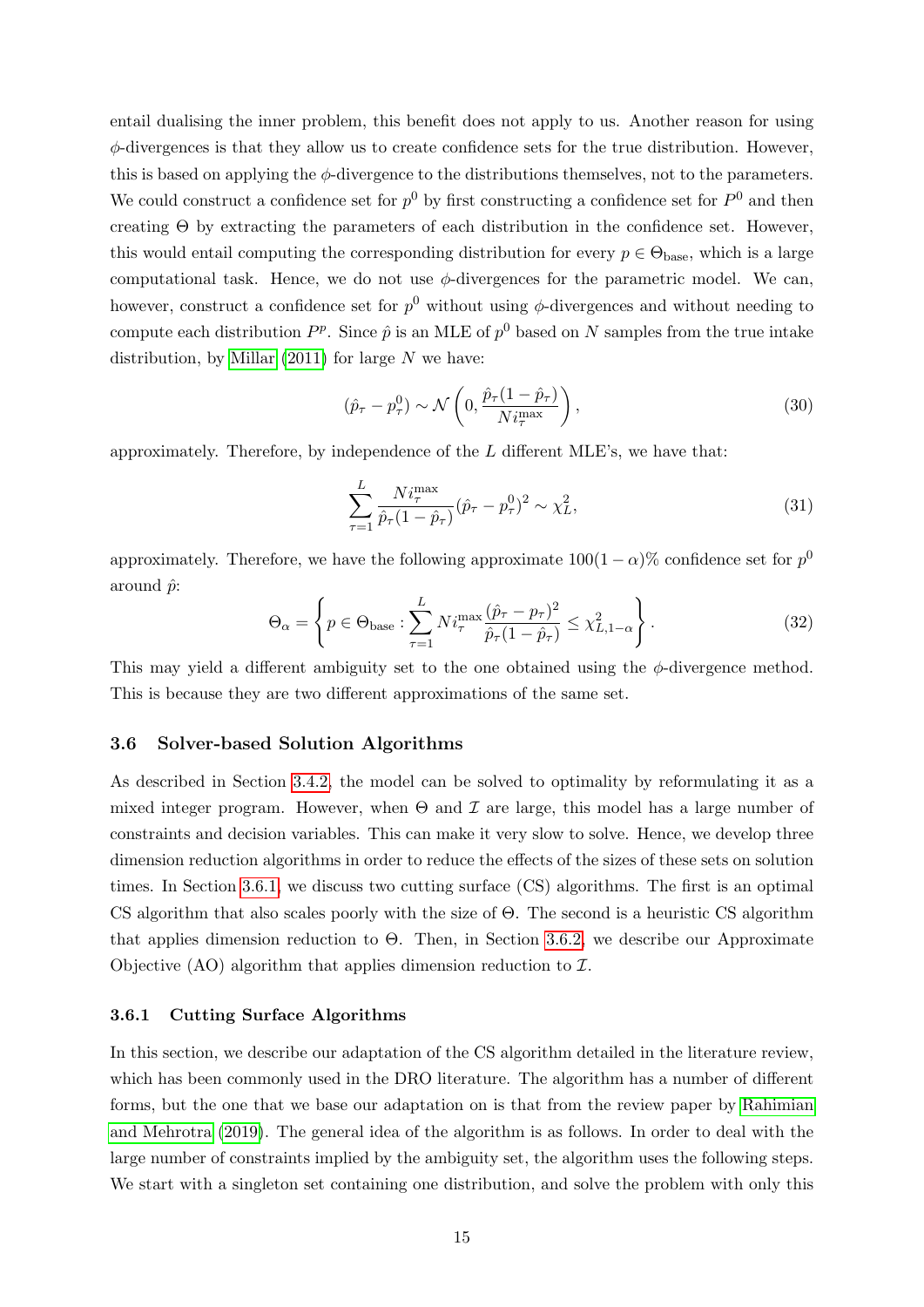entail dualising the inner problem, this benefit does not apply to us. Another reason for using  $\phi$ -divergences is that they allow us to create confidence sets for the true distribution. However, this is based on applying the  $\phi$ -divergence to the distributions themselves, not to the parameters. We could construct a confidence set for  $p^0$  by first constructing a confidence set for  $P^0$  and then creating  $\Theta$  by extracting the parameters of each distribution in the confidence set. However, this would entail computing the corresponding distribution for every  $p \in \Theta_{\text{base}}$ , which is a large computational task. Hence, we do not use  $\phi$ -divergences for the parametric model. We can, however, construct a confidence set for  $p^0$  without using  $\phi$ -divergences and without needing to compute each distribution  $P^p$ . Since  $\hat{p}$  is an MLE of  $p^0$  based on N samples from the true intake distribution, by [Millar](#page-36-13)  $(2011)$  for large N we have:

$$
(\hat{p}_{\tau} - p_{\tau}^{0}) \sim \mathcal{N}\left(0, \frac{\hat{p}_{\tau}(1 - \hat{p}_{\tau})}{Ni_{\tau}^{\max}}\right),
$$
\n(30)

approximately. Therefore, by independence of the L different MLE's, we have that:

$$
\sum_{\tau=1}^{L} \frac{Ni_{\tau}^{\max}}{\hat{p}_{\tau}(1-\hat{p}_{\tau})} (\hat{p}_{\tau} - p_{\tau}^{0})^{2} \sim \chi_{L}^{2},
$$
\n(31)

approximately. Therefore, we have the following approximate  $100(1-\alpha)\%$  confidence set for  $p^0$ around  $\hat{p}$ :

<span id="page-16-2"></span>
$$
\Theta_{\alpha} = \left\{ p \in \Theta_{\text{base}} : \sum_{\tau=1}^{L} N i_{\tau}^{\max} \frac{(\hat{p}_{\tau} - p_{\tau})^2}{\hat{p}_{\tau} (1 - \hat{p}_{\tau})} \leq \chi^2_{L, 1 - \alpha} \right\}.
$$
\n(32)

This may yield a different ambiguity set to the one obtained using the  $\phi$ -divergence method. This is because they are two different approximations of the same set.

#### <span id="page-16-0"></span>3.6 Solver-based Solution Algorithms

As described in Section [3.4.2,](#page-14-0) the model can be solved to optimality by reformulating it as a mixed integer program. However, when  $\Theta$  and  $\mathcal I$  are large, this model has a large number of constraints and decision variables. This can make it very slow to solve. Hence, we develop three dimension reduction algorithms in order to reduce the effects of the sizes of these sets on solution times. In Section [3.6.1,](#page-16-1) we discuss two cutting surface (CS) algorithms. The first is an optimal CS algorithm that also scales poorly with the size of Θ. The second is a heuristic CS algorithm that applies dimension reduction to  $\Theta$ . Then, in Section [3.6.2,](#page-18-0) we describe our Approximate Objective  $(AO)$  algorithm that applies dimension reduction to  $\mathcal{I}$ .

#### <span id="page-16-1"></span>3.6.1 Cutting Surface Algorithms

In this section, we describe our adaptation of the CS algorithm detailed in the literature review, which has been commonly used in the DRO literature. The algorithm has a number of different forms, but the one that we base our adaptation on is that from the review paper by [Rahimian](#page-36-14) [and Mehrotra](#page-36-14) [\(2019\)](#page-36-14). The general idea of the algorithm is as follows. In order to deal with the large number of constraints implied by the ambiguity set, the algorithm uses the following steps. We start with a singleton set containing one distribution, and solve the problem with only this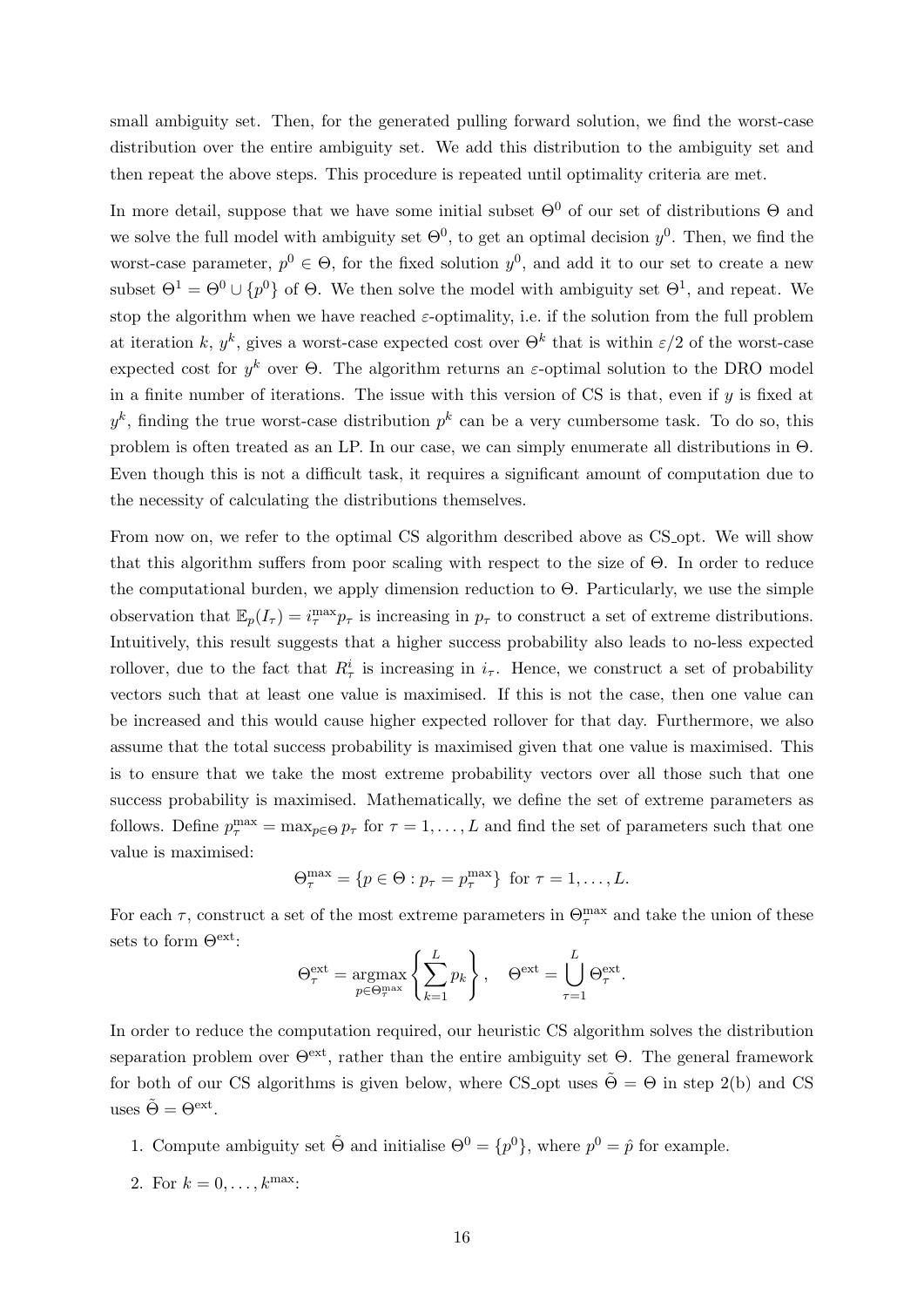small ambiguity set. Then, for the generated pulling forward solution, we find the worst-case distribution over the entire ambiguity set. We add this distribution to the ambiguity set and then repeat the above steps. This procedure is repeated until optimality criteria are met.

In more detail, suppose that we have some initial subset  $\Theta^0$  of our set of distributions  $\Theta$  and we solve the full model with ambiguity set  $\Theta^0$ , to get an optimal decision  $y^0$ . Then, we find the worst-case parameter,  $p^0 \in \Theta$ , for the fixed solution  $y^0$ , and add it to our set to create a new subset  $\Theta^1 = \Theta^0 \cup \{p^0\}$  of  $\Theta$ . We then solve the model with ambiguity set  $\Theta^1$ , and repeat. We stop the algorithm when we have reached  $\varepsilon$ -optimality, i.e. if the solution from the full problem at iteration k,  $y^k$ , gives a worst-case expected cost over  $\Theta^k$  that is within  $\varepsilon/2$  of the worst-case expected cost for  $y^k$  over  $\Theta$ . The algorithm returns an  $\varepsilon$ -optimal solution to the DRO model in a finite number of iterations. The issue with this version of  $CS$  is that, even if  $y$  is fixed at  $y<sup>k</sup>$ , finding the true worst-case distribution  $p<sup>k</sup>$  can be a very cumbersome task. To do so, this problem is often treated as an LP. In our case, we can simply enumerate all distributions in Θ. Even though this is not a difficult task, it requires a significant amount of computation due to the necessity of calculating the distributions themselves.

From now on, we refer to the optimal CS algorithm described above as CS opt. We will show that this algorithm suffers from poor scaling with respect to the size of Θ. In order to reduce the computational burden, we apply dimension reduction to  $\Theta$ . Particularly, we use the simple observation that  $\mathbb{E}_p(I_\tau) = i^{\max}_\tau p_\tau$  is increasing in  $p_\tau$  to construct a set of extreme distributions. Intuitively, this result suggests that a higher success probability also leads to no-less expected rollover, due to the fact that  $R^i_\tau$  is increasing in  $i_\tau$ . Hence, we construct a set of probability vectors such that at least one value is maximised. If this is not the case, then one value can be increased and this would cause higher expected rollover for that day. Furthermore, we also assume that the total success probability is maximised given that one value is maximised. This is to ensure that we take the most extreme probability vectors over all those such that one success probability is maximised. Mathematically, we define the set of extreme parameters as follows. Define  $p_{\tau}^{\max} = \max_{p \in \Theta} p_{\tau}$  for  $\tau = 1, \ldots, L$  and find the set of parameters such that one value is maximised:

$$
\Theta_{\tau}^{\max} = \{ p \in \Theta : p_{\tau} = p_{\tau}^{\max} \} \text{ for } \tau = 1, \dots, L.
$$

For each  $\tau$ , construct a set of the most extreme parameters in  $\Theta_{\tau}^{\max}$  and take the union of these sets to form Θext:

$$
\Theta_{\tau}^{\text{ext}} = \underset{p \in \Theta_{\tau}^{\text{max}}}{\text{argmax}} \left\{ \sum_{k=1}^{L} p_k \right\}, \quad \Theta^{\text{ext}} = \bigcup_{\tau=1}^{L} \Theta_{\tau}^{\text{ext}}.
$$

In order to reduce the computation required, our heuristic CS algorithm solves the distribution separation problem over  $\Theta^{\text{ext}}$ , rather than the entire ambiguity set  $\Theta$ . The general framework for both of our CS algorithms is given below, where CS opt uses  $\tilde{\Theta} = \Theta$  in step 2(b) and CS uses  $\tilde{\Theta} = \Theta^{\text{ext}}$ .

- 1. Compute ambiguity set  $\tilde{\Theta}$  and initialise  $\Theta^0 = \{p^0\}$ , where  $p^0 = \hat{p}$  for example.
- 2. For  $k = 0, ..., k^{\max}$ :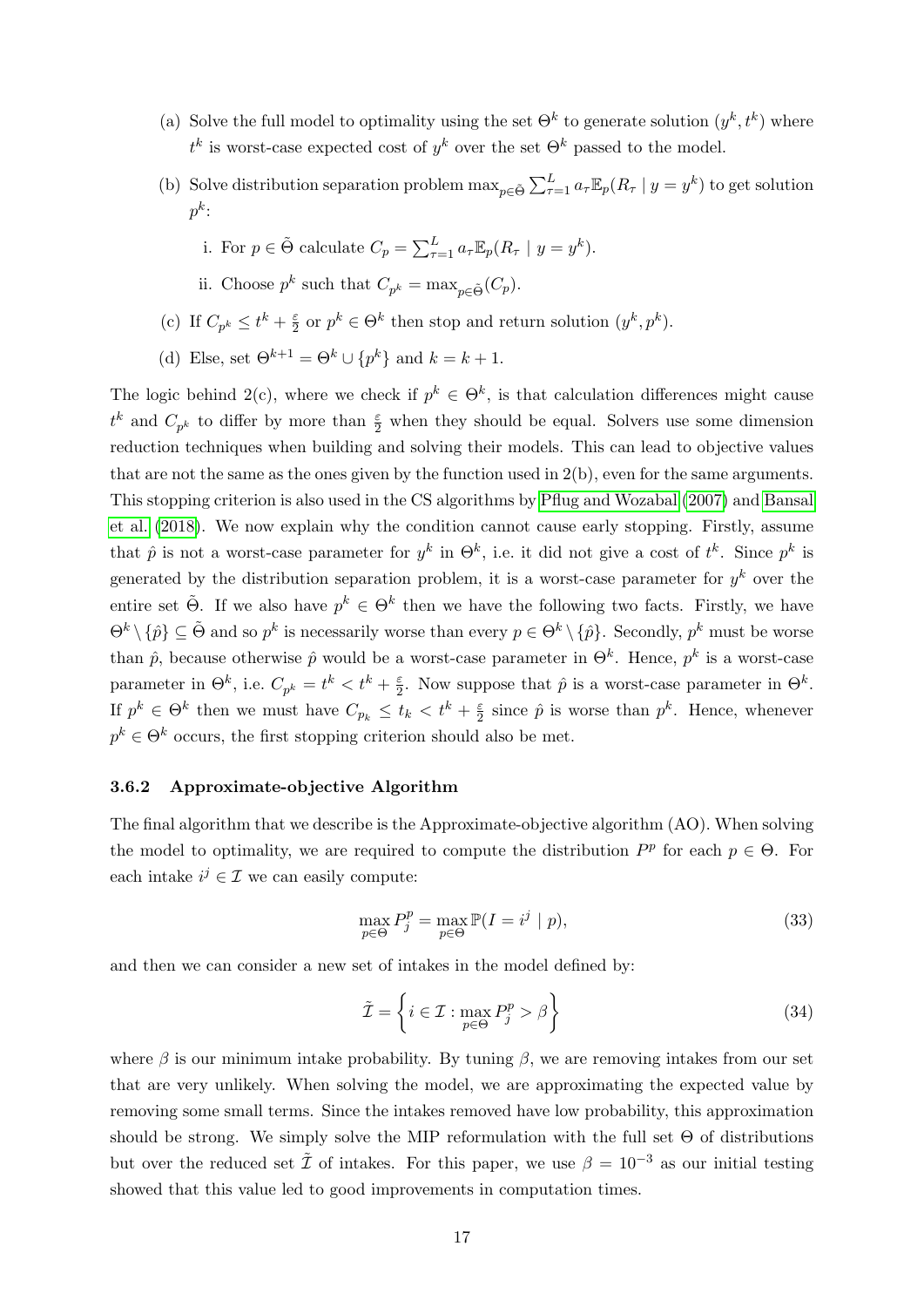- (a) Solve the full model to optimality using the set  $\Theta^k$  to generate solution  $(y^k, t^k)$  where  $t^k$  is worst-case expected cost of  $y^k$  over the set  $\Theta^k$  passed to the model.
- (b) Solve distribution separation problem  $\max_{p \in \tilde{\Theta}} \sum_{\tau=1}^{L} a_{\tau} \mathbb{E}_p(R_{\tau} | y = y^k)$  to get solution  $p^k\colon$ 
	- i. For  $p \in \tilde{\Theta}$  calculate  $C_p = \sum_{\tau=1}^L a_\tau \mathbb{E}_p(R_\tau \mid y = y^k)$ .
	- ii. Choose  $p^k$  such that  $C_{p^k} = \max_{p \in \tilde{\Theta}} (C_p)$ .
- (c) If  $C_{p^k} \leq t^k + \frac{\varepsilon}{2}$  $\frac{\varepsilon}{2}$  or  $p^k \in \Theta^k$  then stop and return solution  $(y^k, p^k)$ .
- (d) Else, set  $\Theta^{k+1} = \Theta^k \cup \{p^k\}$  and  $k = k+1$ .

The logic behind 2(c), where we check if  $p^k \in \Theta^k$ , is that calculation differences might cause  $t^k$  and  $C_{p^k}$  to differ by more than  $\frac{\varepsilon}{2}$  when they should be equal. Solvers use some dimension reduction techniques when building and solving their models. This can lead to objective values that are not the same as the ones given by the function used in 2(b), even for the same arguments. This stopping criterion is also used in the CS algorithms by [Pflug and Wozabal](#page-36-8) [\(2007\)](#page-36-8) and [Bansal](#page-34-13) [et al.](#page-34-13) [\(2018\)](#page-34-13). We now explain why the condition cannot cause early stopping. Firstly, assume that  $\hat{p}$  is not a worst-case parameter for  $y^k$  in  $\Theta^k$ , i.e. it did not give a cost of  $t^k$ . Since  $p^k$  is generated by the distribution separation problem, it is a worst-case parameter for  $y^k$  over the entire set  $\tilde{\Theta}$ . If we also have  $p^k \in \Theta^k$  then we have the following two facts. Firstly, we have  $\Theta^k \setminus {\hat{p}} \subseteq \tilde{\Theta}$  and so  $p^k$  is necessarily worse than every  $p \in \Theta^k \setminus {\hat{p}}$ . Secondly,  $p^k$  must be worse than  $\hat{p}$ , because otherwise  $\hat{p}$  would be a worst-case parameter in  $\Theta^k$ . Hence,  $p^k$  is a worst-case parameter in  $\Theta^k$ , i.e.  $C_{p^k} = t^k < t^k + \frac{\varepsilon}{2}$  $\frac{\varepsilon}{2}$ . Now suppose that  $\hat{p}$  is a worst-case parameter in  $\Theta^k$ . If  $p^k \in \Theta^k$  then we must have  $C_{p_k} \leq t_k < t^k + \frac{\varepsilon}{2}$  $\frac{\varepsilon}{2}$  since  $\hat{p}$  is worse than  $p^k$ . Hence, whenever  $p^k \in \Theta^k$  occurs, the first stopping criterion should also be met.

#### <span id="page-18-0"></span>3.6.2 Approximate-objective Algorithm

The final algorithm that we describe is the Approximate-objective algorithm (AO). When solving the model to optimality, we are required to compute the distribution  $P^p$  for each  $p \in \Theta$ . For each intake  $i^j \in \mathcal{I}$  we can easily compute:

$$
\max_{p \in \Theta} P_j^p = \max_{p \in \Theta} \mathbb{P}(I = i^j | p),\tag{33}
$$

and then we can consider a new set of intakes in the model defined by:

$$
\tilde{\mathcal{I}} = \left\{ i \in \mathcal{I} : \max_{p \in \Theta} P_j^p > \beta \right\} \tag{34}
$$

where  $\beta$  is our minimum intake probability. By tuning  $\beta$ , we are removing intakes from our set that are very unlikely. When solving the model, we are approximating the expected value by removing some small terms. Since the intakes removed have low probability, this approximation should be strong. We simply solve the MIP reformulation with the full set  $\Theta$  of distributions but over the reduced set  $\tilde{\mathcal{I}}$  of intakes. For this paper, we use  $\beta = 10^{-3}$  as our initial testing showed that this value led to good improvements in computation times.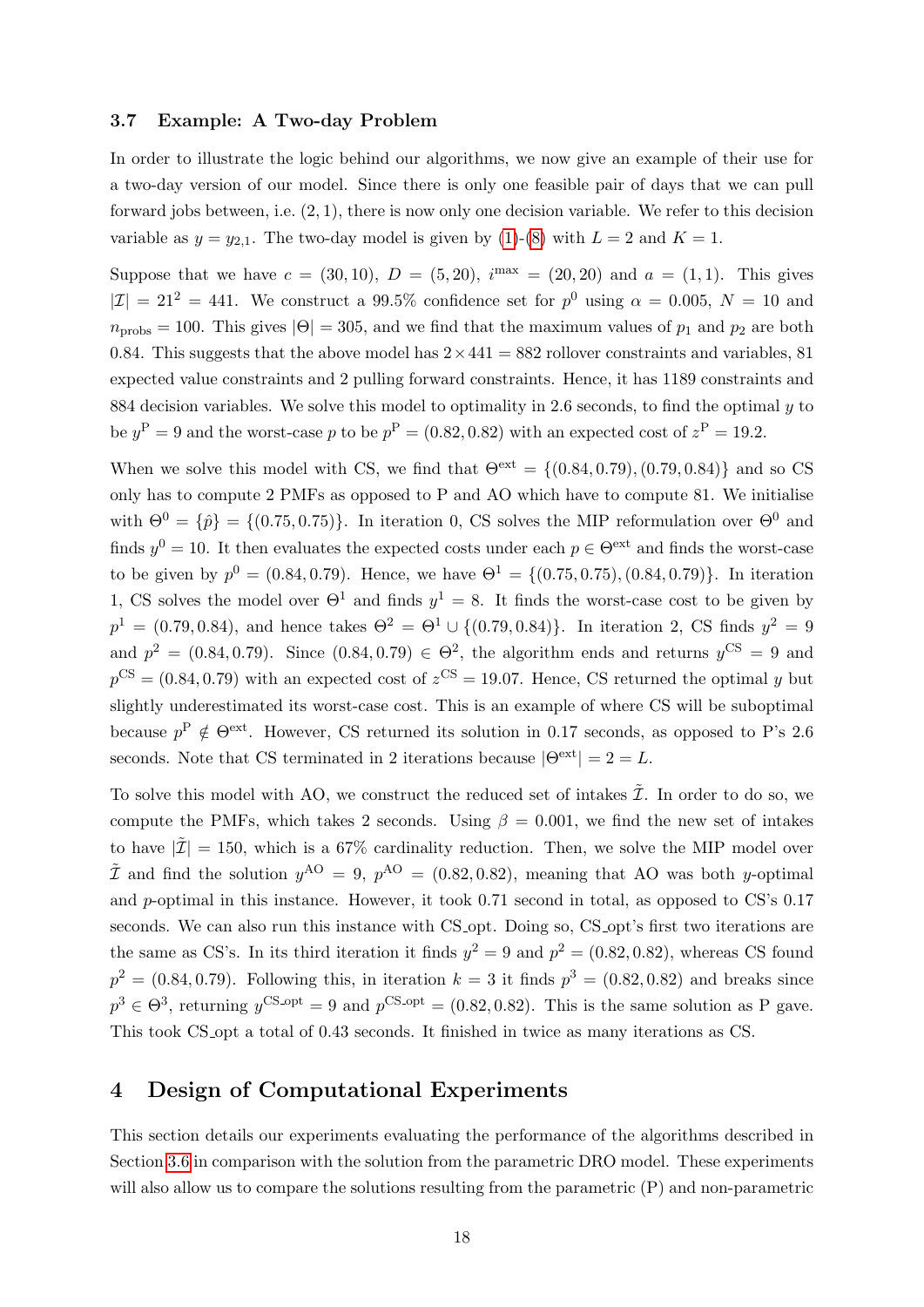#### <span id="page-19-0"></span>3.7 Example: A Two-day Problem

In order to illustrate the logic behind our algorithms, we now give an example of their use for a two-day version of our model. Since there is only one feasible pair of days that we can pull forward jobs between, i.e. (2, 1), there is now only one decision variable. We refer to this decision variable as  $y = y_{2,1}$ . The two-day model is given by [\(1\)](#page-10-2)-[\(8\)](#page-11-2) with  $L = 2$  and  $K = 1$ .

Suppose that we have  $c = (30, 10)$ ,  $D = (5, 20)$ ,  $i^{max} = (20, 20)$  and  $a = (1, 1)$ . This gives  $|\mathcal{I}| = 21^2 = 441$ . We construct a 99.5% confidence set for  $p^0$  using  $\alpha = 0.005$ ,  $N = 10$  and  $n_{\text{probs}} = 100$ . This gives  $|\Theta| = 305$ , and we find that the maximum values of  $p_1$  and  $p_2$  are both 0.84. This suggests that the above model has  $2 \times 441 = 882$  rollover constraints and variables, 81 expected value constraints and 2 pulling forward constraints. Hence, it has 1189 constraints and 884 decision variables. We solve this model to optimality in 2.6 seconds, to find the optimal  $\eta$  to be  $y^P = 9$  and the worst-case p to be  $p^P = (0.82, 0.82)$  with an expected cost of  $z^P = 19.2$ .

When we solve this model with CS, we find that  $\Theta^{\text{ext}} = \{(0.84, 0.79), (0.79, 0.84)\}\$  and so CS only has to compute 2 PMFs as opposed to P and AO which have to compute 81. We initialise with  $\Theta^0 = {\hat{p}} = {(0.75, 0.75)}$ . In iteration 0, CS solves the MIP reformulation over  $\Theta^0$  and finds  $y^0 = 10$ . It then evaluates the expected costs under each  $p \in \Theta^{\text{ext}}$  and finds the worst-case to be given by  $p^0 = (0.84, 0.79)$ . Hence, we have  $\Theta^1 = \{(0.75, 0.75), (0.84, 0.79)\}$ . In iteration 1, CS solves the model over  $\Theta^1$  and finds  $y^1 = 8$ . It finds the worst-case cost to be given by  $p^{1} = (0.79, 0.84)$ , and hence takes  $\Theta^{2} = \Theta^{1} \cup \{(0.79, 0.84)\}\$ . In iteration 2, CS finds  $y^{2} = 9$ and  $p^2 = (0.84, 0.79)$ . Since  $(0.84, 0.79) \in \Theta^2$ , the algorithm ends and returns  $y^{\text{CS}} = 9$  and  $p^{\text{CS}} = (0.84, 0.79)$  with an expected cost of  $z^{\text{CS}} = 19.07$ . Hence, CS returned the optimal y but slightly underestimated its worst-case cost. This is an example of where CS will be suboptimal because  $p^{\rm P} \notin \Theta^{\rm ext}$ . However, CS returned its solution in 0.17 seconds, as opposed to P's 2.6 seconds. Note that CS terminated in 2 iterations because  $|\Theta^{\text{ext}}| = 2 = L$ .

To solve this model with AO, we construct the reduced set of intakes  $\tilde{\mathcal{I}}$ . In order to do so, we compute the PMFs, which takes 2 seconds. Using  $\beta = 0.001$ , we find the new set of intakes to have  $|\mathcal{I}| = 150$ , which is a 67% cardinality reduction. Then, we solve the MIP model over  $\tilde{\mathcal{I}}$  and find the solution  $y^{AO} = 9$ ,  $p^{AO} = (0.82, 0.82)$ , meaning that AO was both y-optimal and p-optimal in this instance. However, it took 0.71 second in total, as opposed to CS's 0.17 seconds. We can also run this instance with CS<sub>-opt</sub>. Doing so, CS<sub>-opt</sub>'s first two iterations are the same as CS's. In its third iteration it finds  $y^2 = 9$  and  $p^2 = (0.82, 0.82)$ , whereas CS found  $p^2 = (0.84, 0.79)$ . Following this, in iteration  $k = 3$  it finds  $p^3 = (0.82, 0.82)$  and breaks since  $p^3 \in \Theta^3$ , returning  $y^{\text{CS-opt}} = 9$  and  $p^{\text{CS-opt}} = (0.82, 0.82)$ . This is the same solution as P gave. This took CS opt a total of 0.43 seconds. It finished in twice as many iterations as CS.

## <span id="page-19-1"></span>4 Design of Computational Experiments

This section details our experiments evaluating the performance of the algorithms described in Section [3.6](#page-16-0) in comparison with the solution from the parametric DRO model. These experiments will also allow us to compare the solutions resulting from the parametric  $(P)$  and non-parametric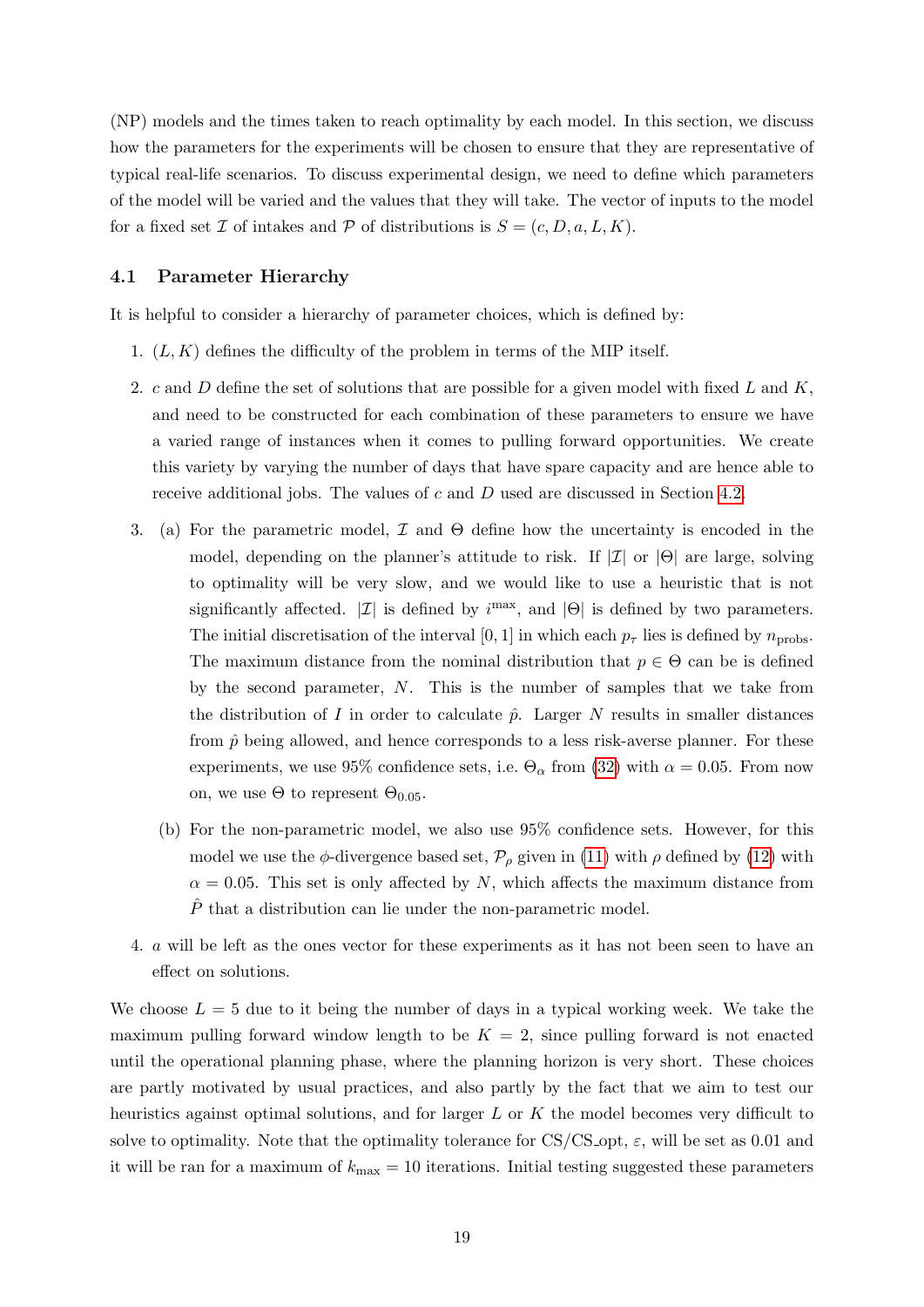(NP) models and the times taken to reach optimality by each model. In this section, we discuss how the parameters for the experiments will be chosen to ensure that they are representative of typical real-life scenarios. To discuss experimental design, we need to define which parameters of the model will be varied and the values that they will take. The vector of inputs to the model for a fixed set Z of intakes and P of distributions is  $S = (c, D, a, L, K)$ .

#### <span id="page-20-0"></span>4.1 Parameter Hierarchy

It is helpful to consider a hierarchy of parameter choices, which is defined by:

- 1.  $(L, K)$  defines the difficulty of the problem in terms of the MIP itself.
- 2. c and D define the set of solutions that are possible for a given model with fixed L and K, and need to be constructed for each combination of these parameters to ensure we have a varied range of instances when it comes to pulling forward opportunities. We create this variety by varying the number of days that have spare capacity and are hence able to receive additional jobs. The values of c and D used are discussed in Section [4.2.](#page-21-0)
- 3. (a) For the parametric model,  $\mathcal I$  and  $\Theta$  define how the uncertainty is encoded in the model, depending on the planner's attitude to risk. If  $|\mathcal{I}|$  or  $|\Theta|$  are large, solving to optimality will be very slow, and we would like to use a heuristic that is not significantly affected.  $|\mathcal{I}|$  is defined by  $i^{\text{max}}$ , and  $|\Theta|$  is defined by two parameters. The initial discretisation of the interval [0, 1] in which each  $p_{\tau}$  lies is defined by  $n_{\text{probs}}$ . The maximum distance from the nominal distribution that  $p \in \Theta$  can be is defined by the second parameter, N. This is the number of samples that we take from the distribution of I in order to calculate  $\hat{p}$ . Larger N results in smaller distances from  $\hat{p}$  being allowed, and hence corresponds to a less risk-averse planner. For these experiments, we use 95% confidence sets, i.e.  $\Theta_{\alpha}$  from [\(32\)](#page-16-2) with  $\alpha = 0.05$ . From now on, we use  $\Theta$  to represent  $\Theta_{0.05}$ .
	- (b) For the non-parametric model, we also use 95% confidence sets. However, for this model we use the  $\phi$ -divergence based set,  $\mathcal{P}_{\rho}$  given in [\(11\)](#page-12-4) with  $\rho$  defined by [\(12\)](#page-12-2) with  $\alpha = 0.05$ . This set is only affected by N, which affects the maximum distance from  $\hat{P}$  that a distribution can lie under the non-parametric model.
- 4. a will be left as the ones vector for these experiments as it has not been seen to have an effect on solutions.

We choose  $L = 5$  due to it being the number of days in a typical working week. We take the maximum pulling forward window length to be  $K = 2$ , since pulling forward is not enacted until the operational planning phase, where the planning horizon is very short. These choices are partly motivated by usual practices, and also partly by the fact that we aim to test our heuristics against optimal solutions, and for larger L or K the model becomes very difficult to solve to optimality. Note that the optimality tolerance for  $CS/CS$ -opt,  $\varepsilon$ , will be set as 0.01 and it will be ran for a maximum of  $k_{\text{max}} = 10$  iterations. Initial testing suggested these parameters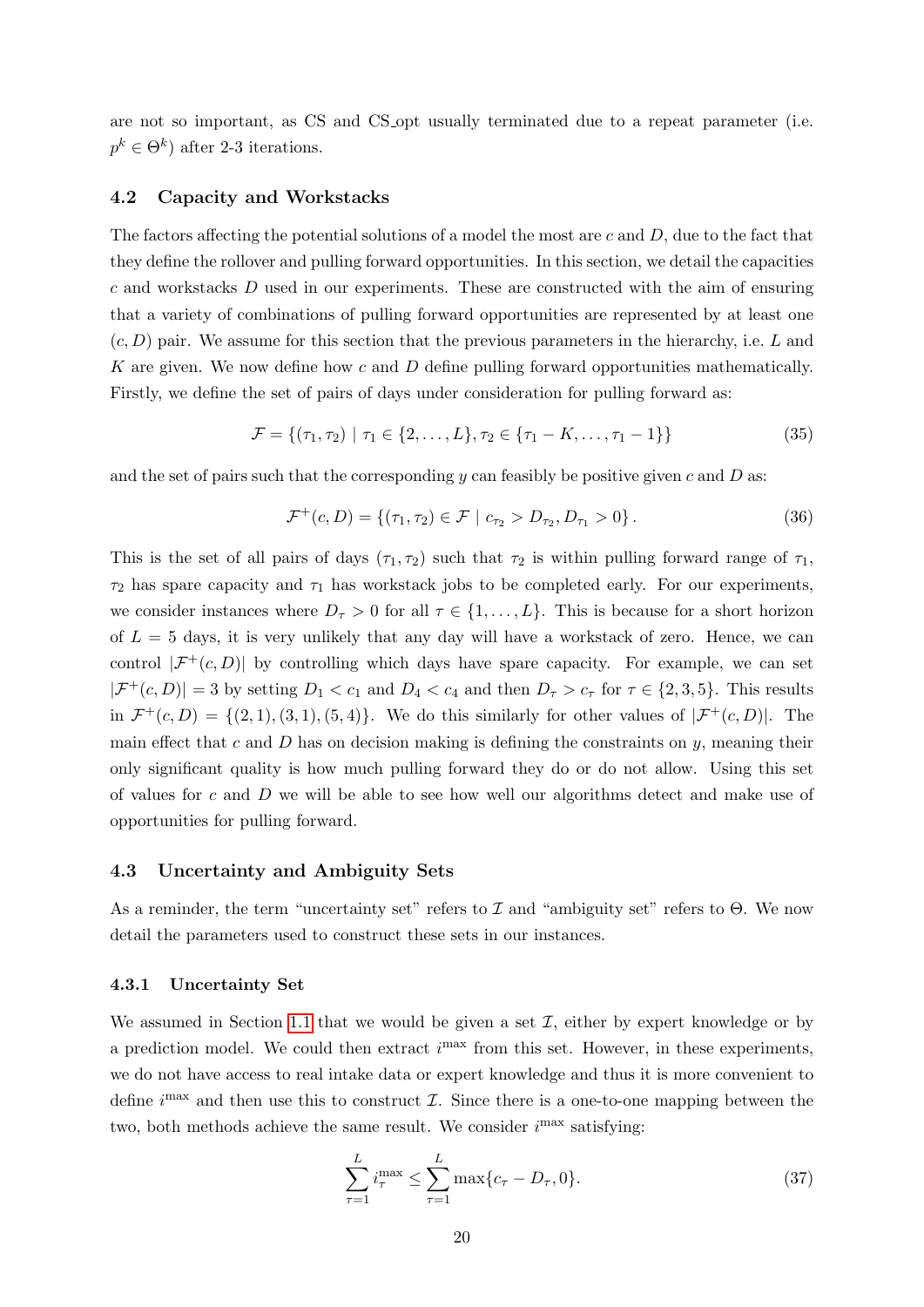are not so important, as CS and CS opt usually terminated due to a repeat parameter (i.e.  $p^k \in \Theta^k$ ) after 2-3 iterations.

#### <span id="page-21-0"></span>4.2 Capacity and Workstacks

The factors affecting the potential solutions of a model the most are c and  $D$ , due to the fact that they define the rollover and pulling forward opportunities. In this section, we detail the capacities c and workstacks D used in our experiments. These are constructed with the aim of ensuring that a variety of combinations of pulling forward opportunities are represented by at least one  $(c, D)$  pair. We assume for this section that the previous parameters in the hierarchy, i.e. L and K are given. We now define how c and  $D$  define pulling forward opportunities mathematically. Firstly, we define the set of pairs of days under consideration for pulling forward as:

$$
\mathcal{F} = \{ (\tau_1, \tau_2) \mid \tau_1 \in \{2, \dots, L\}, \tau_2 \in \{ \tau_1 - K, \dots, \tau_1 - 1 \} \}
$$
\n(35)

and the set of pairs such that the corresponding y can feasibly be positive given c and  $D$  as:

$$
\mathcal{F}^+(c,D) = \{ (\tau_1, \tau_2) \in \mathcal{F} \mid c_{\tau_2} > D_{\tau_2}, D_{\tau_1} > 0 \}.
$$
 (36)

This is the set of all pairs of days  $(\tau_1, \tau_2)$  such that  $\tau_2$  is within pulling forward range of  $\tau_1$ ,  $\tau_2$  has spare capacity and  $\tau_1$  has workstack jobs to be completed early. For our experiments, we consider instances where  $D_{\tau} > 0$  for all  $\tau \in \{1, \ldots, L\}$ . This is because for a short horizon of  $L = 5$  days, it is very unlikely that any day will have a workstack of zero. Hence, we can control  $|\mathcal{F}^+(c,D)|$  by controlling which days have spare capacity. For example, we can set  $|\mathcal{F}^+(c,D)|=3$  by setting  $D_1 < c_1$  and  $D_4 < c_4$  and then  $D_\tau > c_\tau$  for  $\tau \in \{2,3,5\}$ . This results in  $\mathcal{F}^+(c,D) = \{(2,1), (3,1), (5,4)\}.$  We do this similarly for other values of  $|\mathcal{F}^+(c,D)|$ . The main effect that c and D has on decision making is defining the constraints on  $y$ , meaning their only significant quality is how much pulling forward they do or do not allow. Using this set of values for c and D we will be able to see how well our algorithms detect and make use of opportunities for pulling forward.

#### <span id="page-21-1"></span>4.3 Uncertainty and Ambiguity Sets

As a reminder, the term "uncertainty set" refers to  $\mathcal I$  and "ambiguity set" refers to  $\Theta$ . We now detail the parameters used to construct these sets in our instances.

#### <span id="page-21-2"></span>4.3.1 Uncertainty Set

We assumed in Section [1.1](#page-3-0) that we would be given a set  $\mathcal I$ , either by expert knowledge or by a prediction model. We could then extract  $i<sup>max</sup>$  from this set. However, in these experiments, we do not have access to real intake data or expert knowledge and thus it is more convenient to define  $i^{\max}$  and then use this to construct  $\mathcal{I}$ . Since there is a one-to-one mapping between the two, both methods achieve the same result. We consider  $i<sup>max</sup>$  satisfying:

<span id="page-21-3"></span>
$$
\sum_{\tau=1}^{L} i_{\tau}^{\max} \le \sum_{\tau=1}^{L} \max\{c_{\tau} - D_{\tau}, 0\}.
$$
 (37)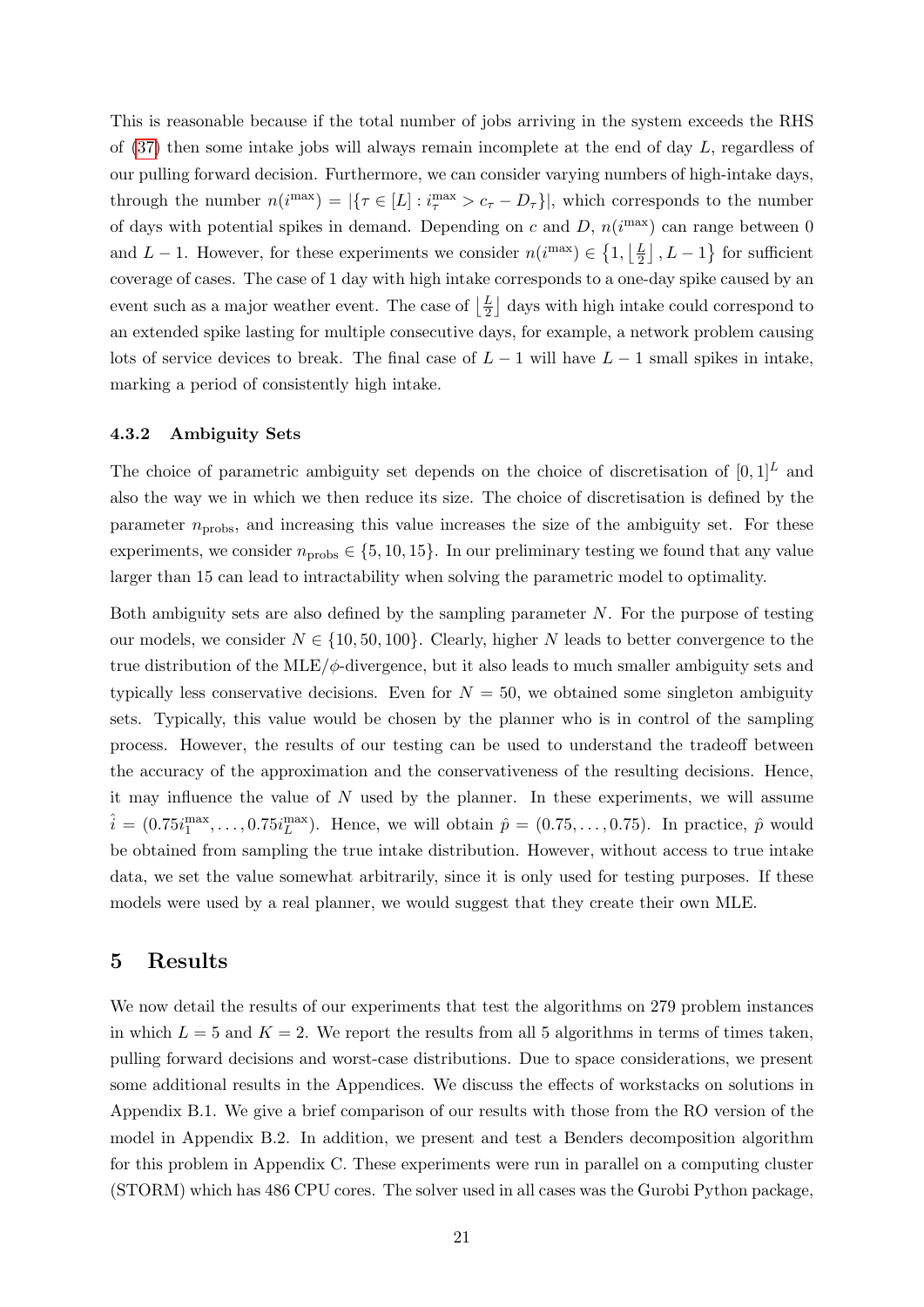This is reasonable because if the total number of jobs arriving in the system exceeds the RHS of [\(37\)](#page-21-3) then some intake jobs will always remain incomplete at the end of day L, regardless of our pulling forward decision. Furthermore, we can consider varying numbers of high-intake days, through the number  $n(i^{\max}) = |\{\tau \in [L] : i_{\tau}^{\max} > c_{\tau} - D_{\tau}\}|$ , which corresponds to the number of days with potential spikes in demand. Depending on c and  $D$ ,  $n(i^{max})$  can range between 0 and L – 1. However, for these experiments we consider  $n(i^{\max}) \in \{1, \lfloor \frac{L}{2} \rfloor\}$  $\left[\frac{L}{2}\right]$ ,  $L-1$ } for sufficient coverage of cases. The case of 1 day with high intake corresponds to a one-day spike caused by an event such as a major weather event. The case of  $\frac{L}{2}$  $\frac{L}{2}$  days with high intake could correspond to an extended spike lasting for multiple consecutive days, for example, a network problem causing lots of service devices to break. The final case of  $L - 1$  will have  $L - 1$  small spikes in intake, marking a period of consistently high intake.

#### <span id="page-22-0"></span>4.3.2 Ambiguity Sets

The choice of parametric ambiguity set depends on the choice of discretisation of  $[0, 1]^L$  and also the way we in which we then reduce its size. The choice of discretisation is defined by the parameter  $n_{\text{probs}}$ , and increasing this value increases the size of the ambiguity set. For these experiments, we consider  $n_{\text{probs}} \in \{5, 10, 15\}$ . In our preliminary testing we found that any value larger than 15 can lead to intractability when solving the parametric model to optimality.

Both ambiguity sets are also defined by the sampling parameter  $N$ . For the purpose of testing our models, we consider  $N \in \{10, 50, 100\}$ . Clearly, higher N leads to better convergence to the true distribution of the MLE/ $\phi$ -divergence, but it also leads to much smaller ambiguity sets and typically less conservative decisions. Even for  $N = 50$ , we obtained some singleton ambiguity sets. Typically, this value would be chosen by the planner who is in control of the sampling process. However, the results of our testing can be used to understand the tradeoff between the accuracy of the approximation and the conservativeness of the resulting decisions. Hence, it may influence the value of  $N$  used by the planner. In these experiments, we will assume  $\hat{i} = (0.75i_1^{\text{max}}, \dots, 0.75i_L^{\text{max}})$ . Hence, we will obtain  $\hat{p} = (0.75, \dots, 0.75)$ . In practice,  $\hat{p}$  would be obtained from sampling the true intake distribution. However, without access to true intake data, we set the value somewhat arbitrarily, since it is only used for testing purposes. If these models were used by a real planner, we would suggest that they create their own MLE.

### <span id="page-22-1"></span>5 Results

We now detail the results of our experiments that test the algorithms on 279 problem instances in which  $L = 5$  and  $K = 2$ . We report the results from all 5 algorithms in terms of times taken, pulling forward decisions and worst-case distributions. Due to space considerations, we present some additional results in the Appendices. We discuss the effects of workstacks on solutions in Appendix B.1. We give a brief comparison of our results with those from the RO version of the model in Appendix B.2. In addition, we present and test a Benders decomposition algorithm for this problem in Appendix C. These experiments were run in parallel on a computing cluster (STORM) which has 486 CPU cores. The solver used in all cases was the Gurobi Python package,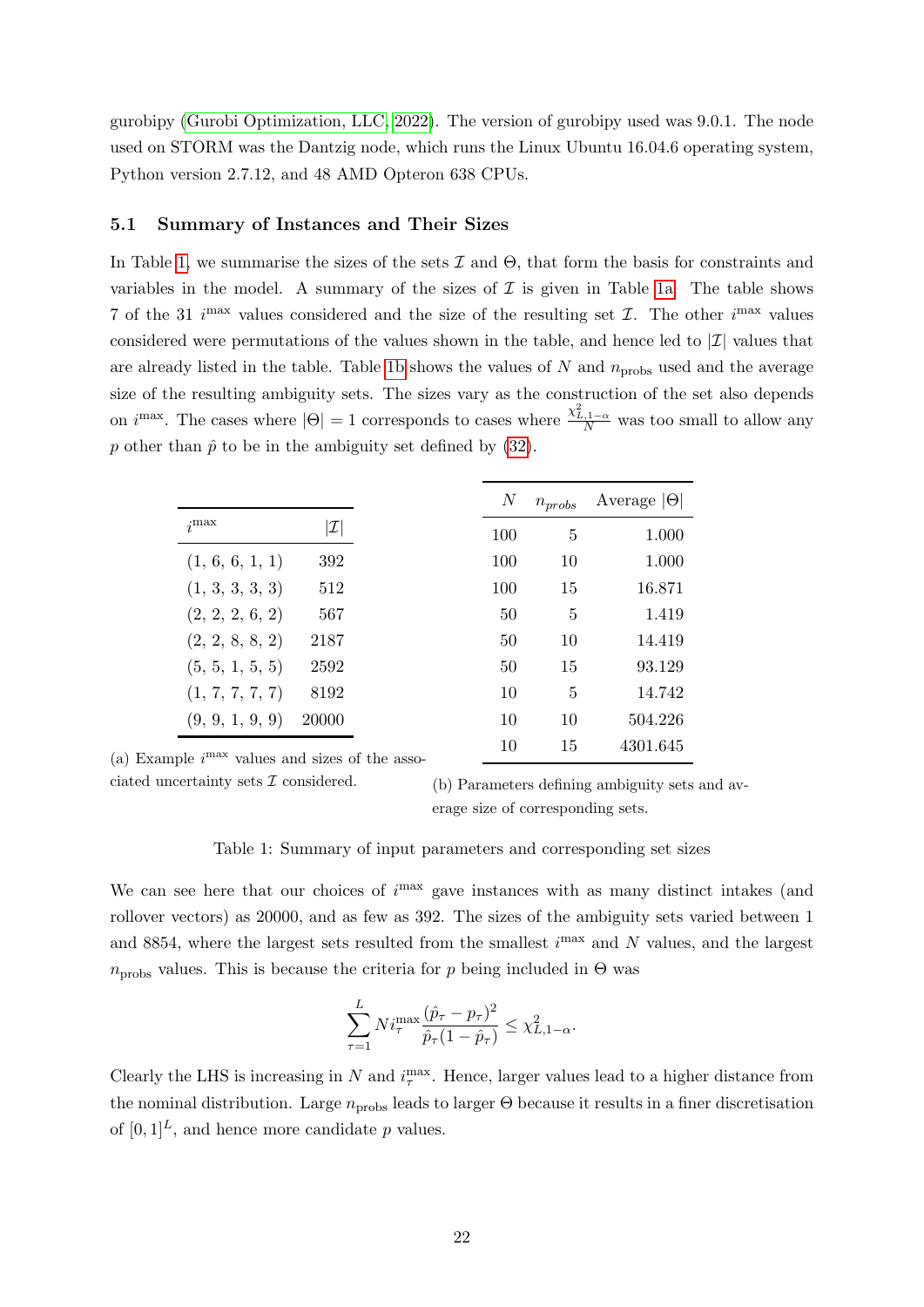gurobipy [\(Gurobi Optimization, LLC, 2022\)](#page-34-14). The version of gurobipy used was 9.0.1. The node used on STORM was the Dantzig node, which runs the Linux Ubuntu 16.04.6 operating system, Python version 2.7.12, and 48 AMD Opteron 638 CPUs.

#### <span id="page-23-0"></span>5.1 Summary of Instances and Their Sizes

In Table [1,](#page-23-1) we summarise the sizes of the sets  $\mathcal I$  and  $\Theta$ , that form the basis for constraints and variables in the model. A summary of the sizes of  $\mathcal I$  is given in Table [1a.](#page-23-1) The table shows 7 of the 31 i<sup>max</sup> values considered and the size of the resulting set  $\mathcal{I}$ . The other i<sup>max</sup> values considered were permutations of the values shown in the table, and hence led to  $|\mathcal{I}|$  values that are already listed in the table. Table [1b](#page-23-1) shows the values of  $N$  and  $n_{\text{probs}}$  used and the average size of the resulting ambiguity sets. The sizes vary as the construction of the set also depends on  $i^{\max}$ . The cases where  $|\Theta| = 1$  corresponds to cases where  $\frac{\chi^2_{L,1-\alpha}}{N}$  was too small to allow any p other than  $\hat{p}$  to be in the ambiguity set defined by [\(32\)](#page-16-2).

<span id="page-23-1"></span>

|                                              |                 | N   | $n_{probs}$ | Average $ \Theta $ |
|----------------------------------------------|-----------------|-----|-------------|--------------------|
| $j$ max                                      | $ \mathcal{I} $ | 100 | 5           | 1.000              |
| (1, 6, 6, 1, 1)                              | 392             | 100 | 10          | 1.000              |
| (1, 3, 3, 3, 3)                              | 512             | 100 | 15          | 16.871             |
| (2, 2, 2, 6, 2)                              | 567             | 50  | 5           | 1.419              |
| (2, 2, 8, 8, 2)                              | 2187            | 50  | 10          | 14.419             |
| (5, 5, 1, 5, 5)                              | 2592            | 50  | 15          | 93.129             |
| (1, 7, 7, 7, 7)                              | 8192            | 10  | 5           | 14.742             |
| (9, 9, 1, 9, 9)                              | 20000           | 10  | 10          | 504.226            |
| nle <i>i</i> max reluce and give of the ages |                 | 10  | 15          | 4301.645           |

(a) Example i values and sizes of the asso-

ciated uncertainty sets  $\mathcal I$  considered.

(b) Parameters defining ambiguity sets and average size of corresponding sets.

#### Table 1: Summary of input parameters and corresponding set sizes

We can see here that our choices of  $i<sup>max</sup>$  gave instances with as many distinct intakes (and rollover vectors) as 20000, and as few as 392. The sizes of the ambiguity sets varied between 1 and 8854, where the largest sets resulted from the smallest  $i^{\text{max}}$  and N values, and the largest  $n_{\text{probs}}$  values. This is because the criteria for p being included in  $\Theta$  was

$$
\sum_{\tau=1}^{L} N i_{\tau}^{\max} \frac{(\hat{p}_{\tau} - p_{\tau})^2}{\hat{p}_{\tau} (1 - \hat{p}_{\tau})} \leq \chi^2_{L, 1-\alpha}.
$$

Clearly the LHS is increasing in N and  $i_{\tau}^{\max}$ . Hence, larger values lead to a higher distance from the nominal distribution. Large  $n_{\text{probs}}$  leads to larger  $\Theta$  because it results in a finer discretisation of  $[0, 1]^L$ , and hence more candidate p values.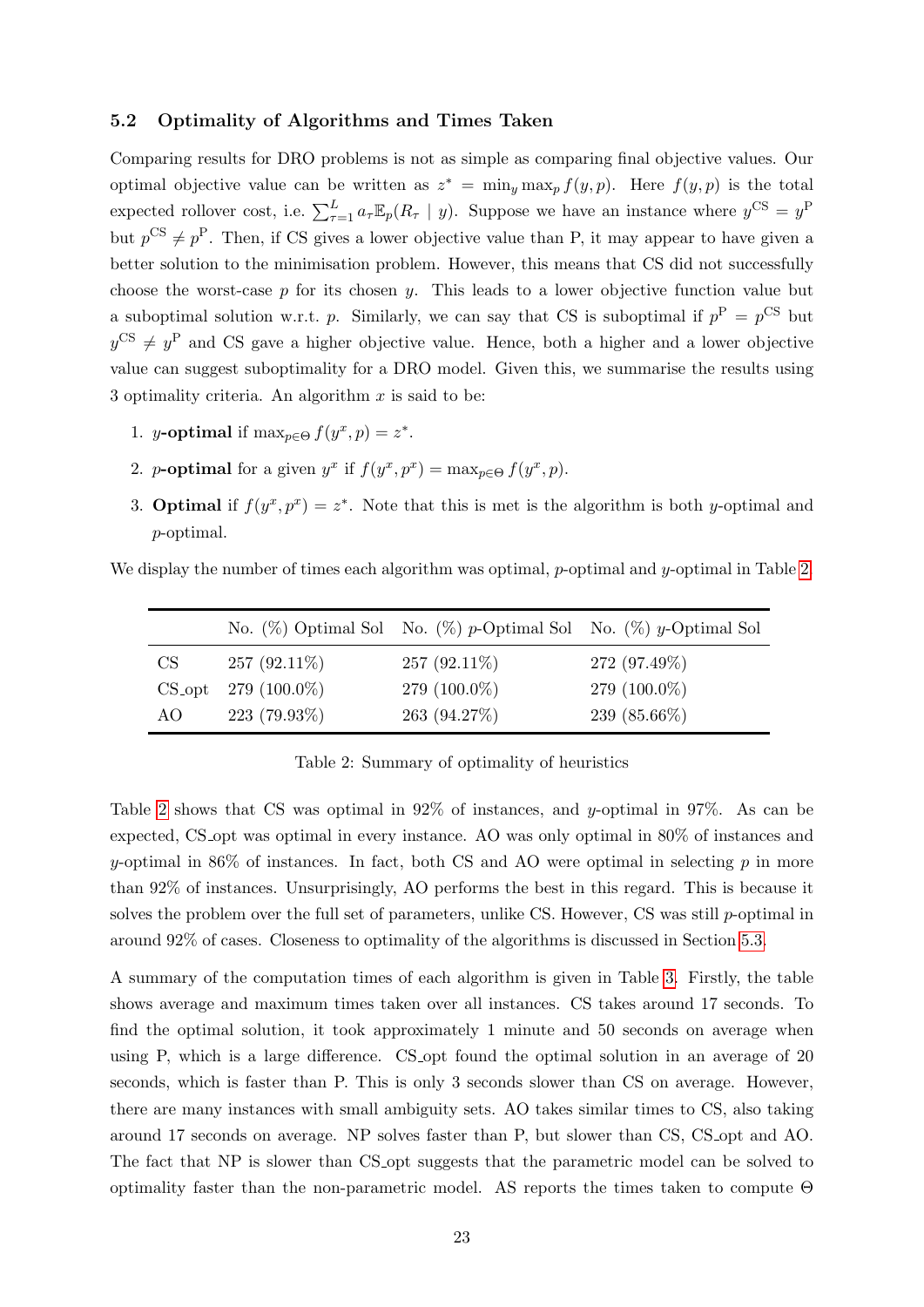#### <span id="page-24-0"></span>5.2 Optimality of Algorithms and Times Taken

Comparing results for DRO problems is not as simple as comparing final objective values. Our optimal objective value can be written as  $z^* = \min_y \max_p f(y, p)$ . Here  $f(y, p)$  is the total expected rollover cost, i.e.  $\sum_{\tau=1}^{L} a_{\tau} \mathbb{E}_p(R_{\tau} | y)$ . Suppose we have an instance where  $y^{\text{CS}} = y^{\text{P}}$ but  $p^{CS} \neq p^P$ . Then, if CS gives a lower objective value than P, it may appear to have given a better solution to the minimisation problem. However, this means that CS did not successfully choose the worst-case  $p$  for its chosen  $y$ . This leads to a lower objective function value but a suboptimal solution w.r.t. p. Similarly, we can say that CS is suboptimal if  $p^P = p^{CS}$  but  $y^{\text{CS}} \neq y^{\text{P}}$  and CS gave a higher objective value. Hence, both a higher and a lower objective value can suggest suboptimality for a DRO model. Given this, we summarise the results using 3 optimality criteria. An algorithm  $x$  is said to be:

- 1. *y*-optimal if  $\max_{p \in \Theta} f(y^x, p) = z^*$ .
- 2. *p*-optimal for a given  $y^x$  if  $f(y^x, p^x) = \max_{p \in \Theta} f(y^x, p)$ .
- 3. **Optimal** if  $f(y^x, p^x) = z^*$ . Note that this is met is the algorithm is both y-optimal and p-optimal.

<span id="page-24-1"></span>We display the number of times each algorithm was optimal, p-optimal and  $\gamma$ -optimal in Table [2.](#page-24-1)

|     |                         | No. $(\%)$ Optimal Sol No. $(\%)$ p-Optimal Sol No. $(\%)$ y-Optimal Sol |                 |
|-----|-------------------------|--------------------------------------------------------------------------|-----------------|
| CS  | $257(92.11\%)$          | $257(92.11\%)$                                                           | 272 (97.49%)    |
|     | $CS_$ -opt 279 (100.0%) | 279 $(100.0\%)$                                                          | 279 $(100.0\%)$ |
| AO. | $223(79.93\%)$          | 263 (94.27\%)                                                            | 239 (85.66%)    |

Table 2: Summary of optimality of heuristics

Table [2](#page-24-1) shows that CS was optimal in 92% of instances, and y-optimal in 97%. As can be expected, CS opt was optimal in every instance. AO was only optimal in 80% of instances and y-optimal in 86% of instances. In fact, both CS and AO were optimal in selecting  $p$  in more than 92% of instances. Unsurprisingly, AO performs the best in this regard. This is because it solves the problem over the full set of parameters, unlike CS. However, CS was still p-optimal in around 92% of cases. Closeness to optimality of the algorithms is discussed in Section [5.3.](#page-25-0)

A summary of the computation times of each algorithm is given in Table [3.](#page-25-1) Firstly, the table shows average and maximum times taken over all instances. CS takes around 17 seconds. To find the optimal solution, it took approximately 1 minute and 50 seconds on average when using P, which is a large difference. CS opt found the optimal solution in an average of 20 seconds, which is faster than P. This is only 3 seconds slower than CS on average. However, there are many instances with small ambiguity sets. AO takes similar times to CS, also taking around 17 seconds on average. NP solves faster than P, but slower than CS, CS opt and AO. The fact that NP is slower than CS opt suggests that the parametric model can be solved to optimality faster than the non-parametric model. AS reports the times taken to compute Θ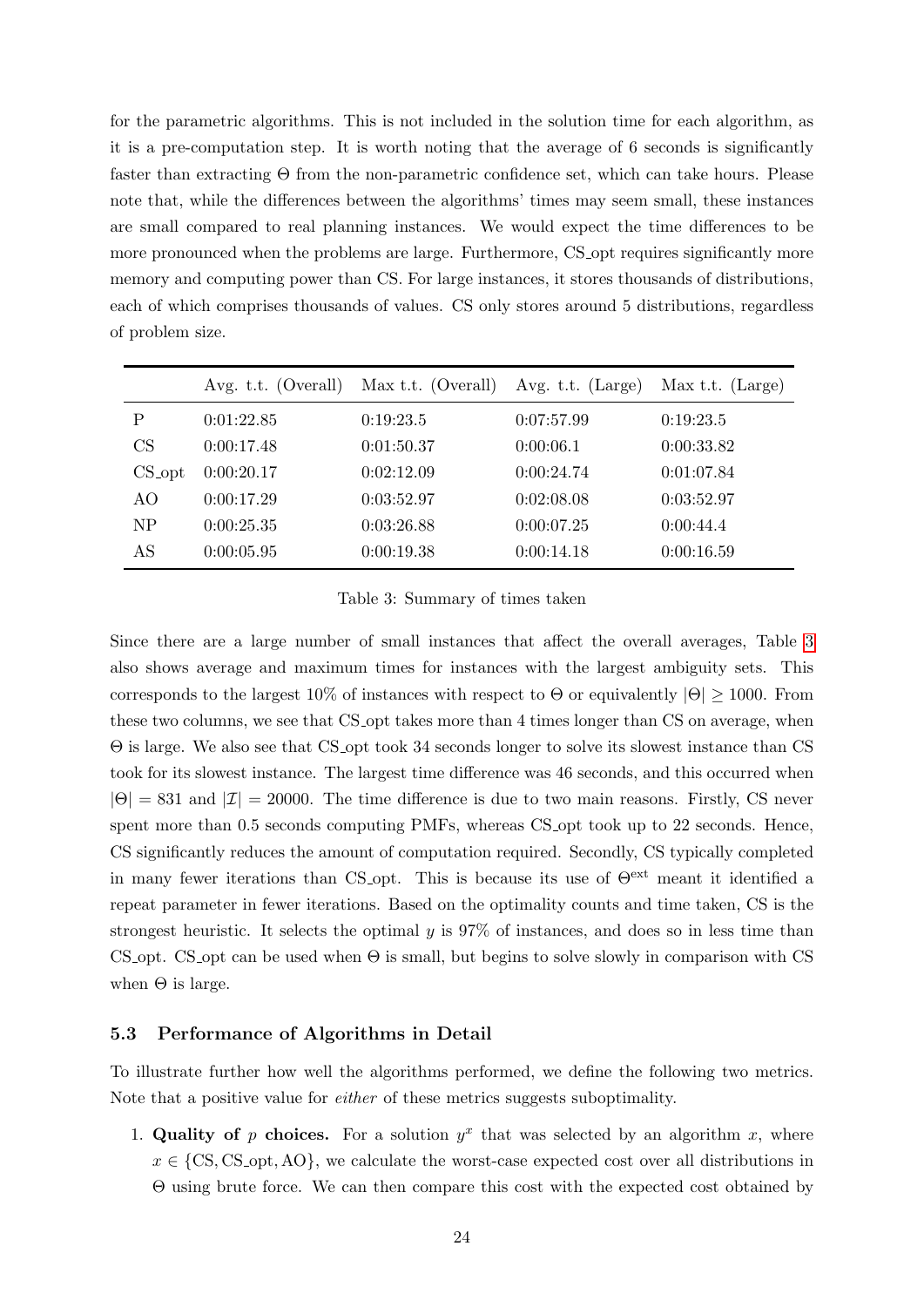for the parametric algorithms. This is not included in the solution time for each algorithm, as it is a pre-computation step. It is worth noting that the average of 6 seconds is significantly faster than extracting Θ from the non-parametric confidence set, which can take hours. Please note that, while the differences between the algorithms' times may seem small, these instances are small compared to real planning instances. We would expect the time differences to be more pronounced when the problems are large. Furthermore, CS opt requires significantly more memory and computing power than CS. For large instances, it stores thousands of distributions, each of which comprises thousands of values. CS only stores around 5 distributions, regardless of problem size.

<span id="page-25-1"></span>

|           | Avg. t.t. (Overall) | Max t.t. $(Overall)$ | Avg. t.t. (Large) | Max t.t. $(Large)$ |
|-----------|---------------------|----------------------|-------------------|--------------------|
| P         | 0:01:22.85          | 0:19:23.5            | 0:07:57.99        | 0:19:23.5          |
| CS        | 0:00:17.48          | 0:01:50.37           | 0:00:06.1         | 0:00:33.82         |
| $CS$ -opt | 0:00:20.17          | 0:02:12.09           | 0:00:24.74        | 0:01:07.84         |
| AO        | 0:00:17.29          | 0:03:52.97           | 0:02:08.08        | 0:03:52.97         |
| NP        | 0:00:25.35          | 0:03:26.88           | 0:00:07.25        | 0:00:44.4          |
| AS        | 0:00:05.95          | 0:00:19.38           | 0:00:14.18        | 0:00:16.59         |

Table 3: Summary of times taken

Since there are a large number of small instances that affect the overall averages, Table [3](#page-25-1) also shows average and maximum times for instances with the largest ambiguity sets. This corresponds to the largest 10% of instances with respect to  $\Theta$  or equivalently  $|\Theta| \geq 1000$ . From these two columns, we see that CS opt takes more than 4 times longer than CS on average, when Θ is large. We also see that CS opt took 34 seconds longer to solve its slowest instance than CS took for its slowest instance. The largest time difference was 46 seconds, and this occurred when  $|\Theta| = 831$  and  $|\mathcal{I}| = 20000$ . The time difference is due to two main reasons. Firstly, CS never spent more than 0.5 seconds computing PMFs, whereas CS opt took up to 22 seconds. Hence, CS significantly reduces the amount of computation required. Secondly, CS typically completed in many fewer iterations than CS opt. This is because its use of  $\Theta^{\text{ext}}$  meant it identified a repeat parameter in fewer iterations. Based on the optimality counts and time taken, CS is the strongest heuristic. It selects the optimal  $y$  is 97% of instances, and does so in less time than CS opt. CS opt can be used when  $\Theta$  is small, but begins to solve slowly in comparison with CS when  $\Theta$  is large.

#### <span id="page-25-0"></span>5.3 Performance of Algorithms in Detail

To illustrate further how well the algorithms performed, we define the following two metrics. Note that a positive value for either of these metrics suggests suboptimality.

1. Quality of p choices. For a solution  $y^x$  that was selected by an algorithm x, where  $x \in \{CS, CS\_{opt}, AO\}$ , we calculate the worst-case expected cost over all distributions in Θ using brute force. We can then compare this cost with the expected cost obtained by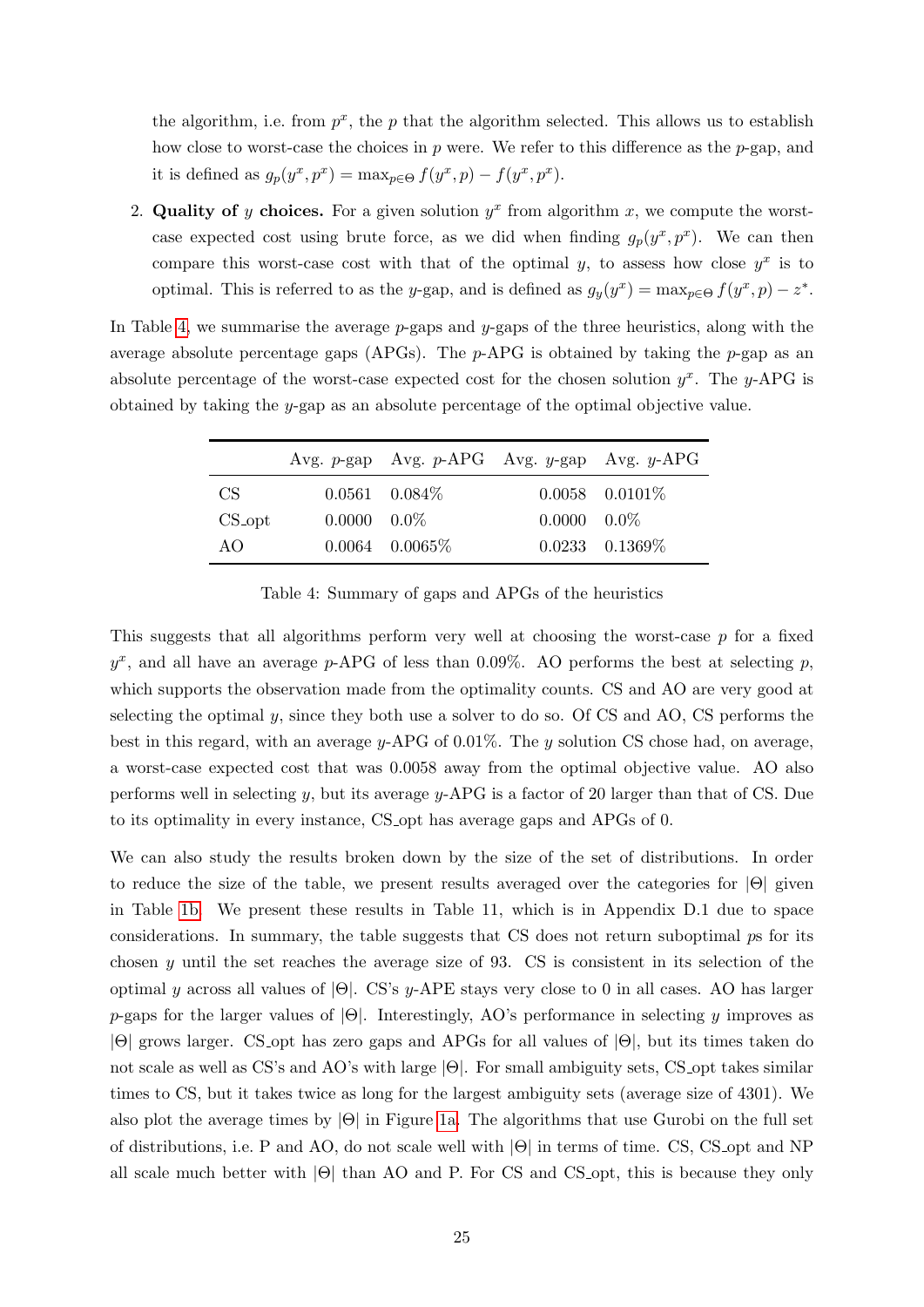the algorithm, i.e. from  $p^x$ , the p that the algorithm selected. This allows us to establish how close to worst-case the choices in  $p$  were. We refer to this difference as the  $p$ -gap, and it is defined as  $g_p(y^x, p^x) = \max_{p \in \Theta} f(y^x, p) - f(y^x, p^x)$ .

2. Quality of y choices. For a given solution  $y^x$  from algorithm x, we compute the worstcase expected cost using brute force, as we did when finding  $g_p(y^x, p^x)$ . We can then compare this worst-case cost with that of the optimal y, to assess how close  $y^x$  is to optimal. This is referred to as the y-gap, and is defined as  $g_y(y^x) = \max_{p \in \Theta} f(y^x, p) - z^*$ .

<span id="page-26-0"></span>In Table [4,](#page-26-0) we summarise the average  $p$ -gaps and  $y$ -gaps of the three heuristics, along with the average absolute percentage gaps (APGs). The  $p$ -APG is obtained by taking the  $p$ -gap as an absolute percentage of the worst-case expected cost for the chosen solution  $y^x$ . The y-APG is obtained by taking the y-gap as an absolute percentage of the optimal objective value.

|                      |                      | Avg. $p$ -gap Avg. $p$ -APG Avg. $y$ -gap Avg. $y$ -APG |                      |                     |
|----------------------|----------------------|---------------------------------------------------------|----------------------|---------------------|
| CS -                 |                      | $0.0561$ $0.084\%$                                      |                      | $0.0058$ $0.0101\%$ |
| $CS$ <sub>-opt</sub> | $0.0000 \quad 0.0\%$ |                                                         | $0.0000 \quad 0.0\%$ |                     |
| AO.                  |                      | $0.0064$ 0.0065\%                                       |                      | $0.0233$ $0.1369\%$ |

Table 4: Summary of gaps and APGs of the heuristics

This suggests that all algorithms perform very well at choosing the worst-case  $p$  for a fixed  $y^x$ , and all have an average p-APG of less than 0.09%. AO performs the best at selecting p, which supports the observation made from the optimality counts. CS and AO are very good at selecting the optimal  $y$ , since they both use a solver to do so. Of CS and AO, CS performs the best in this regard, with an average  $y$ -APG of 0.01%. The y solution CS chose had, on average, a worst-case expected cost that was 0.0058 away from the optimal objective value. AO also performs well in selecting y, but its average y-APG is a factor of 20 larger than that of CS. Due to its optimality in every instance, CS<sub>-opt</sub> has average gaps and APGs of 0.

We can also study the results broken down by the size of the set of distributions. In order to reduce the size of the table, we present results averaged over the categories for  $|\Theta|$  given in Table [1b.](#page-23-1) We present these results in Table 11, which is in Appendix D.1 due to space considerations. In summary, the table suggests that CS does not return suboptimal ps for its chosen  $\gamma$  until the set reaches the average size of 93. CS is consistent in its selection of the optimal y across all values of  $|\Theta|$ . CS's y-APE stays very close to 0 in all cases. AO has larger p-gaps for the larger values of  $|\Theta|$ . Interestingly, AO's performance in selecting y improves as |Θ| grows larger. CS opt has zero gaps and APGs for all values of |Θ|, but its times taken do not scale as well as CS's and AO's with large |Θ|. For small ambiguity sets, CS opt takes similar times to CS, but it takes twice as long for the largest ambiguity sets (average size of 4301). We also plot the average times by |Θ| in Figure [1a.](#page-27-1) The algorithms that use Gurobi on the full set of distributions, i.e. P and AO, do not scale well with |Θ| in terms of time. CS, CS opt and NP all scale much better with  $|\Theta|$  than AO and P. For CS and CS opt, this is because they only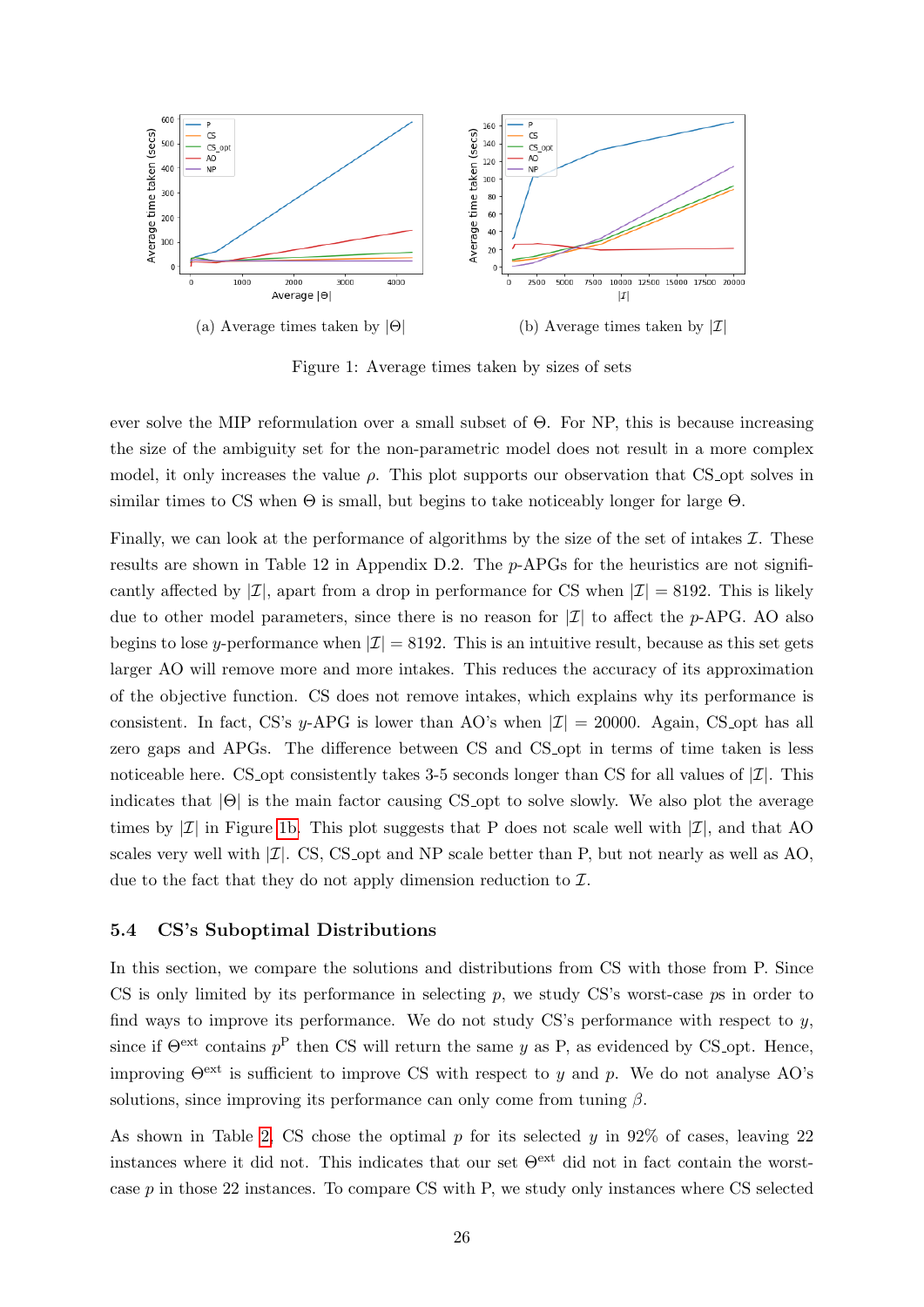<span id="page-27-1"></span>

Figure 1: Average times taken by sizes of sets

ever solve the MIP reformulation over a small subset of Θ. For NP, this is because increasing the size of the ambiguity set for the non-parametric model does not result in a more complex model, it only increases the value  $\rho$ . This plot supports our observation that CS opt solves in similar times to CS when  $\Theta$  is small, but begins to take noticeably longer for large  $\Theta$ .

Finally, we can look at the performance of algorithms by the size of the set of intakes  $\mathcal{I}$ . These results are shown in Table 12 in Appendix D.2. The p-APGs for the heuristics are not significantly affected by  $|\mathcal{I}|$ , apart from a drop in performance for CS when  $|\mathcal{I}| = 8192$ . This is likely due to other model parameters, since there is no reason for  $|\mathcal{I}|$  to affect the p-APG. AO also begins to lose y-performance when  $|\mathcal{I}| = 8192$ . This is an intuitive result, because as this set gets larger AO will remove more and more intakes. This reduces the accuracy of its approximation of the objective function. CS does not remove intakes, which explains why its performance is consistent. In fact, CS's y-APG is lower than AO's when  $|\mathcal{I}| = 20000$ . Again, CS opt has all zero gaps and APGs. The difference between CS and CS opt in terms of time taken is less noticeable here. CS opt consistently takes 3-5 seconds longer than CS for all values of  $|\mathcal{I}|$ . This indicates that  $|\Theta|$  is the main factor causing CS opt to solve slowly. We also plot the average times by  $|\mathcal{I}|$  in Figure [1b.](#page-27-1) This plot suggests that P does not scale well with  $|\mathcal{I}|$ , and that AO scales very well with  $|\mathcal{I}|$ . CS, CS opt and NP scale better than P, but not nearly as well as AO, due to the fact that they do not apply dimension reduction to  $\mathcal{I}$ .

#### <span id="page-27-0"></span>5.4 CS's Suboptimal Distributions

In this section, we compare the solutions and distributions from CS with those from P. Since CS is only limited by its performance in selecting  $p$ , we study CS's worst-case  $p\bar{s}$  in order to find ways to improve its performance. We do not study  $CS$ 's performance with respect to  $y$ , since if  $\Theta^{\text{ext}}$  contains  $p^{\text{P}}$  then CS will return the same y as P, as evidenced by CS-opt. Hence, improving  $\Theta^{\text{ext}}$  is sufficient to improve CS with respect to y and p. We do not analyse AO's solutions, since improving its performance can only come from tuning  $\beta$ .

As shown in Table [2,](#page-24-1) CS chose the optimal  $p$  for its selected  $y$  in 92% of cases, leaving 22 instances where it did not. This indicates that our set  $\Theta^{\text{ext}}$  did not in fact contain the worstcase p in those 22 instances. To compare CS with P, we study only instances where CS selected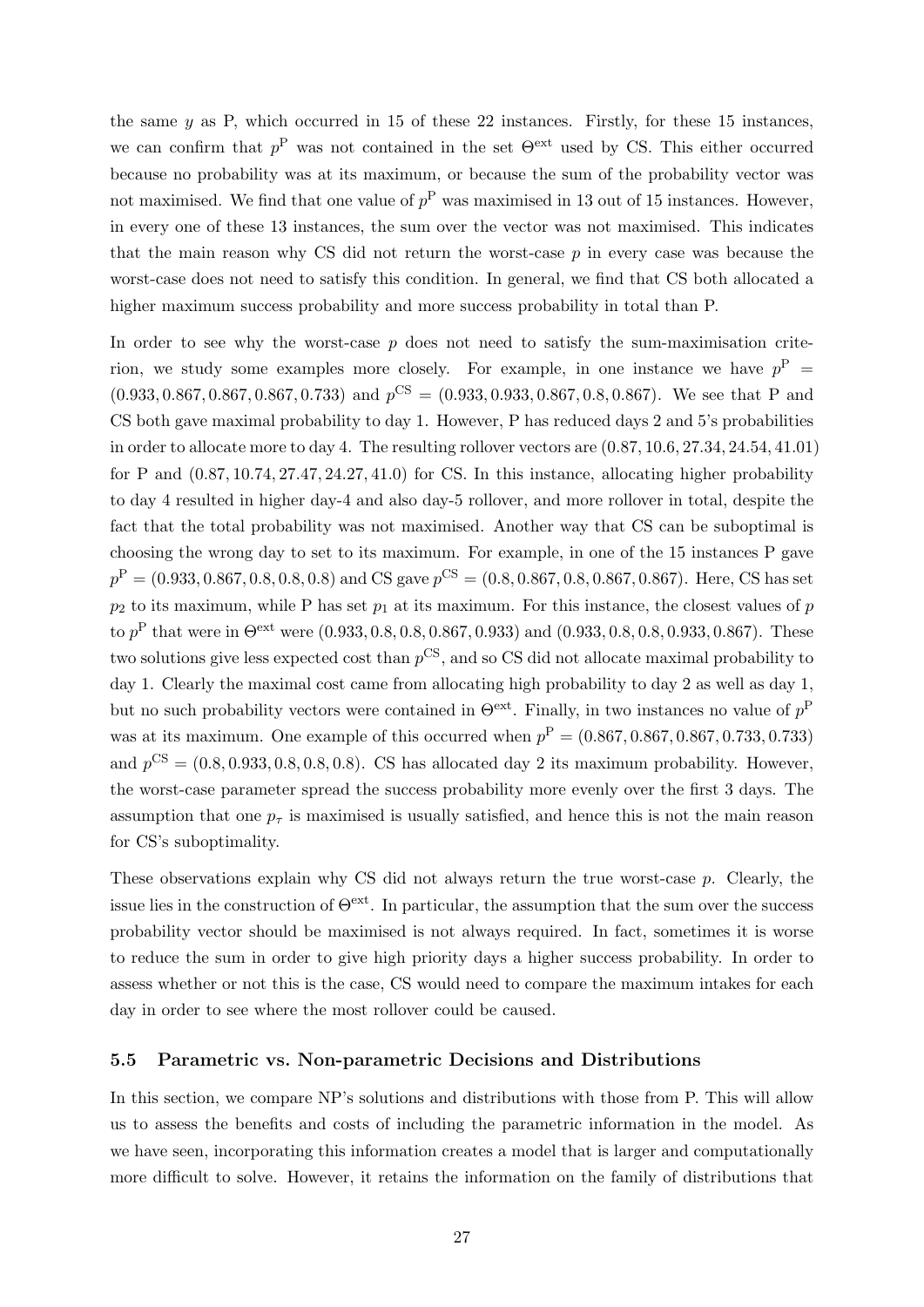the same  $y$  as P, which occurred in 15 of these 22 instances. Firstly, for these 15 instances, we can confirm that  $p^P$  was not contained in the set  $\Theta^{\text{ext}}$  used by CS. This either occurred because no probability was at its maximum, or because the sum of the probability vector was not maximised. We find that one value of  $p^P$  was maximised in 13 out of 15 instances. However, in every one of these 13 instances, the sum over the vector was not maximised. This indicates that the main reason why CS did not return the worst-case  $p$  in every case was because the worst-case does not need to satisfy this condition. In general, we find that CS both allocated a higher maximum success probability and more success probability in total than P.

In order to see why the worst-case  $p$  does not need to satisfy the sum-maximisation criterion, we study some examples more closely. For example, in one instance we have  $p^P =$  $(0.933, 0.867, 0.867, 0.867, 0.733)$  and  $p^{CS} = (0.933, 0.933, 0.867, 0.8, 0.867)$ . We see that P and CS both gave maximal probability to day 1. However, P has reduced days 2 and 5's probabilities in order to allocate more to day 4. The resulting rollover vectors are (0.87, 10.6, 27.34, 24.54, 41.01) for P and  $(0.87, 10.74, 27.47, 24.27, 41.0)$  for CS. In this instance, allocating higher probability to day 4 resulted in higher day-4 and also day-5 rollover, and more rollover in total, despite the fact that the total probability was not maximised. Another way that CS can be suboptimal is choosing the wrong day to set to its maximum. For example, in one of the 15 instances P gave  $p^{\text{P}} = (0.933, 0.867, 0.8, 0.8, 0.8)$  and CS gave  $p^{\text{CS}} = (0.8, 0.867, 0.8, 0.867, 0.867)$ . Here, CS has set  $p_2$  to its maximum, while P has set  $p_1$  at its maximum. For this instance, the closest values of p to  $p^{\rm P}$  that were in  $\Theta^{\rm ext}$  were  $(0.933, 0.8, 0.8, 0.867, 0.933)$  and  $(0.933, 0.8, 0.8, 0.933, 0.867)$ . These two solutions give less expected cost than  $p^{\text{CS}}$ , and so CS did not allocate maximal probability to day 1. Clearly the maximal cost came from allocating high probability to day 2 as well as day 1, but no such probability vectors were contained in  $\Theta^{\text{ext}}$ . Finally, in two instances no value of  $p^{\text{P}}$ was at its maximum. One example of this occurred when  $p^P = (0.867, 0.867, 0.867, 0.733, 0.733)$ and  $p^{\text{CS}} = (0.8, 0.933, 0.8, 0.8, 0.8)$ . CS has allocated day 2 its maximum probability. However, the worst-case parameter spread the success probability more evenly over the first 3 days. The assumption that one  $p<sub>\tau</sub>$  is maximised is usually satisfied, and hence this is not the main reason for CS's suboptimality.

These observations explain why CS did not always return the true worst-case p. Clearly, the issue lies in the construction of  $\Theta^{\text{ext}}$ . In particular, the assumption that the sum over the success probability vector should be maximised is not always required. In fact, sometimes it is worse to reduce the sum in order to give high priority days a higher success probability. In order to assess whether or not this is the case, CS would need to compare the maximum intakes for each day in order to see where the most rollover could be caused.

#### <span id="page-28-0"></span>5.5 Parametric vs. Non-parametric Decisions and Distributions

In this section, we compare NP's solutions and distributions with those from P. This will allow us to assess the benefits and costs of including the parametric information in the model. As we have seen, incorporating this information creates a model that is larger and computationally more difficult to solve. However, it retains the information on the family of distributions that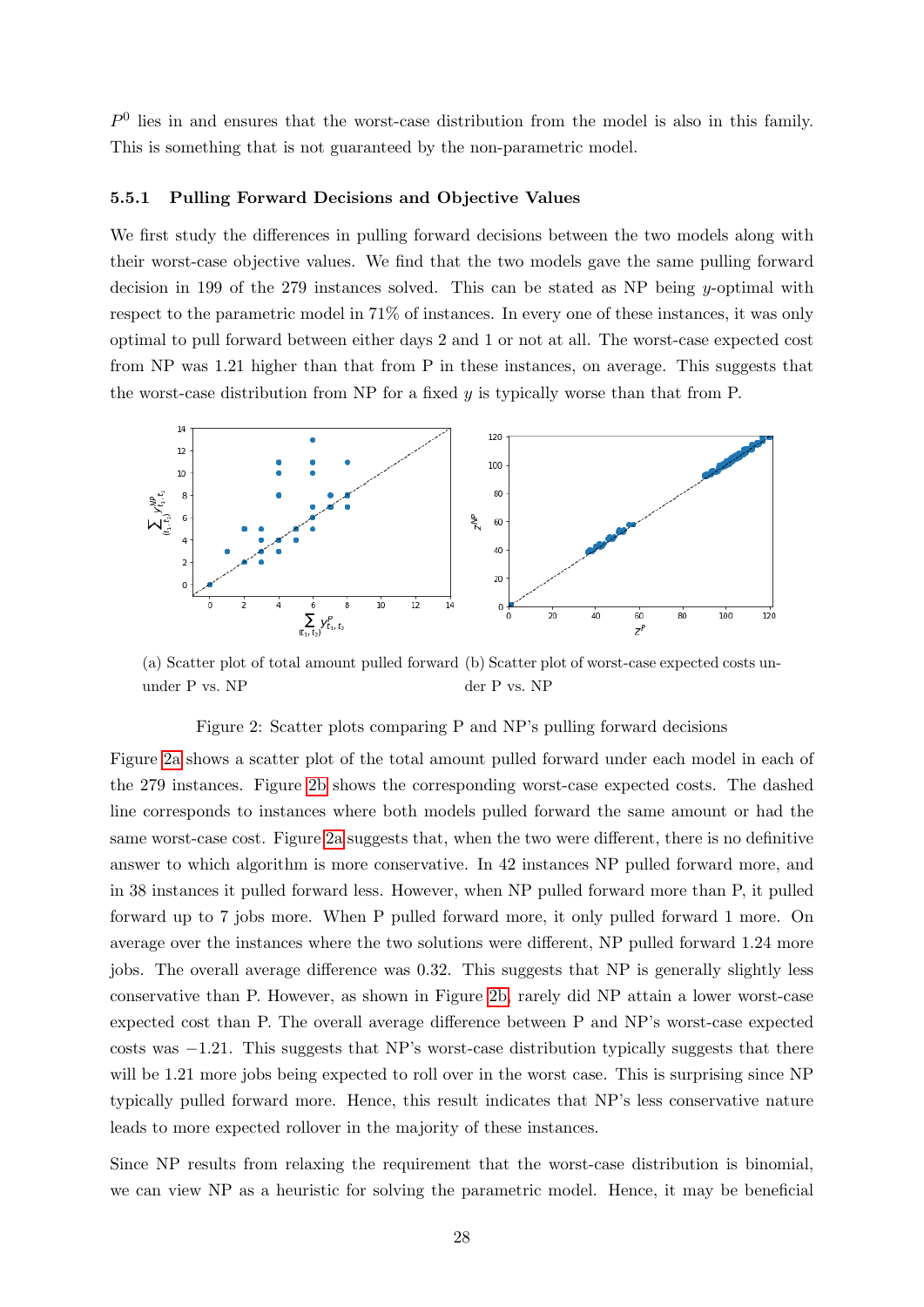$P<sup>0</sup>$  lies in and ensures that the worst-case distribution from the model is also in this family. This is something that is not guaranteed by the non-parametric model.

#### <span id="page-29-0"></span>5.5.1 Pulling Forward Decisions and Objective Values

We first study the differences in pulling forward decisions between the two models along with their worst-case objective values. We find that the two models gave the same pulling forward decision in 199 of the 279 instances solved. This can be stated as NP being y-optimal with respect to the parametric model in 71% of instances. In every one of these instances, it was only optimal to pull forward between either days 2 and 1 or not at all. The worst-case expected cost from NP was 1.21 higher than that from P in these instances, on average. This suggests that the worst-case distribution from NP for a fixed  $y$  is typically worse than that from P.

<span id="page-29-1"></span>

(a) Scatter plot of total amount pulled forward (b) Scatter plot of worst-case expected costs ununder P vs. NP der P vs. NP

#### Figure 2: Scatter plots comparing P and NP's pulling forward decisions

Figure [2a](#page-29-1) shows a scatter plot of the total amount pulled forward under each model in each of the 279 instances. Figure [2b](#page-29-1) shows the corresponding worst-case expected costs. The dashed line corresponds to instances where both models pulled forward the same amount or had the same worst-case cost. Figure [2a](#page-29-1) suggests that, when the two were different, there is no definitive answer to which algorithm is more conservative. In 42 instances NP pulled forward more, and in 38 instances it pulled forward less. However, when NP pulled forward more than P, it pulled forward up to 7 jobs more. When P pulled forward more, it only pulled forward 1 more. On average over the instances where the two solutions were different, NP pulled forward 1.24 more jobs. The overall average difference was 0.32. This suggests that NP is generally slightly less conservative than P. However, as shown in Figure [2b,](#page-29-1) rarely did NP attain a lower worst-case expected cost than P. The overall average difference between P and NP's worst-case expected costs was  $-1.21$ . This suggests that NP's worst-case distribution typically suggests that there will be 1.21 more jobs being expected to roll over in the worst case. This is surprising since NP typically pulled forward more. Hence, this result indicates that NP's less conservative nature leads to more expected rollover in the majority of these instances.

Since NP results from relaxing the requirement that the worst-case distribution is binomial, we can view NP as a heuristic for solving the parametric model. Hence, it may be beneficial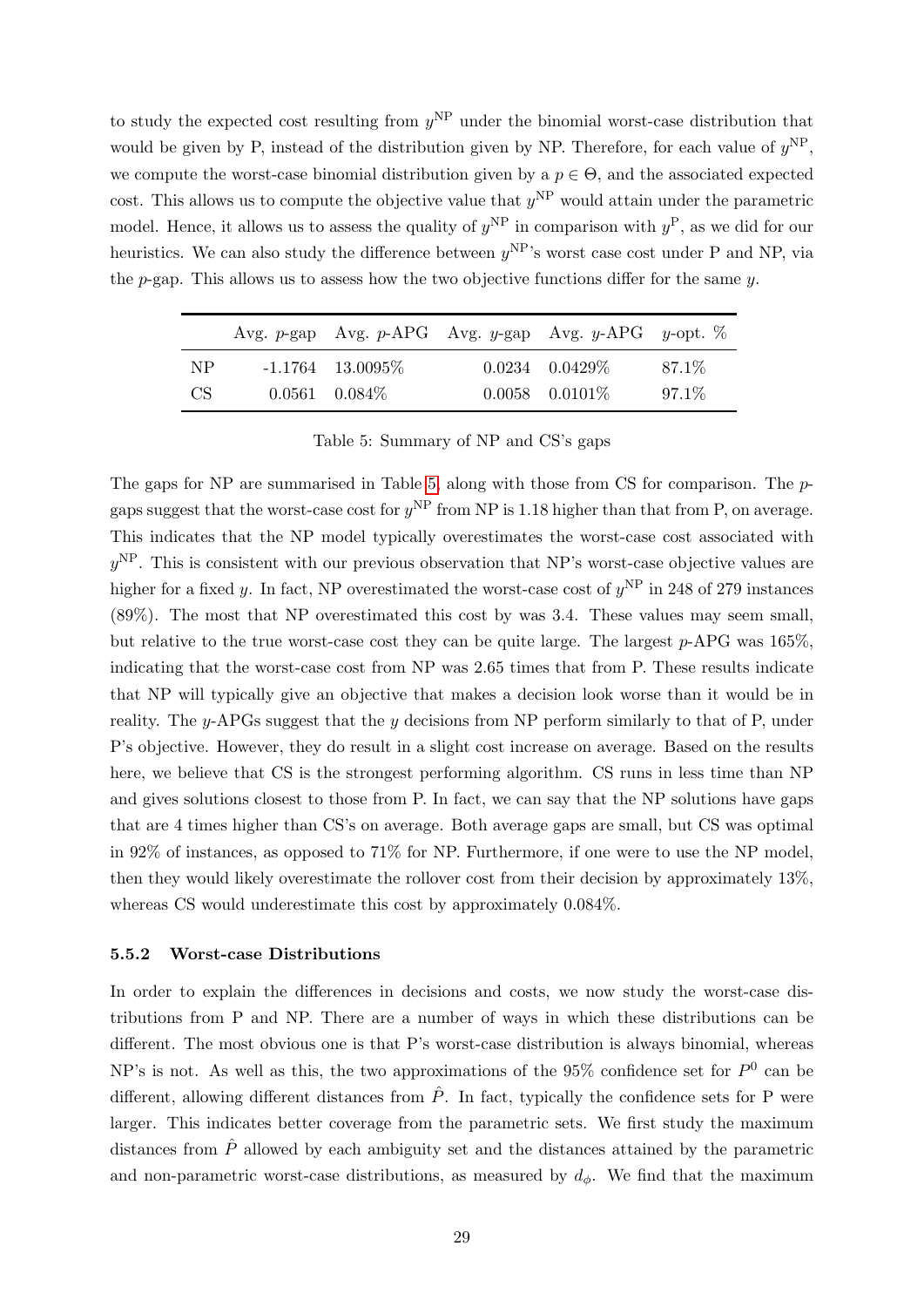to study the expected cost resulting from  $y<sup>NP</sup>$  under the binomial worst-case distribution that would be given by P, instead of the distribution given by NP. Therefore, for each value of  $y<sup>NP</sup>$ , we compute the worst-case binomial distribution given by a  $p \in \Theta$ , and the associated expected cost. This allows us to compute the objective value that  $y<sup>NP</sup>$  would attain under the parametric model. Hence, it allows us to assess the quality of  $y^{\text{NP}}$  in comparison with  $y^{\text{P}}$ , as we did for our heuristics. We can also study the difference between  $y<sup>NP</sup>$ 's worst case cost under P and NP, via the  $p$ -gap. This allows us to assess how the two objective functions differ for the same  $y$ .

<span id="page-30-1"></span>

|     |                     | Avg. p-gap Avg. p-APG Avg. y-gap Avg. y-APG y-opt. $\%$ |        |
|-----|---------------------|---------------------------------------------------------|--------|
| NP  | $-1.1764$ 13.0095\% | $0.0234$ $0.0429\%$                                     | 87.1\% |
| CS. | $0.0561$ $0.084\%$  | $0.0058$ $0.0101\%$                                     | 97.1\% |

Table 5: Summary of NP and CS's gaps

The gaps for NP are summarised in Table [5,](#page-30-1) along with those from CS for comparison. The  $p$ gaps suggest that the worst-case cost for  $y<sup>NP</sup>$  from NP is 1.18 higher than that from P, on average. This indicates that the NP model typically overestimates the worst-case cost associated with  $y^{\text{NP}}$ . This is consistent with our previous observation that NP's worst-case objective values are higher for a fixed y. In fact, NP overestimated the worst-case cost of  $y<sup>NP</sup>$  in 248 of 279 instances (89%). The most that NP overestimated this cost by was 3.4. These values may seem small, but relative to the true worst-case cost they can be quite large. The largest p-APG was 165%, indicating that the worst-case cost from NP was 2.65 times that from P. These results indicate that NP will typically give an objective that makes a decision look worse than it would be in reality. The y-APGs suggest that the y decisions from NP perform similarly to that of P, under P's objective. However, they do result in a slight cost increase on average. Based on the results here, we believe that CS is the strongest performing algorithm. CS runs in less time than NP and gives solutions closest to those from P. In fact, we can say that the NP solutions have gaps that are 4 times higher than CS's on average. Both average gaps are small, but CS was optimal in 92% of instances, as opposed to 71% for NP. Furthermore, if one were to use the NP model, then they would likely overestimate the rollover cost from their decision by approximately 13%, whereas CS would underestimate this cost by approximately 0.084%.

#### <span id="page-30-0"></span>5.5.2 Worst-case Distributions

In order to explain the differences in decisions and costs, we now study the worst-case distributions from P and NP. There are a number of ways in which these distributions can be different. The most obvious one is that P's worst-case distribution is always binomial, whereas NP's is not. As well as this, the two approximations of the 95% confidence set for  $P^0$  can be different, allowing different distances from  $\hat{P}$ . In fact, typically the confidence sets for P were larger. This indicates better coverage from the parametric sets. We first study the maximum distances from  $\hat{P}$  allowed by each ambiguity set and the distances attained by the parametric and non-parametric worst-case distributions, as measured by  $d_{\phi}$ . We find that the maximum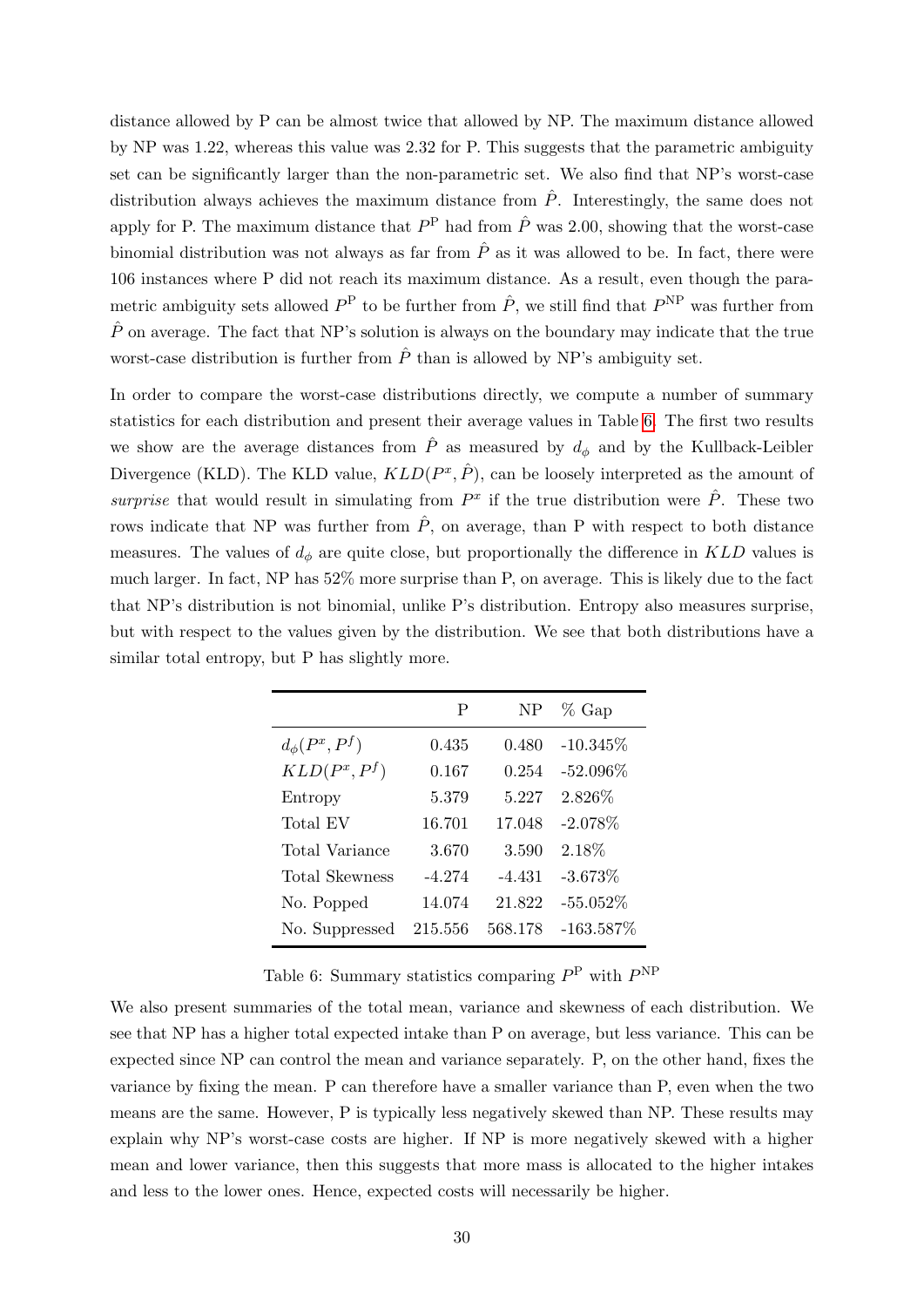distance allowed by P can be almost twice that allowed by NP. The maximum distance allowed by NP was 1.22, whereas this value was 2.32 for P. This suggests that the parametric ambiguity set can be significantly larger than the non-parametric set. We also find that NP's worst-case distribution always achieves the maximum distance from  $\hat{P}$ . Interestingly, the same does not apply for P. The maximum distance that  $P^{\text{P}}$  had from  $\hat{P}$  was 2.00, showing that the worst-case binomial distribution was not always as far from  $\hat{P}$  as it was allowed to be. In fact, there were 106 instances where P did not reach its maximum distance. As a result, even though the parametric ambiguity sets allowed  $P^{\text{P}}$  to be further from  $\hat{P}$ , we still find that  $P^{\text{NP}}$  was further from  $\hat{P}$  on average. The fact that NP's solution is always on the boundary may indicate that the true worst-case distribution is further from  $\hat{P}$  than is allowed by NP's ambiguity set.

In order to compare the worst-case distributions directly, we compute a number of summary statistics for each distribution and present their average values in Table [6.](#page-31-0) The first two results we show are the average distances from  $\hat{P}$  as measured by  $d_{\phi}$  and by the Kullback-Leibler Divergence (KLD). The KLD value,  $KLD(P^x, \hat{P})$ , can be loosely interpreted as the amount of surprise that would result in simulating from  $P^x$  if the true distribution were  $\hat{P}$ . These two rows indicate that NP was further from  $\hat{P}$ , on average, than P with respect to both distance measures. The values of  $d_{\phi}$  are quite close, but proportionally the difference in KLD values is much larger. In fact, NP has 52% more surprise than P, on average. This is likely due to the fact that NP's distribution is not binomial, unlike P's distribution. Entropy also measures surprise, but with respect to the values given by the distribution. We see that both distributions have a similar total entropy, but P has slightly more.

<span id="page-31-0"></span>

|                      | P        | NP       | $%$ Gap      |
|----------------------|----------|----------|--------------|
| $d_{\phi}(P^x, P^f)$ | 0.435    | 0.480    | $-10.345%$   |
| $KLD(P^x, P^f)$      | 0.167    | 0.254    | $-52.096\%$  |
| Entropy              | 5.379    | 5.227    | 2.826\%      |
| Total EV             | 16.701   | 17.048   | $-2.078\%$   |
| Total Variance       | 3.670    | 3.590    | 2.18\%       |
| Total Skewness       | $-4.274$ | $-4.431$ | $-3.673\%$   |
| No. Popped           | 14.074   | 21.822   | $-55.052\%$  |
| No. Suppressed       | 215.556  | 568.178  | $-163.587\%$ |

Table 6: Summary statistics comparing  $P^{\rm P}$  with  $P^{\rm NP}$ 

We also present summaries of the total mean, variance and skewness of each distribution. We see that NP has a higher total expected intake than P on average, but less variance. This can be expected since NP can control the mean and variance separately. P, on the other hand, fixes the variance by fixing the mean. P can therefore have a smaller variance than P, even when the two means are the same. However, P is typically less negatively skewed than NP. These results may explain why NP's worst-case costs are higher. If NP is more negatively skewed with a higher mean and lower variance, then this suggests that more mass is allocated to the higher intakes and less to the lower ones. Hence, expected costs will necessarily be higher.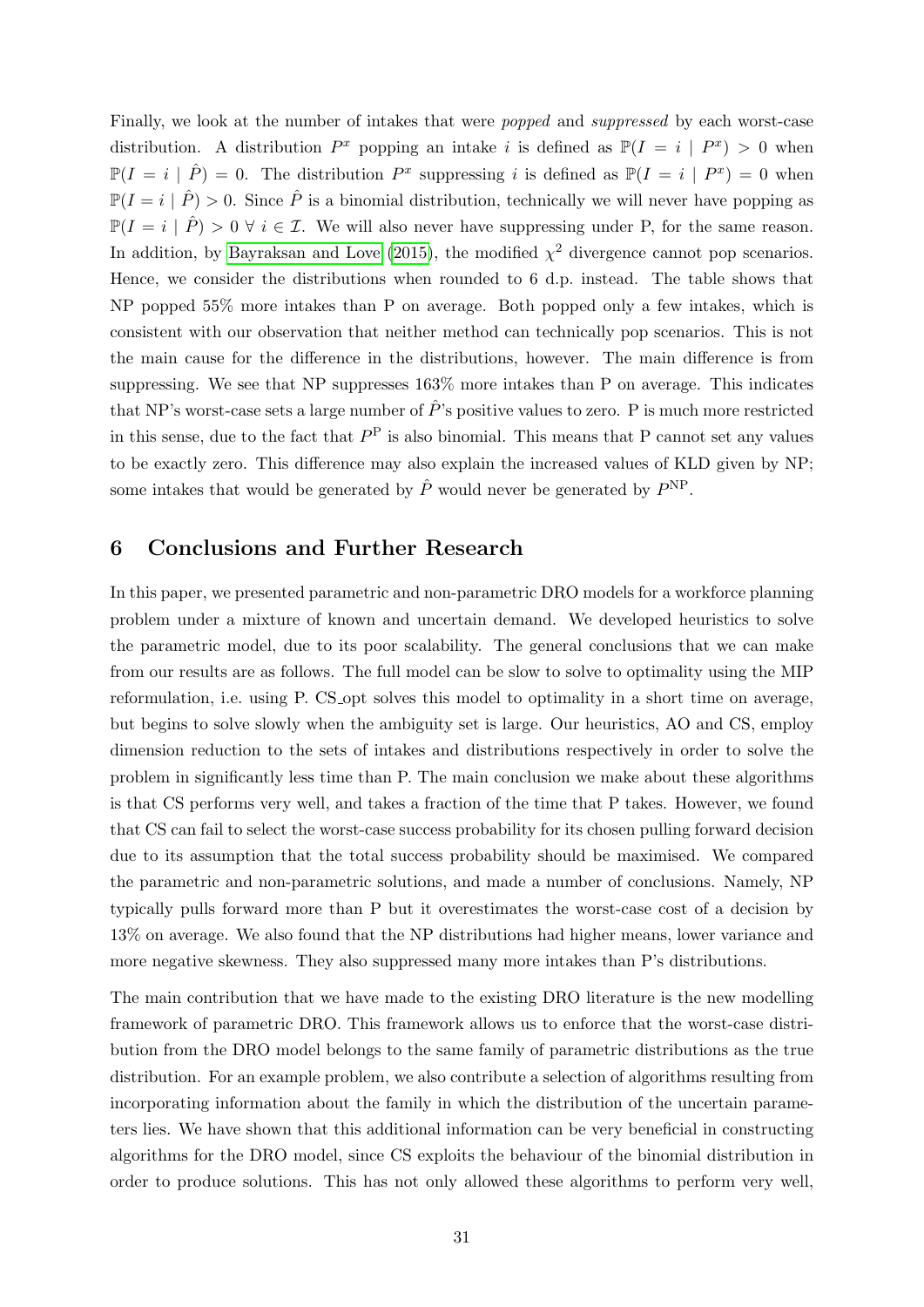Finally, we look at the number of intakes that were popped and suppressed by each worst-case distribution. A distribution  $P^x$  popping an intake i is defined as  $\mathbb{P}(I = i | P^x) > 0$  when  $\mathbb{P}(I = i \mid \hat{P}) = 0$ . The distribution  $P^x$  suppressing i is defined as  $\mathbb{P}(I = i \mid P^x) = 0$  when  $\mathbb{P}(I = i | \hat{P}) > 0$ . Since  $\hat{P}$  is a binomial distribution, technically we will never have popping as  $\mathbb{P}(I = i | \hat{P}) > 0 \ \forall i \in \mathcal{I}$ . We will also never have suppressing under P, for the same reason. In addition, by [Bayraksan and Love](#page-34-10) [\(2015\)](#page-34-10), the modified  $\chi^2$  divergence cannot pop scenarios. Hence, we consider the distributions when rounded to 6 d.p. instead. The table shows that NP popped 55% more intakes than P on average. Both popped only a few intakes, which is consistent with our observation that neither method can technically pop scenarios. This is not the main cause for the difference in the distributions, however. The main difference is from suppressing. We see that NP suppresses 163% more intakes than P on average. This indicates that NP's worst-case sets a large number of  $\hat{P}$ 's positive values to zero. P is much more restricted in this sense, due to the fact that  $P<sup>P</sup>$  is also binomial. This means that P cannot set any values to be exactly zero. This difference may also explain the increased values of KLD given by NP; some intakes that would be generated by  $\hat{P}$  would never be generated by  $P<sup>NP</sup>$ .

### <span id="page-32-0"></span>6 Conclusions and Further Research

In this paper, we presented parametric and non-parametric DRO models for a workforce planning problem under a mixture of known and uncertain demand. We developed heuristics to solve the parametric model, due to its poor scalability. The general conclusions that we can make from our results are as follows. The full model can be slow to solve to optimality using the MIP reformulation, i.e. using P. CS opt solves this model to optimality in a short time on average, but begins to solve slowly when the ambiguity set is large. Our heuristics, AO and CS, employ dimension reduction to the sets of intakes and distributions respectively in order to solve the problem in significantly less time than P. The main conclusion we make about these algorithms is that CS performs very well, and takes a fraction of the time that P takes. However, we found that CS can fail to select the worst-case success probability for its chosen pulling forward decision due to its assumption that the total success probability should be maximised. We compared the parametric and non-parametric solutions, and made a number of conclusions. Namely, NP typically pulls forward more than P but it overestimates the worst-case cost of a decision by 13% on average. We also found that the NP distributions had higher means, lower variance and more negative skewness. They also suppressed many more intakes than P's distributions.

The main contribution that we have made to the existing DRO literature is the new modelling framework of parametric DRO. This framework allows us to enforce that the worst-case distribution from the DRO model belongs to the same family of parametric distributions as the true distribution. For an example problem, we also contribute a selection of algorithms resulting from incorporating information about the family in which the distribution of the uncertain parameters lies. We have shown that this additional information can be very beneficial in constructing algorithms for the DRO model, since CS exploits the behaviour of the binomial distribution in order to produce solutions. This has not only allowed these algorithms to perform very well,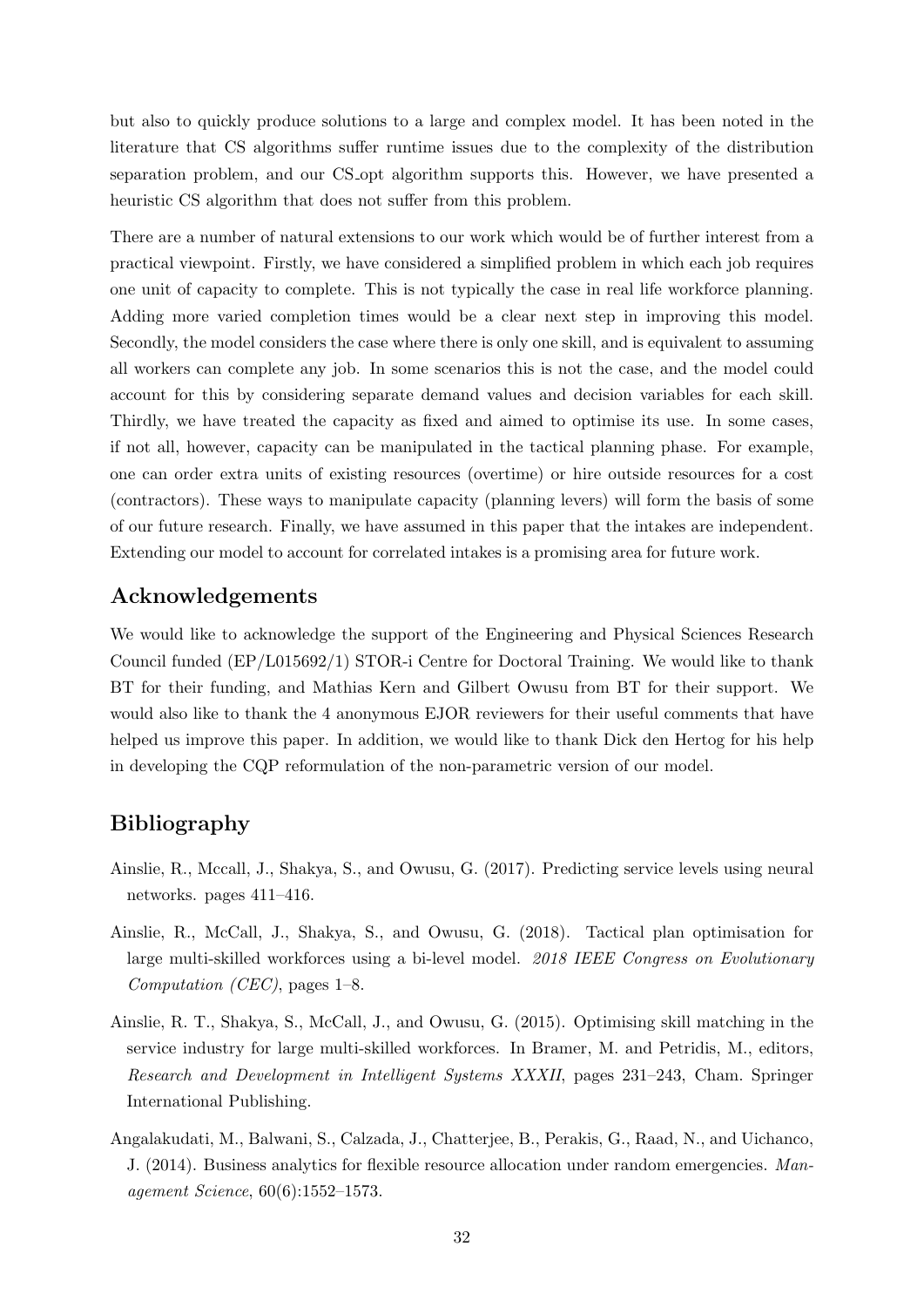but also to quickly produce solutions to a large and complex model. It has been noted in the literature that CS algorithms suffer runtime issues due to the complexity of the distribution separation problem, and our CS opt algorithm supports this. However, we have presented a heuristic CS algorithm that does not suffer from this problem.

There are a number of natural extensions to our work which would be of further interest from a practical viewpoint. Firstly, we have considered a simplified problem in which each job requires one unit of capacity to complete. This is not typically the case in real life workforce planning. Adding more varied completion times would be a clear next step in improving this model. Secondly, the model considers the case where there is only one skill, and is equivalent to assuming all workers can complete any job. In some scenarios this is not the case, and the model could account for this by considering separate demand values and decision variables for each skill. Thirdly, we have treated the capacity as fixed and aimed to optimise its use. In some cases, if not all, however, capacity can be manipulated in the tactical planning phase. For example, one can order extra units of existing resources (overtime) or hire outside resources for a cost (contractors). These ways to manipulate capacity (planning levers) will form the basis of some of our future research. Finally, we have assumed in this paper that the intakes are independent. Extending our model to account for correlated intakes is a promising area for future work.

## Acknowledgements

We would like to acknowledge the support of the Engineering and Physical Sciences Research Council funded (EP/L015692/1) STOR-i Centre for Doctoral Training. We would like to thank BT for their funding, and Mathias Kern and Gilbert Owusu from BT for their support. We would also like to thank the 4 anonymous EJOR reviewers for their useful comments that have helped us improve this paper. In addition, we would like to thank Dick den Hertog for his help in developing the CQP reformulation of the non-parametric version of our model.

## <span id="page-33-0"></span>Bibliography

- <span id="page-33-3"></span>Ainslie, R., Mccall, J., Shakya, S., and Owusu, G. (2017). Predicting service levels using neural networks. pages 411–416.
- <span id="page-33-2"></span>Ainslie, R., McCall, J., Shakya, S., and Owusu, G. (2018). Tactical plan optimisation for large multi-skilled workforces using a bi-level model. 2018 IEEE Congress on Evolutionary Computation (CEC), pages 1–8.
- <span id="page-33-1"></span>Ainslie, R. T., Shakya, S., McCall, J., and Owusu, G. (2015). Optimising skill matching in the service industry for large multi-skilled workforces. In Bramer, M. and Petridis, M., editors, Research and Development in Intelligent Systems XXXII, pages 231–243, Cham. Springer International Publishing.
- <span id="page-33-4"></span>Angalakudati, M., Balwani, S., Calzada, J., Chatterjee, B., Perakis, G., Raad, N., and Uichanco, J. (2014). Business analytics for flexible resource allocation under random emergencies. Management Science, 60(6):1552–1573.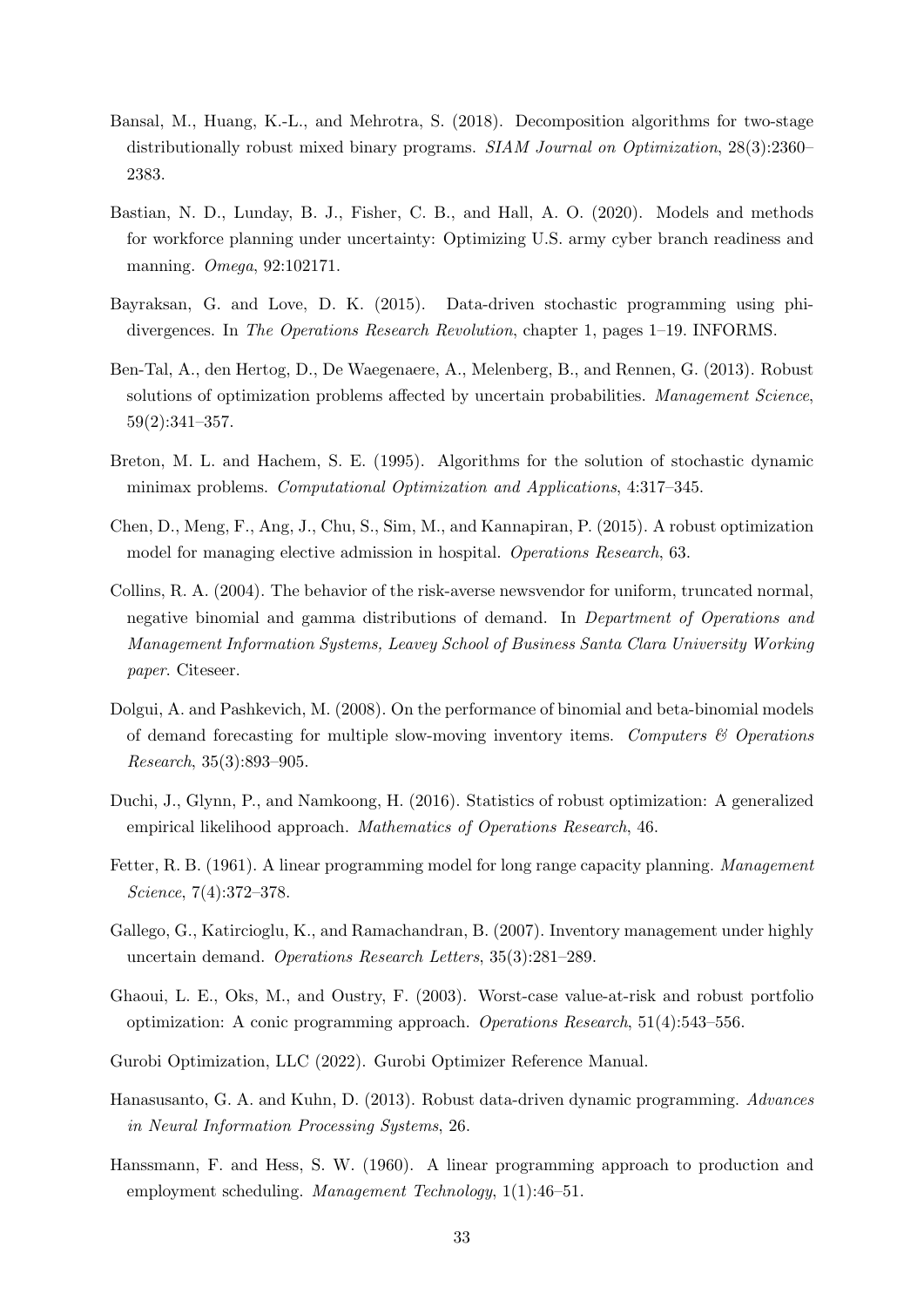- <span id="page-34-13"></span>Bansal, M., Huang, K.-L., and Mehrotra, S. (2018). Decomposition algorithms for two-stage distributionally robust mixed binary programs. SIAM Journal on Optimization, 28(3):2360– 2383.
- <span id="page-34-5"></span>Bastian, N. D., Lunday, B. J., Fisher, C. B., and Hall, A. O. (2020). Models and methods for workforce planning under uncertainty: Optimizing U.S. army cyber branch readiness and manning. Omega, 92:102171.
- <span id="page-34-10"></span>Bayraksan, G. and Love, D. K. (2015). Data-driven stochastic programming using phidivergences. In The Operations Research Revolution, chapter 1, pages 1–19. INFORMS.
- <span id="page-34-9"></span>Ben-Tal, A., den Hertog, D., De Waegenaere, A., Melenberg, B., and Rennen, G. (2013). Robust solutions of optimization problems affected by uncertain probabilities. Management Science, 59(2):341–357.
- <span id="page-34-7"></span>Breton, M. L. and Hachem, S. E. (1995). Algorithms for the solution of stochastic dynamic minimax problems. Computational Optimization and Applications, 4:317–345.
- <span id="page-34-6"></span>Chen, D., Meng, F., Ang, J., Chu, S., Sim, M., and Kannapiran, P. (2015). A robust optimization model for managing elective admission in hospital. Operations Research, 63.
- <span id="page-34-0"></span>Collins, R. A. (2004). The behavior of the risk-averse newsvendor for uniform, truncated normal, negative binomial and gamma distributions of demand. In Department of Operations and Management Information Systems, Leavey School of Business Santa Clara University Working paper. Citeseer.
- <span id="page-34-2"></span>Dolgui, A. and Pashkevich, M. (2008). On the performance of binomial and beta-binomial models of demand forecasting for multiple slow-moving inventory items. Computers  $\mathcal C$  Operations Research, 35(3):893–905.
- <span id="page-34-11"></span>Duchi, J., Glynn, P., and Namkoong, H. (2016). Statistics of robust optimization: A generalized empirical likelihood approach. Mathematics of Operations Research, 46.
- <span id="page-34-4"></span>Fetter, R. B. (1961). A linear programming model for long range capacity planning. Management Science, 7(4):372–378.
- <span id="page-34-1"></span>Gallego, G., Katircioglu, K., and Ramachandran, B. (2007). Inventory management under highly uncertain demand. Operations Research Letters, 35(3):281–289.
- <span id="page-34-8"></span>Ghaoui, L. E., Oks, M., and Oustry, F. (2003). Worst-case value-at-risk and robust portfolio optimization: A conic programming approach. Operations Research, 51(4):543–556.
- <span id="page-34-14"></span>Gurobi Optimization, LLC (2022). Gurobi Optimizer Reference Manual.
- <span id="page-34-12"></span>Hanasusanto, G. A. and Kuhn, D. (2013). Robust data-driven dynamic programming. Advances in Neural Information Processing Systems, 26.
- <span id="page-34-3"></span>Hanssmann, F. and Hess, S. W. (1960). A linear programming approach to production and employment scheduling. Management Technology, 1(1):46–51.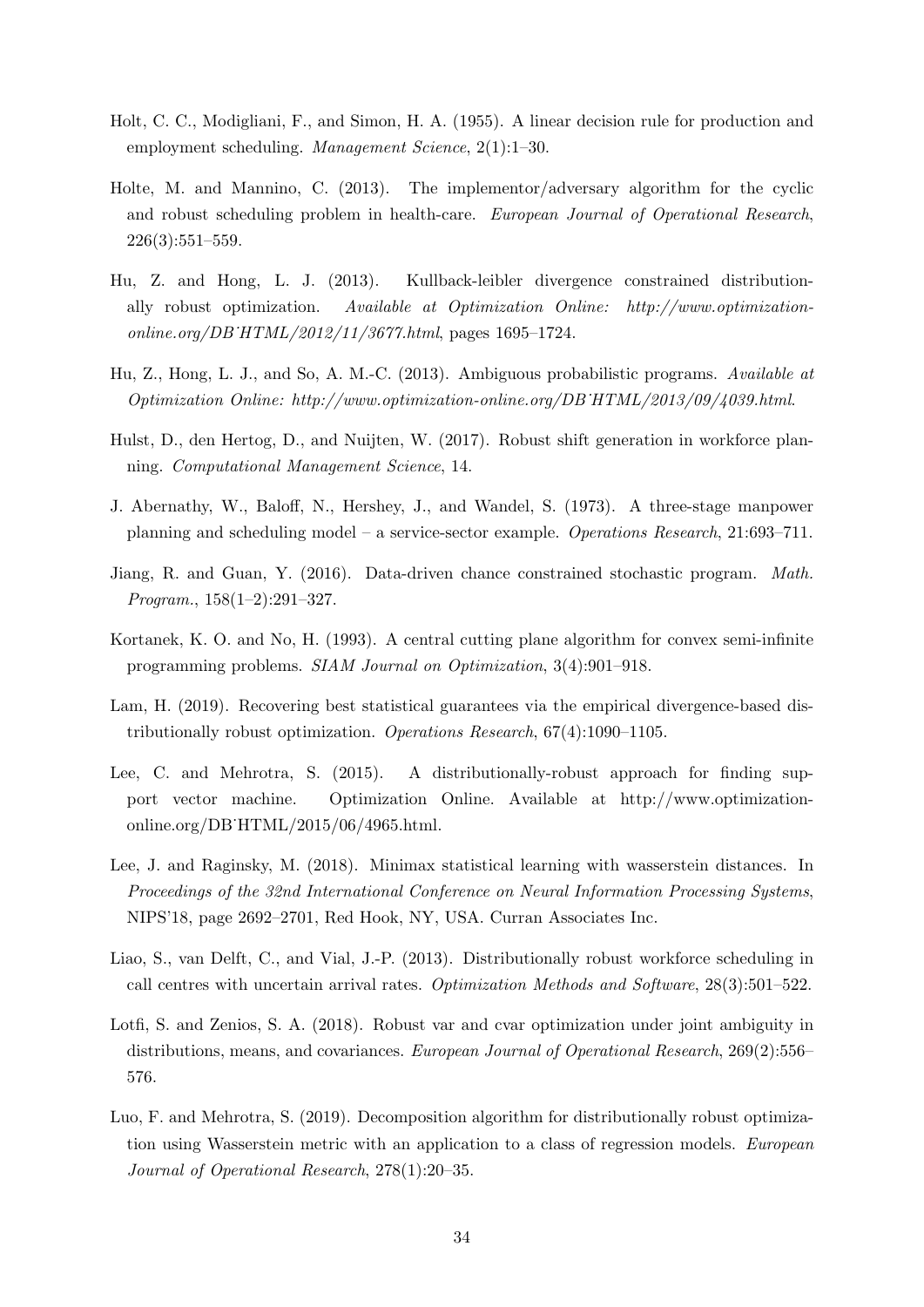- <span id="page-35-0"></span>Holt, C. C., Modigliani, F., and Simon, H. A. (1955). A linear decision rule for production and employment scheduling. Management Science, 2(1):1–30.
- <span id="page-35-2"></span>Holte, M. and Mannino, C. (2013). The implementor/adversary algorithm for the cyclic and robust scheduling problem in health-care. European Journal of Operational Research, 226(3):551–559.
- <span id="page-35-11"></span>Hu, Z. and Hong, L. J. (2013). Kullback-leibler divergence constrained distributionally robust optimization. Available at Optimization Online: http://www.optimizationonline.org/DB˙HTML/2012/11/3677.html, pages 1695–1724.
- <span id="page-35-8"></span>Hu, Z., Hong, L. J., and So, A. M.-C. (2013). Ambiguous probabilistic programs. Available at Optimization Online: http://www.optimization-online.org/DB˙HTML/2013/09/4039.html.
- <span id="page-35-3"></span>Hulst, D., den Hertog, D., and Nuijten, W. (2017). Robust shift generation in workforce planning. Computational Management Science, 14.
- <span id="page-35-1"></span>J. Abernathy, W., Baloff, N., Hershey, J., and Wandel, S. (1973). A three-stage manpower planning and scheduling model – a service-sector example. Operations Research, 21:693–711.
- <span id="page-35-9"></span>Jiang, R. and Guan, Y. (2016). Data-driven chance constrained stochastic program. Math. Program., 158(1–2):291–327.
- <span id="page-35-12"></span>Kortanek, K. O. and No, H. (1993). A central cutting plane algorithm for convex semi-infinite programming problems. SIAM Journal on Optimization, 3(4):901–918.
- <span id="page-35-10"></span>Lam, H. (2019). Recovering best statistical guarantees via the empirical divergence-based distributionally robust optimization. Operations Research, 67(4):1090–1105.
- <span id="page-35-6"></span>Lee, C. and Mehrotra, S. (2015). A distributionally-robust approach for finding support vector machine. Optimization Online. Available at http://www.optimizationonline.org/DB˙HTML/2015/06/4965.html.
- <span id="page-35-7"></span>Lee, J. and Raginsky, M. (2018). Minimax statistical learning with wasserstein distances. In Proceedings of the 32nd International Conference on Neural Information Processing Systems, NIPS'18, page 2692–2701, Red Hook, NY, USA. Curran Associates Inc.
- <span id="page-35-4"></span>Liao, S., van Delft, C., and Vial, J.-P. (2013). Distributionally robust workforce scheduling in call centres with uncertain arrival rates. Optimization Methods and Software, 28(3):501–522.
- <span id="page-35-5"></span>Lotfi, S. and Zenios, S. A. (2018). Robust var and cvar optimization under joint ambiguity in distributions, means, and covariances. European Journal of Operational Research, 269(2):556– 576.
- <span id="page-35-13"></span>Luo, F. and Mehrotra, S. (2019). Decomposition algorithm for distributionally robust optimization using Wasserstein metric with an application to a class of regression models. European Journal of Operational Research, 278(1):20–35.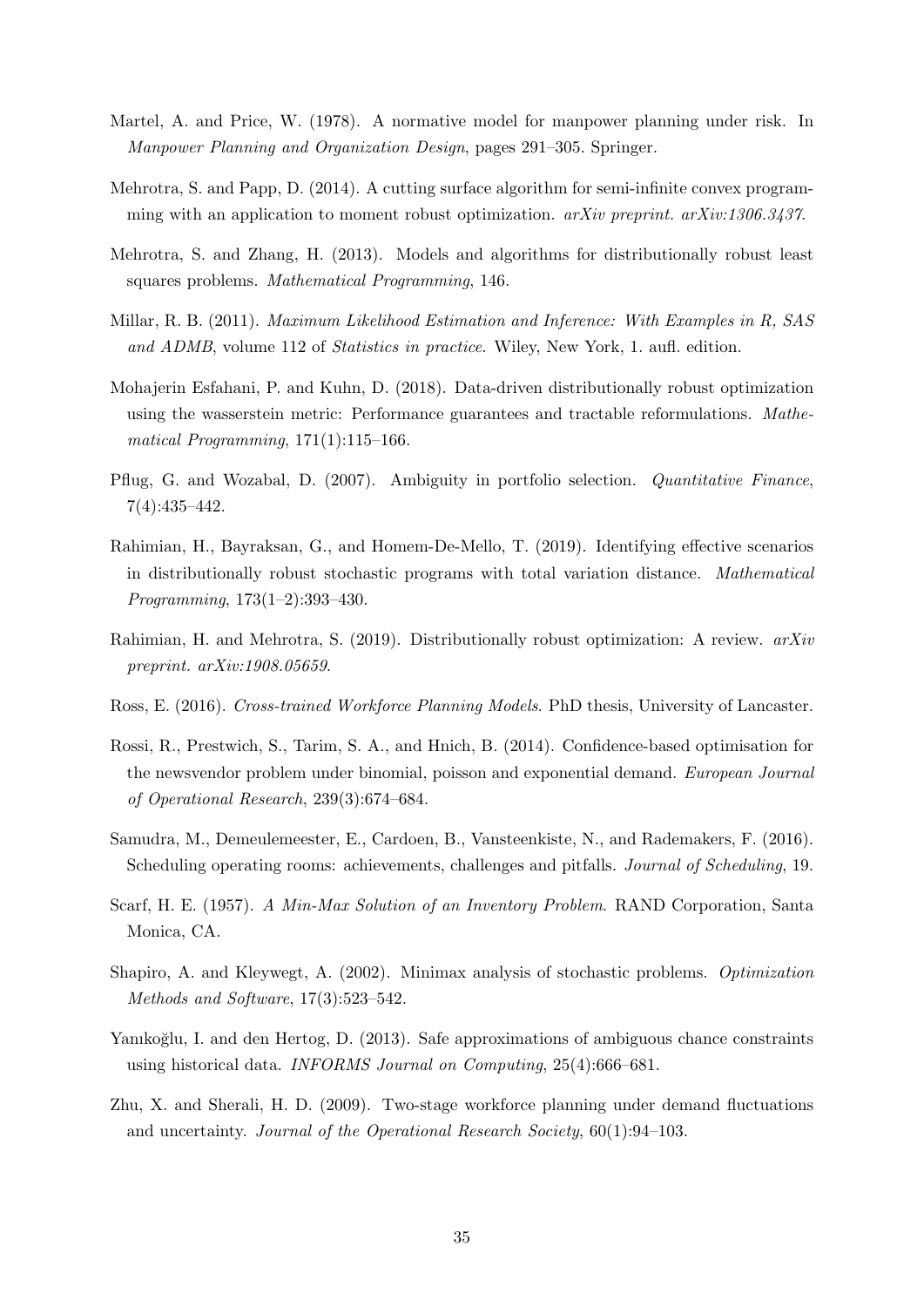- <span id="page-36-2"></span>Martel, A. and Price, W. (1978). A normative model for manpower planning under risk. In Manpower Planning and Organization Design, pages 291–305. Springer.
- <span id="page-36-11"></span>Mehrotra, S. and Papp, D. (2014). A cutting surface algorithm for semi-infinite convex programming with an application to moment robust optimization.  $arXiv$  preprint.  $arXiv:1306.3437$ .
- <span id="page-36-9"></span>Mehrotra, S. and Zhang, H. (2013). Models and algorithms for distributionally robust least squares problems. Mathematical Programming, 146.
- <span id="page-36-13"></span>Millar, R. B. (2011). Maximum Likelihood Estimation and Inference: With Examples in R, SAS and ADMB, volume 112 of Statistics in practice. Wiley, New York, 1. aufl. edition.
- <span id="page-36-7"></span>Mohajerin Esfahani, P. and Kuhn, D. (2018). Data-driven distributionally robust optimization using the wasserstein metric: Performance guarantees and tractable reformulations. Mathematical Programming,  $171(1):115-166$ .
- <span id="page-36-8"></span>Pflug, G. and Wozabal, D. (2007). Ambiguity in portfolio selection. Quantitative Finance, 7(4):435–442.
- <span id="page-36-12"></span>Rahimian, H., Bayraksan, G., and Homem-De-Mello, T. (2019). Identifying effective scenarios in distributionally robust stochastic programs with total variation distance. Mathematical Programming, 173(1–2):393–430.
- <span id="page-36-14"></span>Rahimian, H. and Mehrotra, S. (2019). Distributionally robust optimization: A review. arXiv preprint. arXiv:1908.05659.
- <span id="page-36-0"></span>Ross, E. (2016). Cross-trained Workforce Planning Models. PhD thesis, University of Lancaster.
- <span id="page-36-1"></span>Rossi, R., Prestwich, S., Tarim, S. A., and Hnich, B. (2014). Confidence-based optimisation for the newsvendor problem under binomial, poisson and exponential demand. European Journal of Operational Research, 239(3):674–684.
- <span id="page-36-4"></span>Samudra, M., Demeulemeester, E., Cardoen, B., Vansteenkiste, N., and Rademakers, F. (2016). Scheduling operating rooms: achievements, challenges and pitfalls. Journal of Scheduling, 19.
- <span id="page-36-5"></span>Scarf, H. E. (1957). A Min-Max Solution of an Inventory Problem. RAND Corporation, Santa Monica, CA.
- <span id="page-36-6"></span>Shapiro, A. and Kleywegt, A. (2002). Minimax analysis of stochastic problems. Optimization Methods and Software, 17(3):523–542.
- <span id="page-36-10"></span>Yanıkoğlu, I. and den Hertog, D. (2013). Safe approximations of ambiguous chance constraints using historical data. INFORMS Journal on Computing, 25(4):666–681.
- <span id="page-36-3"></span>Zhu, X. and Sherali, H. D. (2009). Two-stage workforce planning under demand fluctuations and uncertainty. Journal of the Operational Research Society, 60(1):94–103.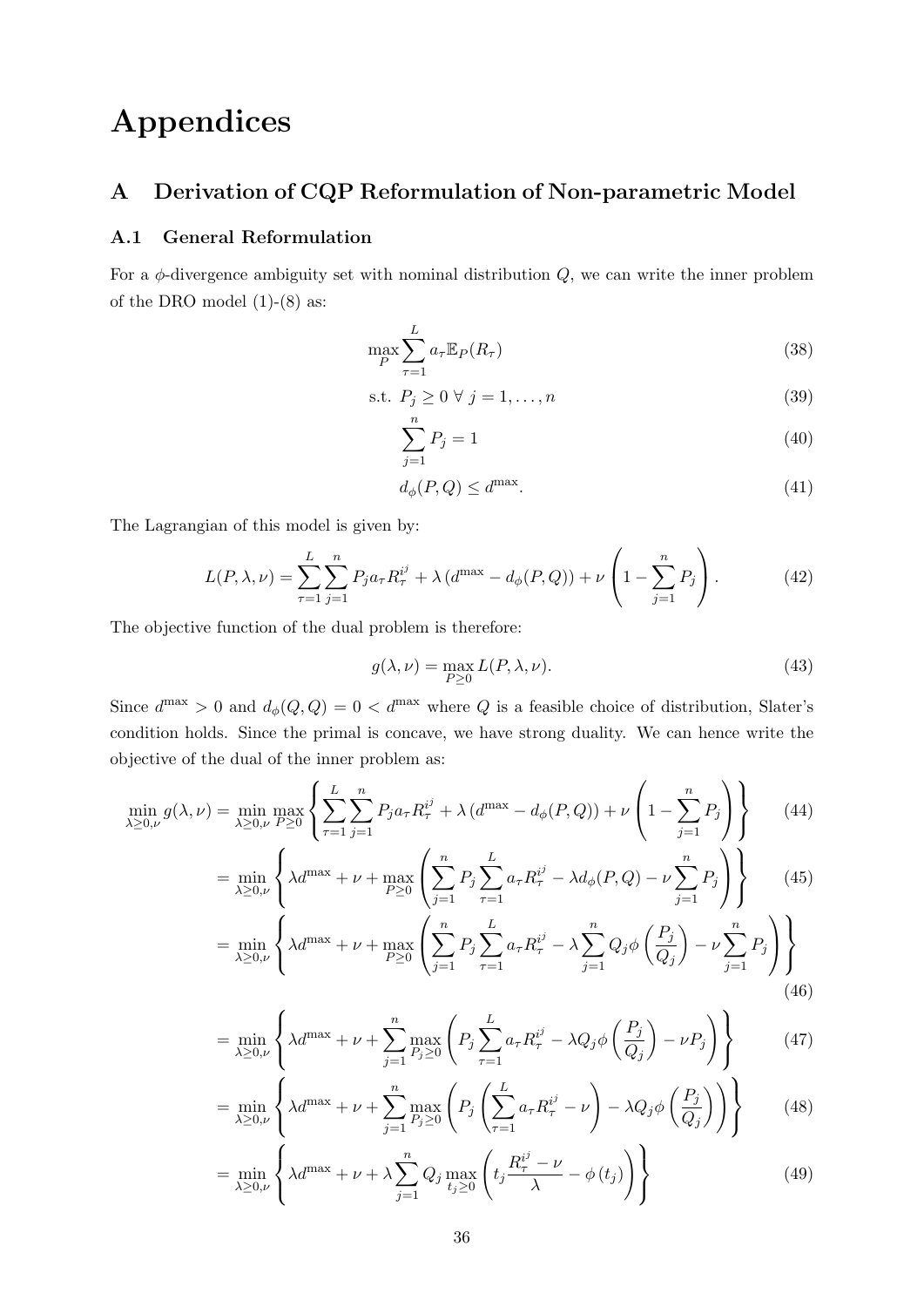# <span id="page-37-0"></span>Appendices

## <span id="page-37-1"></span>A Derivation of CQP Reformulation of Non-parametric Model

### <span id="page-37-2"></span>A.1 General Reformulation

For a  $\phi$ -divergence ambiguity set with nominal distribution  $Q$ , we can write the inner problem of the DRO model  $(1)-(8)$  as:

$$
\max_{P} \sum_{\tau=1}^{L} a_{\tau} \mathbb{E}_{P}(R_{\tau})
$$
\n(38)

$$
\text{s.t. } P_j \ge 0 \,\,\forall \,\, j = 1, \dots, n \tag{39}
$$

$$
\sum_{j=1}^{n} P_j = 1\tag{40}
$$

$$
d_{\phi}(P,Q) \le d^{\max}.\tag{41}
$$

The Lagrangian of this model is given by:

$$
L(P, \lambda, \nu) = \sum_{\tau=1}^{L} \sum_{j=1}^{n} P_j a_{\tau} R_{\tau}^{i^j} + \lambda (d^{\max} - d_{\phi}(P, Q)) + \nu \left( 1 - \sum_{j=1}^{n} P_j \right). \tag{42}
$$

The objective function of the dual problem is therefore:

$$
g(\lambda, \nu) = \max_{P \ge 0} L(P, \lambda, \nu).
$$
 (43)

Since  $d^{\max} > 0$  and  $d_{\phi}(Q, Q) = 0 < d^{\max}$  where Q is a feasible choice of distribution, Slater's condition holds. Since the primal is concave, we have strong duality. We can hence write the objective of the dual of the inner problem as:

$$
\min_{\lambda \ge 0,\nu} g(\lambda, \nu) = \min_{\lambda \ge 0,\nu} \max_{P \ge 0} \left\{ \sum_{\tau=1}^{L} \sum_{j=1}^{n} P_j a_{\tau} R_{\tau}^{i^j} + \lambda \left( d^{\max} - d_{\phi}(P, Q) \right) + \nu \left( 1 - \sum_{j=1}^{n} P_j \right) \right\}
$$
(44)

$$
= \min_{\lambda \ge 0,\nu} \left\{ \lambda d^{\max} + \nu + \max_{P \ge 0} \left( \sum_{j=1}^{n} P_j \sum_{\tau=1}^{L} a_{\tau} R_{\tau}^{i^{j}} - \lambda d_{\phi}(P,Q) - \nu \sum_{j=1}^{n} P_j \right) \right\}
$$
(45)

$$
= \min_{\lambda \ge 0,\nu} \left\{ \lambda d^{\max} + \nu + \max_{P \ge 0} \left( \sum_{j=1}^n P_j \sum_{\tau=1}^L a_\tau R_\tau^{i^j} - \lambda \sum_{j=1}^n Q_j \phi \left( \frac{P_j}{Q_j} \right) - \nu \sum_{j=1}^n P_j \right) \right\}
$$
(46)

$$
= \min_{\lambda \ge 0,\nu} \left\{ \lambda d^{\max} + \nu + \sum_{j=1}^{n} \max_{P_j \ge 0} \left( P_j \sum_{\tau=1}^{L} a_{\tau} R_{\tau}^{i^j} - \lambda Q_j \phi \left( \frac{P_j}{Q_j} \right) - \nu P_j \right) \right\}
$$
(47)

$$
= \min_{\lambda \ge 0,\nu} \left\{ \lambda d^{\max} + \nu + \sum_{j=1}^{n} \max_{P_j \ge 0} \left( P_j \left( \sum_{\tau=1}^{L} a_{\tau} R_{\tau}^{i^j} - \nu \right) - \lambda Q_j \phi \left( \frac{P_j}{Q_j} \right) \right) \right\}
$$
(48)

<span id="page-37-3"></span>
$$
= \min_{\lambda \ge 0,\nu} \left\{ \lambda d^{\max} + \nu + \lambda \sum_{j=1}^{n} Q_j \max_{t_j \ge 0} \left( t_j \frac{R_\tau^{i^j} - \nu}{\lambda} - \phi(t_j) \right) \right\}
$$
(49)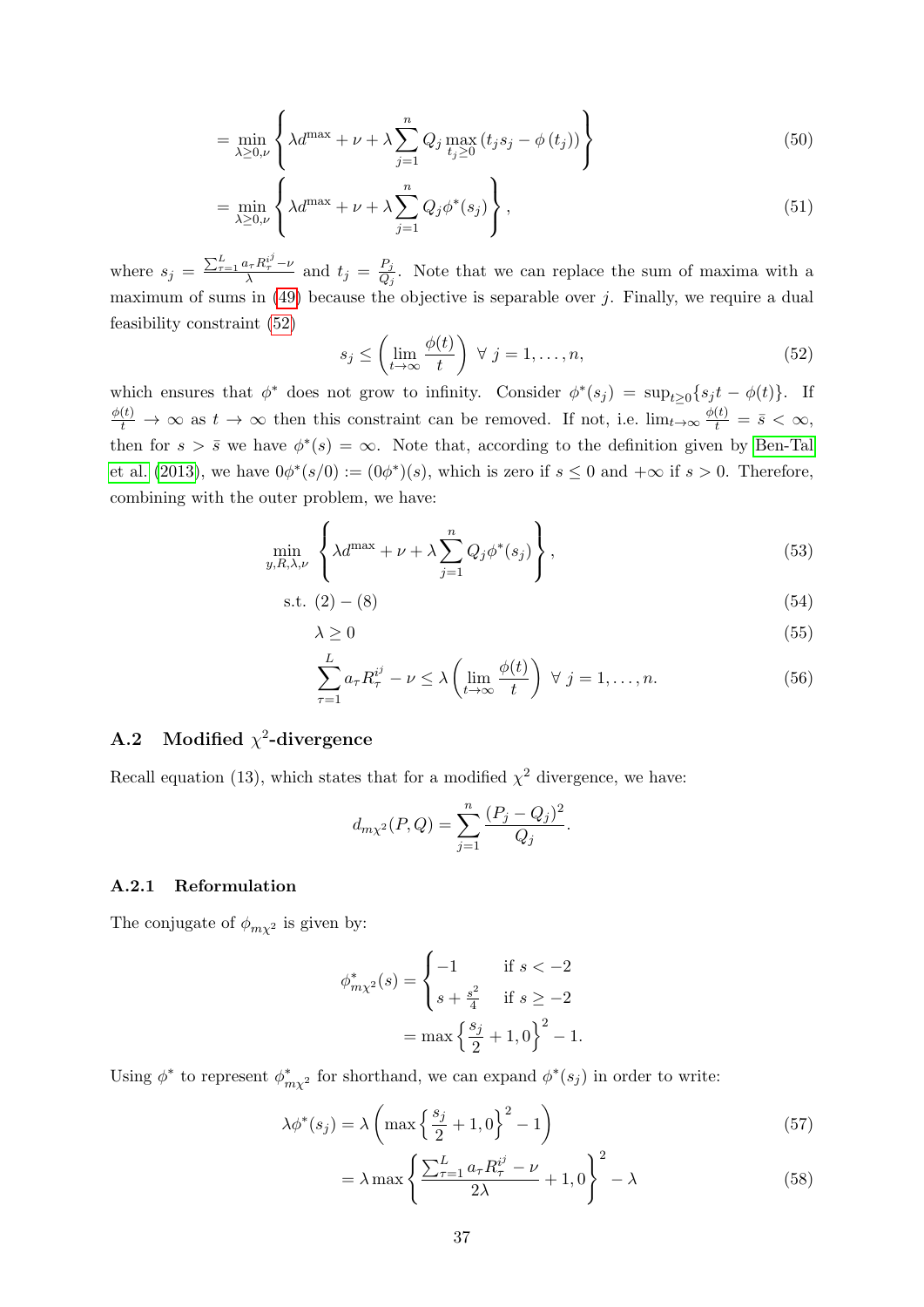$$
= \min_{\lambda \ge 0,\nu} \left\{ \lambda d^{\max} + \nu + \lambda \sum_{j=1}^{n} Q_j \max_{t_j \ge 0} (t_j s_j - \phi(t_j)) \right\}
$$
(50)

$$
= \min_{\lambda \ge 0,\nu} \left\{ \lambda d^{\max} + \nu + \lambda \sum_{j=1}^{n} Q_j \phi^*(s_j) \right\},\tag{51}
$$

where  $s_j = \frac{\sum_{\tau=1}^{L} a_{\tau} R_{\tau}^{i^j} - \nu}{\lambda}$  $rac{a_{\tau}R_{\tau}^{i'}-\nu}{\lambda}$  and  $t_j = \frac{P_j}{Q_j}$  $\frac{F_j}{Q_j}$ . Note that we can replace the sum of maxima with a maximum of sums in  $(49)$  because the objective is separable over j. Finally, we require a dual feasibility constraint [\(52\)](#page-38-2)

<span id="page-38-2"></span>
$$
s_j \le \left(\lim_{t \to \infty} \frac{\phi(t)}{t}\right) \ \forall \ j = 1, \dots, n,\tag{52}
$$

which ensures that  $\phi^*$  does not grow to infinity. Consider  $\phi^*(s_j) = \sup_{t \geq 0} \{ s_j t - \phi(t) \}.$  If  $\frac{\phi(t)}{t} \to \infty$  as  $t \to \infty$  then this constraint can be removed. If not, i.e.  $\lim_{t \to \infty} \frac{\phi(t)}{t}$  $\frac{(t)}{t} = \bar{s} < \infty,$ then for  $s > \bar{s}$  we have  $\phi^*(s) = \infty$ . Note that, according to the definition given by [Ben-Tal](#page-34-9) [et al.](#page-34-9) [\(2013\)](#page-34-9), we have  $0\phi^*(s/0) := (0\phi^*)(s)$ , which is zero if  $s \leq 0$  and  $+\infty$  if  $s > 0$ . Therefore, combining with the outer problem, we have:

$$
\min_{y,R,\lambda,\nu} \left\{ \lambda d^{\max} + \nu + \lambda \sum_{j=1}^{n} Q_j \phi^*(s_j) \right\},\tag{53}
$$

$$
s.t. (2) - (8) \tag{54}
$$

$$
\lambda \ge 0 \tag{55}
$$

$$
\sum_{\tau=1}^{L} a_{\tau} R_{\tau}^{i^{j}} - \nu \le \lambda \left( \lim_{t \to \infty} \frac{\phi(t)}{t} \right) \ \forall \ j = 1, \dots, n. \tag{56}
$$

### <span id="page-38-0"></span>A.2 Modified  $\chi^2$ -divergence

Recall equation (13), which states that for a modified  $\chi^2$  divergence, we have:

$$
d_{m\chi^{2}}(P,Q) = \sum_{j=1}^{n} \frac{(P_j - Q_j)^2}{Q_j}.
$$

#### <span id="page-38-1"></span>A.2.1 Reformulation

The conjugate of  $\phi_{m\chi^2}$  is given by:

$$
\phi_{m\chi^2}^*(s) = \begin{cases}\n-1 & \text{if } s < -2 \\
s + \frac{s^2}{4} & \text{if } s \ge -2\n\end{cases}
$$
\n
$$
= \max \left\{ \frac{s_j}{2} + 1, 0 \right\}^2 - 1.
$$

Using  $\phi^*$  to represent  $\phi^*_{m\chi^2}$  for shorthand, we can expand  $\phi^*(s_j)$  in order to write:

$$
\lambda \phi^*(s_j) = \lambda \left( \max \left\{ \frac{s_j}{2} + 1, 0 \right\}^2 - 1 \right)
$$
\n(57)

$$
= \lambda \max \left\{ \frac{\sum_{\tau=1}^{L} a_{\tau} R_{\tau}^{i^{j}} - \nu}{2\lambda} + 1, 0 \right\}^{2} - \lambda
$$
\n(58)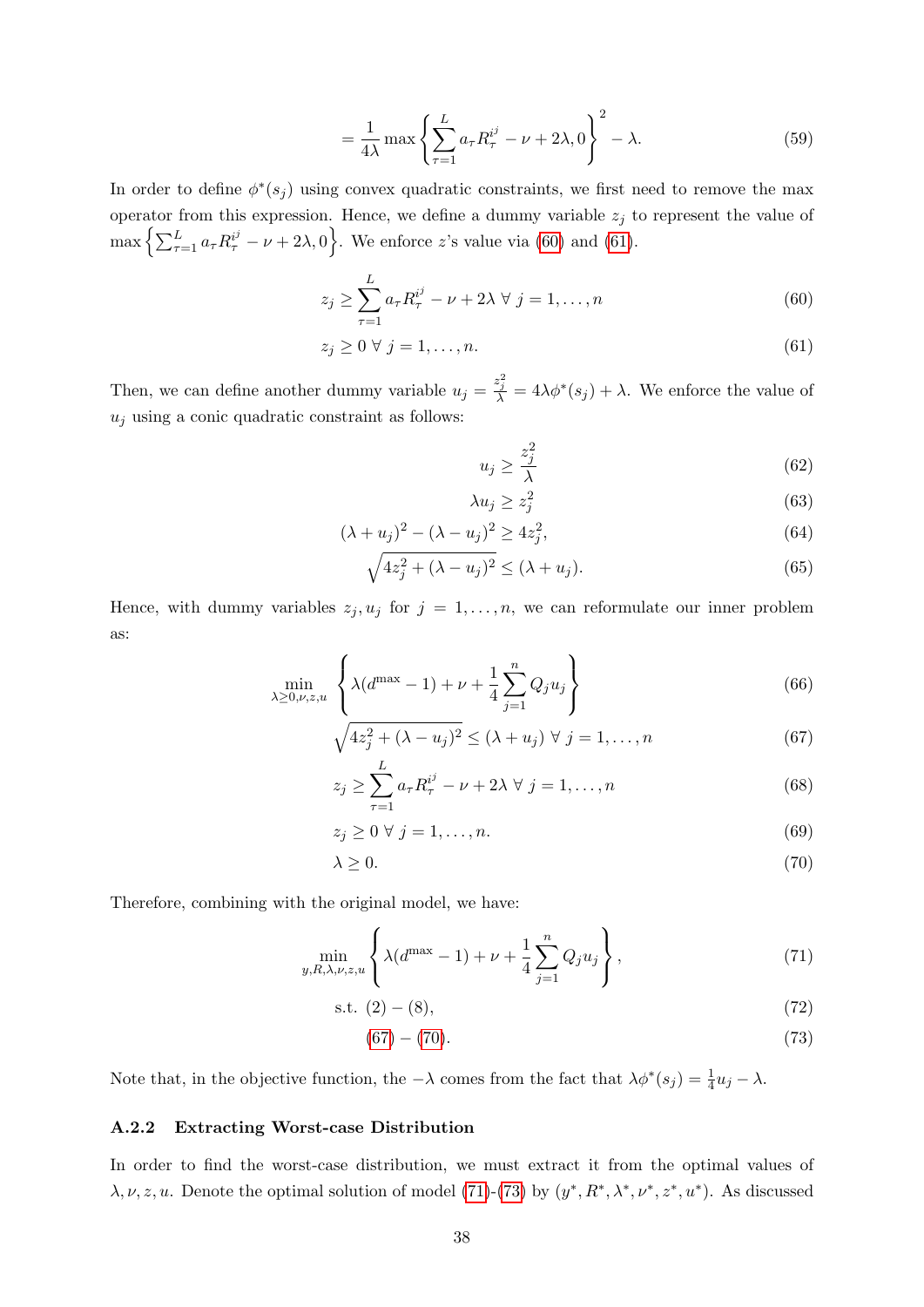$$
=\frac{1}{4\lambda}\max\left\{\sum_{\tau=1}^{L}a_{\tau}R_{\tau}^{i^{j}}-\nu+2\lambda,0\right\}^{2}-\lambda.
$$
\n(59)

In order to define  $\phi^*(s_j)$  using convex quadratic constraints, we first need to remove the max operator from this expression. Hence, we define a dummy variable  $z_j$  to represent the value of  $\max\left\{\sum_{\tau=1}^L a_\tau R_\tau^{i^j} - \nu + 2\lambda, 0\right\}.$  We enforce z's value via [\(60\)](#page-39-1) and [\(61\)](#page-39-2).

$$
z_j \ge \sum_{\tau=1}^L a_\tau R_\tau^{i^j} - \nu + 2\lambda \ \forall \ j = 1, \dots, n \tag{60}
$$

$$
z_j \ge 0 \ \forall \ j = 1, \dots, n. \tag{61}
$$

Then, we can define another dummy variable  $u_j = \frac{z_j^2}{\lambda} = 4\lambda \phi^*(s_j) + \lambda$ . We enforce the value of  $\boldsymbol{u}_j$  using a conic quadratic constraint as follows:

<span id="page-39-2"></span><span id="page-39-1"></span>
$$
u_j \ge \frac{z_j^2}{\lambda} \tag{62}
$$

<span id="page-39-3"></span>
$$
\lambda u_j \ge z_j^2 \tag{63}
$$

$$
(\lambda + u_j)^2 - (\lambda - u_j)^2 \ge 4z_j^2,
$$
\n<sup>(64)</sup>

$$
\sqrt{4z_j^2 + (\lambda - u_j)^2} \le (\lambda + u_j). \tag{65}
$$

Hence, with dummy variables  $z_j, u_j$  for  $j = 1, \ldots, n$ , we can reformulate our inner problem as:

$$
\min_{\lambda \ge 0, \nu, z, u} \left\{ \lambda (d^{\max} - 1) + \nu + \frac{1}{4} \sum_{j=1}^{n} Q_j u_j \right\}
$$
 (66)

$$
\sqrt{4z_j^2 + (\lambda - u_j)^2} \le (\lambda + u_j) \ \forall \ j = 1, \dots, n
$$
\n<sup>(67)</sup>

$$
z_j \ge \sum_{\tau=1}^L a_\tau R_\tau^{i^j} - \nu + 2\lambda \ \forall \ j = 1, \dots, n \tag{68}
$$

<span id="page-39-4"></span>
$$
z_j \ge 0 \,\,\forall \,\, j = 1, \dots, n. \tag{69}
$$

$$
\lambda \ge 0. \tag{70}
$$

Therefore, combining with the original model, we have:

$$
\min_{y,R,\lambda,\nu,z,u} \left\{ \lambda(d^{\max} - 1) + \nu + \frac{1}{4} \sum_{j=1}^{n} Q_j u_j \right\},
$$
\n(71)

$$
s.t. (2) - (8), \tag{72}
$$

<span id="page-39-6"></span><span id="page-39-5"></span>
$$
(67) - (70). \t\t(73)
$$

Note that, in the objective function, the  $-\lambda$  comes from the fact that  $\lambda \phi^*(s_j) = \frac{1}{4} u_j - \lambda$ .

#### <span id="page-39-0"></span>A.2.2 Extracting Worst-case Distribution

In order to find the worst-case distribution, we must extract it from the optimal values of  $\lambda, \nu, z, u$ . Denote the optimal solution of model [\(71\)](#page-39-5)-[\(73\)](#page-39-6) by  $(y^*, R^*, \lambda^*, \nu^*, z^*, u^*)$ . As discussed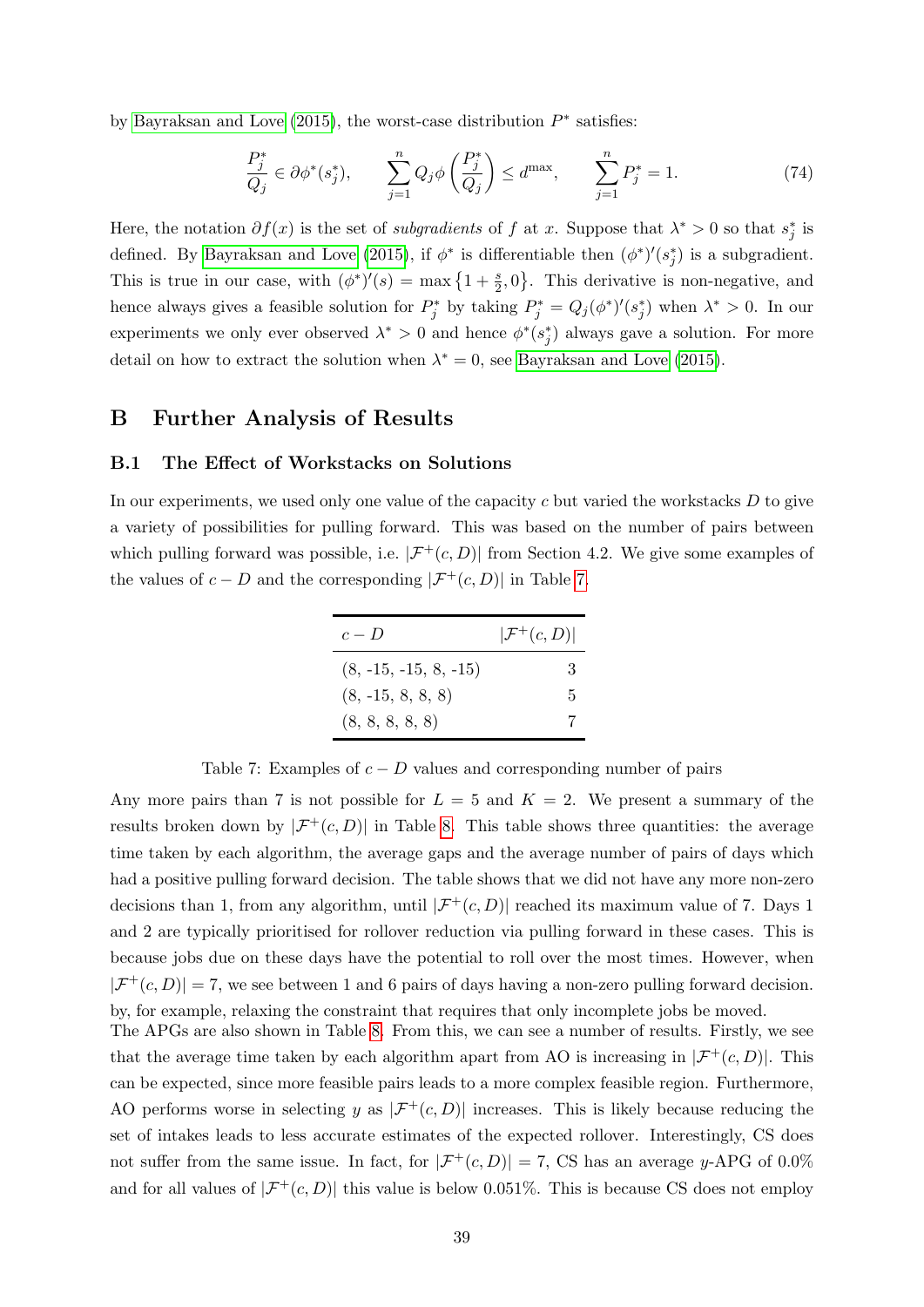by [Bayraksan and Love](#page-34-10) [\(2015\)](#page-34-10), the worst-case distribution  $P^*$  satisfies:

$$
\frac{P_j^*}{Q_j} \in \partial \phi^*(s_j^*), \qquad \sum_{j=1}^n Q_j \phi \left(\frac{P_j^*}{Q_j}\right) \le d^{\max}, \qquad \sum_{j=1}^n P_j^* = 1. \tag{74}
$$

Here, the notation  $\partial f(x)$  is the set of *subgradients* of f at x. Suppose that  $\lambda^* > 0$  so that  $s_j^*$  is defined. By [Bayraksan and Love](#page-34-10) [\(2015\)](#page-34-10), if  $\phi^*$  is differentiable then  $(\phi^*)'(s_j^*)$  is a subgradient. This is true in our case, with  $(\phi^*)'(s) = \max\left\{1 + \frac{s}{2}, 0\right\}$ . This derivative is non-negative, and hence always gives a feasible solution for  $P_j^*$  by taking  $P_j^* = Q_j(\phi^*)'(s_j^*)$  when  $\lambda^* > 0$ . In our experiments we only ever observed  $\lambda^* > 0$  and hence  $\phi^*(s_j^*)$  always gave a solution. For more detail on how to extract the solution when  $\lambda^* = 0$ , see [Bayraksan and Love](#page-34-10) [\(2015\)](#page-34-10).

### <span id="page-40-0"></span>B Further Analysis of Results

#### <span id="page-40-1"></span>B.1 The Effect of Workstacks on Solutions

<span id="page-40-2"></span>In our experiments, we used only one value of the capacity  $c$  but varied the workstacks  $D$  to give a variety of possibilities for pulling forward. This was based on the number of pairs between which pulling forward was possible, i.e.  $|\mathcal{F}^+(c, D)|$  from Section 4.2. We give some examples of the values of  $c - D$  and the corresponding  $|\mathcal{F}^{+}(c, D)|$  in Table [7.](#page-40-2)

| $c-D$                   | $ \mathcal{F}^+(c,D) $ |
|-------------------------|------------------------|
| $(8, -15, -15, 8, -15)$ | 3                      |
| $(8, -15, 8, 8, 8)$     | 5                      |
| (8, 8, 8, 8, 8)         |                        |

Table 7: Examples of  $c - D$  values and corresponding number of pairs

Any more pairs than 7 is not possible for  $L = 5$  and  $K = 2$ . We present a summary of the results broken down by  $|\mathcal{F}^+(c,D)|$  in Table [8.](#page-41-1) This table shows three quantities: the average time taken by each algorithm, the average gaps and the average number of pairs of days which had a positive pulling forward decision. The table shows that we did not have any more non-zero decisions than 1, from any algorithm, until  $|\mathcal{F}^+(c, D)|$  reached its maximum value of 7. Days 1 and 2 are typically prioritised for rollover reduction via pulling forward in these cases. This is because jobs due on these days have the potential to roll over the most times. However, when  $|\mathcal{F}^+(c,D)| = 7$ , we see between 1 and 6 pairs of days having a non-zero pulling forward decision. by, for example, relaxing the constraint that requires that only incomplete jobs be moved. The APGs are also shown in Table [8.](#page-41-1) From this, we can see a number of results. Firstly, we see

that the average time taken by each algorithm apart from AO is increasing in  $|\mathcal{F}^+(c,D)|$ . This can be expected, since more feasible pairs leads to a more complex feasible region. Furthermore, AO performs worse in selecting y as  $|\mathcal{F}^+(c,D)|$  increases. This is likely because reducing the set of intakes leads to less accurate estimates of the expected rollover. Interestingly, CS does not suffer from the same issue. In fact, for  $|\mathcal{F}^+(c,D)| = 7$ , CS has an average y-APG of 0.0% and for all values of  $|\mathcal{F}^+(c, D)|$  this value is below 0.051%. This is because CS does not employ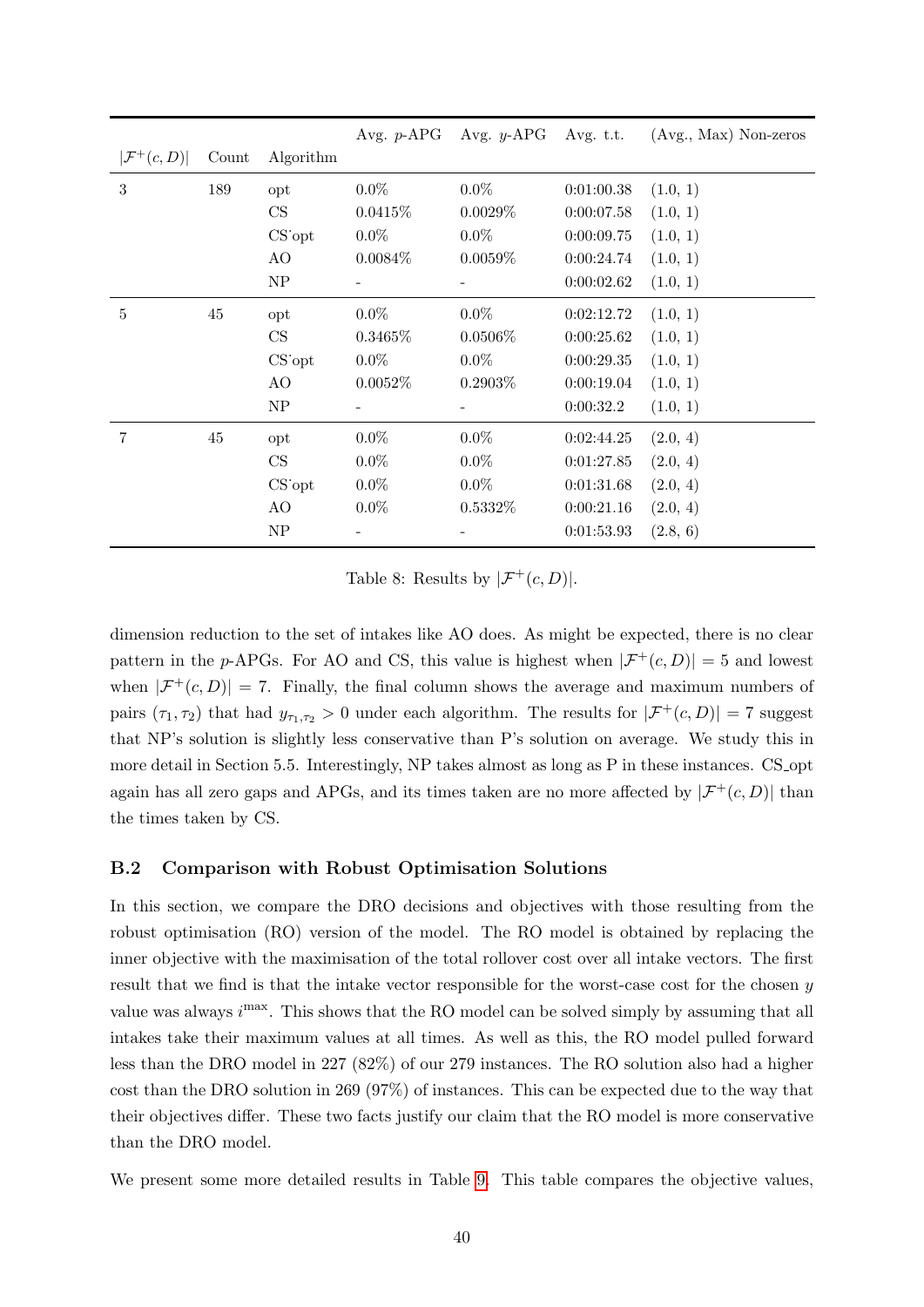<span id="page-41-1"></span>

|                        |        |            |                          |            |            | Avg. p-APG Avg. y-APG Avg. t.t. (Avg., Max) Non-zeros |
|------------------------|--------|------------|--------------------------|------------|------------|-------------------------------------------------------|
| $ \mathcal{F}^+(c,D) $ | Count  | Algorithm  |                          |            |            |                                                       |
| 3                      | 189    | opt        | $0.0\%$                  | $0.0\%$    | 0:01:00.38 | (1.0, 1)                                              |
|                        |        | CS         | 0.0415%                  | 0.0029%    | 0:00:07.58 | (1.0, 1)                                              |
|                        |        | $CS$ opt   | $0.0\%$                  | $0.0\%$    | 0:00:09.75 | (1.0, 1)                                              |
|                        |        | AO         | $0.0084\%$               | $0.0059\%$ | 0:00:24.74 | (1.0, 1)                                              |
|                        |        | NP         | $\overline{\phantom{a}}$ | -          | 0:00:02.62 | (1.0, 1)                                              |
| $\bf 5$                | $45\,$ | opt        | $0.0\%$                  | $0.0\%$    | 0:02:12.72 | (1.0, 1)                                              |
|                        |        | CS         | 0.3465%                  | $0.0506\%$ | 0:00:25.62 | (1.0, 1)                                              |
|                        |        | $CS$ opt   | $0.0\%$                  | $0.0\%$    | 0:00:29.35 | (1.0, 1)                                              |
|                        |        | AO         | $0.0052\%$               | $0.2903\%$ | 0:00:19.04 | (1.0, 1)                                              |
|                        |        | NP         |                          |            | 0:00:32.2  | (1.0, 1)                                              |
| 7                      | 45     | opt        | $0.0\%$                  | $0.0\%$    | 0:02:44.25 | (2.0, 4)                                              |
|                        |        | CS         | $0.0\%$                  | $0.0\%$    | 0:01:27.85 | (2.0, 4)                                              |
|                        |        | $CS$ opt   | $0.0\%$                  | $0.0\%$    | 0:01:31.68 | (2.0, 4)                                              |
|                        |        | AO         | $0.0\%$                  | $0.5332\%$ | 0:00:21.16 | (2.0, 4)                                              |
|                        |        | ${\rm NP}$ |                          |            | 0:01:53.93 | (2.8, 6)                                              |

Table 8: Results by  $|\mathcal{F}^+(c,D)|$ .

dimension reduction to the set of intakes like AO does. As might be expected, there is no clear pattern in the p-APGs. For AO and CS, this value is highest when  $|\mathcal{F}^+(c,D)|=5$  and lowest when  $|\mathcal{F}^+(c,D)| = 7$ . Finally, the final column shows the average and maximum numbers of pairs  $(\tau_1, \tau_2)$  that had  $y_{\tau_1, \tau_2} > 0$  under each algorithm. The results for  $|\mathcal{F}^+(c, D)| = 7$  suggest that NP's solution is slightly less conservative than P's solution on average. We study this in more detail in Section 5.5. Interestingly, NP takes almost as long as P in these instances. CS\_opt again has all zero gaps and APGs, and its times taken are no more affected by  $|\mathcal{F}^+(c,D)|$  than the times taken by CS.

#### <span id="page-41-0"></span>B.2 Comparison with Robust Optimisation Solutions

In this section, we compare the DRO decisions and objectives with those resulting from the robust optimisation (RO) version of the model. The RO model is obtained by replacing the inner objective with the maximisation of the total rollover cost over all intake vectors. The first result that we find is that the intake vector responsible for the worst-case cost for the chosen y value was always  $i<sup>max</sup>$ . This shows that the RO model can be solved simply by assuming that all intakes take their maximum values at all times. As well as this, the RO model pulled forward less than the DRO model in 227 (82%) of our 279 instances. The RO solution also had a higher cost than the DRO solution in 269 (97%) of instances. This can be expected due to the way that their objectives differ. These two facts justify our claim that the RO model is more conservative than the DRO model.

We present some more detailed results in Table [9.](#page-42-1) This table compares the objective values,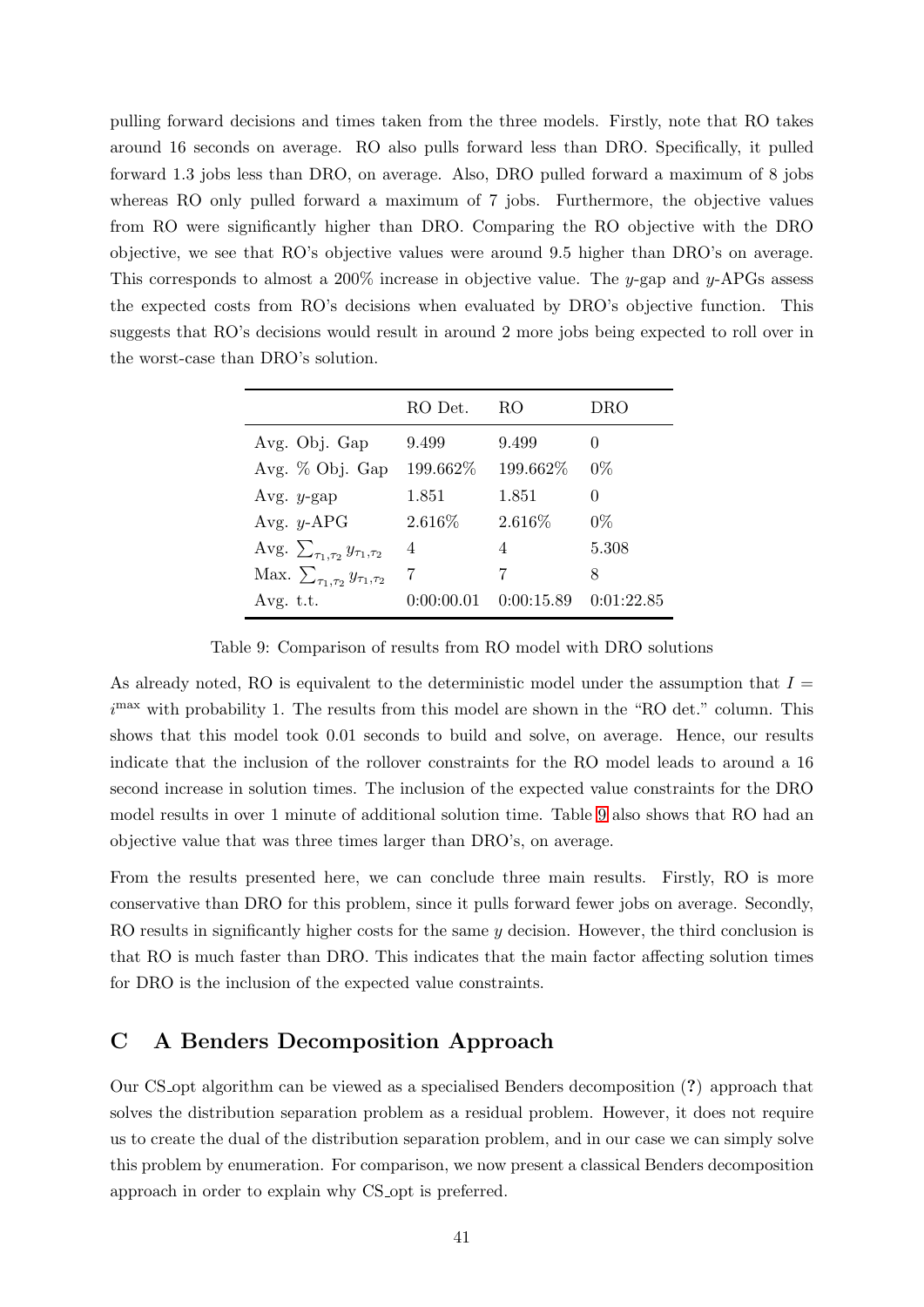pulling forward decisions and times taken from the three models. Firstly, note that RO takes around 16 seconds on average. RO also pulls forward less than DRO. Specifically, it pulled forward 1.3 jobs less than DRO, on average. Also, DRO pulled forward a maximum of 8 jobs whereas RO only pulled forward a maximum of 7 jobs. Furthermore, the objective values from RO were significantly higher than DRO. Comparing the RO objective with the DRO objective, we see that RO's objective values were around 9.5 higher than DRO's on average. This corresponds to almost a  $200\%$  increase in objective value. The y-gap and y-APGs assess the expected costs from RO's decisions when evaluated by DRO's objective function. This suggests that RO's decisions would result in around 2 more jobs being expected to roll over in the worst-case than DRO's solution.

<span id="page-42-1"></span>

|                                               | RO Det.    | RO         | DRO        |
|-----------------------------------------------|------------|------------|------------|
| Avg. Obj. Gap                                 | 9.499      | 9.499      |            |
| Avg. % Obj. Gap                               | 199.662%   | 199.662%   | $0\%$      |
| Avg. $y$ -gap                                 | 1.851      | 1.851      | 0          |
| Avg. $y$ -APG                                 | $2.616\%$  | $2.616\%$  | $0\%$      |
| Avg. $\sum_{\tau_1,\tau_2} y_{\tau_1,\tau_2}$ | 4          | 4          | 5.308      |
| Max. $\sum_{\tau_1,\tau_2} y_{\tau_1,\tau_2}$ |            | 7          | 8          |
| Avg. $t.t.$                                   | 0:00:00.01 | 0:00:15.89 | 0:01:22.85 |

Table 9: Comparison of results from RO model with DRO solutions

As already noted, RO is equivalent to the deterministic model under the assumption that  $I =$  $i<sup>max</sup>$  with probability 1. The results from this model are shown in the "RO det." column. This shows that this model took 0.01 seconds to build and solve, on average. Hence, our results indicate that the inclusion of the rollover constraints for the RO model leads to around a 16 second increase in solution times. The inclusion of the expected value constraints for the DRO model results in over 1 minute of additional solution time. Table [9](#page-42-1) also shows that RO had an objective value that was three times larger than DRO's, on average.

From the results presented here, we can conclude three main results. Firstly, RO is more conservative than DRO for this problem, since it pulls forward fewer jobs on average. Secondly, RO results in significantly higher costs for the same  $y$  decision. However, the third conclusion is that RO is much faster than DRO. This indicates that the main factor affecting solution times for DRO is the inclusion of the expected value constraints.

## <span id="page-42-0"></span>C A Benders Decomposition Approach

Our CS opt algorithm can be viewed as a specialised Benders decomposition (?) approach that solves the distribution separation problem as a residual problem. However, it does not require us to create the dual of the distribution separation problem, and in our case we can simply solve this problem by enumeration. For comparison, we now present a classical Benders decomposition approach in order to explain why CS opt is preferred.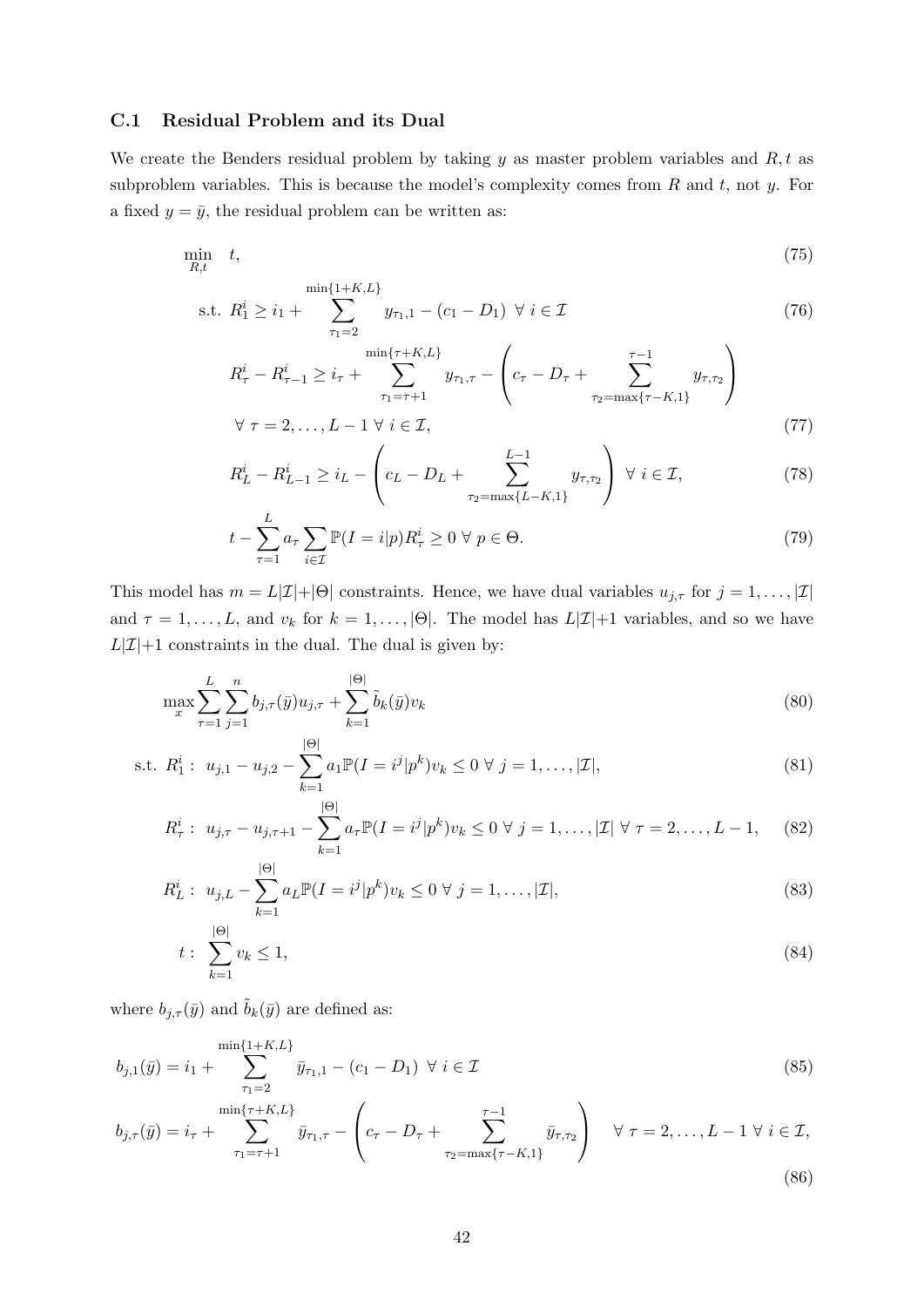#### <span id="page-43-0"></span>C.1 Residual Problem and its Dual

We create the Benders residual problem by taking  $y$  as master problem variables and  $R, t$  as subproblem variables. This is because the model's complexity comes from  $R$  and  $t$ , not  $y$ . For a fixed  $y = \bar{y}$ , the residual problem can be written as:

$$
\min_{R,t} \quad t,\tag{75}
$$

s.t. 
$$
R_1^i \ge i_1 + \sum_{\tau_1=2}^{\min\{1+K,L\}} y_{\tau_1,1} - (c_1 - D_1) \ \forall \ i \in \mathcal{I}
$$
 (76)

$$
R_{\tau}^{i} - R_{\tau-1}^{i} \geq i_{\tau} + \sum_{\tau_{1} = \tau+1}^{\min\{\tau + K, L\}} y_{\tau_{1}, \tau} - \left(c_{\tau} - D_{\tau} + \sum_{\tau_{2} = \max\{\tau - K, 1\}}^{\tau - 1} y_{\tau, \tau_{2}}\right)
$$
  

$$
\forall \tau = 2, \dots, L - 1 \ \forall \ i \in \mathcal{I},
$$
 (77)

$$
R_L^i - R_{L-1}^i \ge i_L - \left(c_L - D_L + \sum_{\tau_2 = \max\{L - K, 1\}}^{L-1} y_{\tau, \tau_2}\right) \ \forall \ i \in \mathcal{I},\tag{78}
$$

<span id="page-43-1"></span>
$$
t - \sum_{\tau=1}^{L} a_{\tau} \sum_{i \in \mathcal{I}} \mathbb{P}(I = i | p) R_{\tau}^{i} \ge 0 \ \forall \ p \in \Theta.
$$
 (79)

This model has  $m = L|\mathcal{I}|+|\Theta|$  constraints. Hence, we have dual variables  $u_{j,\tau}$  for  $j = 1, \ldots, |\mathcal{I}|$ and  $\tau = 1, \ldots, L$ , and  $v_k$  for  $k = 1, \ldots, |\Theta|$ . The model has  $L|\mathcal{I}|+1$  variables, and so we have  $L|\mathcal{I}|+1$  constraints in the dual. The dual is given by:

$$
\max_{x} \sum_{\tau=1}^{L} \sum_{j=1}^{n} b_{j,\tau}(\bar{y}) u_{j,\tau} + \sum_{k=1}^{|\Theta|} \tilde{b}_k(\bar{y}) v_k
$$
\n(80)

s.t. 
$$
R_1^i
$$
:  $u_{j,1} - u_{j,2} - \sum_{k=1}^{|\Theta|} a_1 \mathbb{P}(I = i^j | p^k) v_k \le 0 \ \forall \ j = 1, ..., |\mathcal{I}|,$  (81)

$$
R_{\tau}^{i}: u_{j,\tau} - u_{j,\tau+1} - \sum_{k=1}^{|\Theta|} a_{\tau} \mathbb{P}(I = i^{j} | p^{k}) v_{k} \leq 0 \ \forall \ j = 1, ..., |\mathcal{I}| \ \forall \ \tau = 2, ..., L-1, \quad (82)
$$

$$
R_L^i: \ u_{j,L} - \sum_{k=1}^{|\Theta|} a_L \mathbb{P}(I = i^j | p^k) v_k \le 0 \ \forall \ j = 1, \dots, |\mathcal{I}|,
$$
\n(83)

<span id="page-43-2"></span>
$$
t: \sum_{k=1}^{|\Theta|} v_k \le 1,\tag{84}
$$

where  $b_{j,\tau}(\bar{y})$  and  $\tilde{b}_k(\bar{y})$  are defined as:

$$
b_{j,1}(\bar{y}) = i_1 + \sum_{\tau_1=2}^{\min\{1+K,L\}} \bar{y}_{\tau_1,1} - (c_1 - D_1) \ \forall \ i \in \mathcal{I}
$$
\n(85)

$$
b_{j,\tau}(\bar{y}) = i_{\tau} + \sum_{\tau_1 = \tau+1}^{\min\{\tau + K, L\}} \bar{y}_{\tau_1, \tau} - \left(c_{\tau} - D_{\tau} + \sum_{\tau_2 = \max\{\tau - K, 1\}}^{\tau-1} \bar{y}_{\tau, \tau_2}\right) \quad \forall \ \tau = 2, \dots, L-1 \ \forall \ i \in \mathcal{I},
$$
\n(86)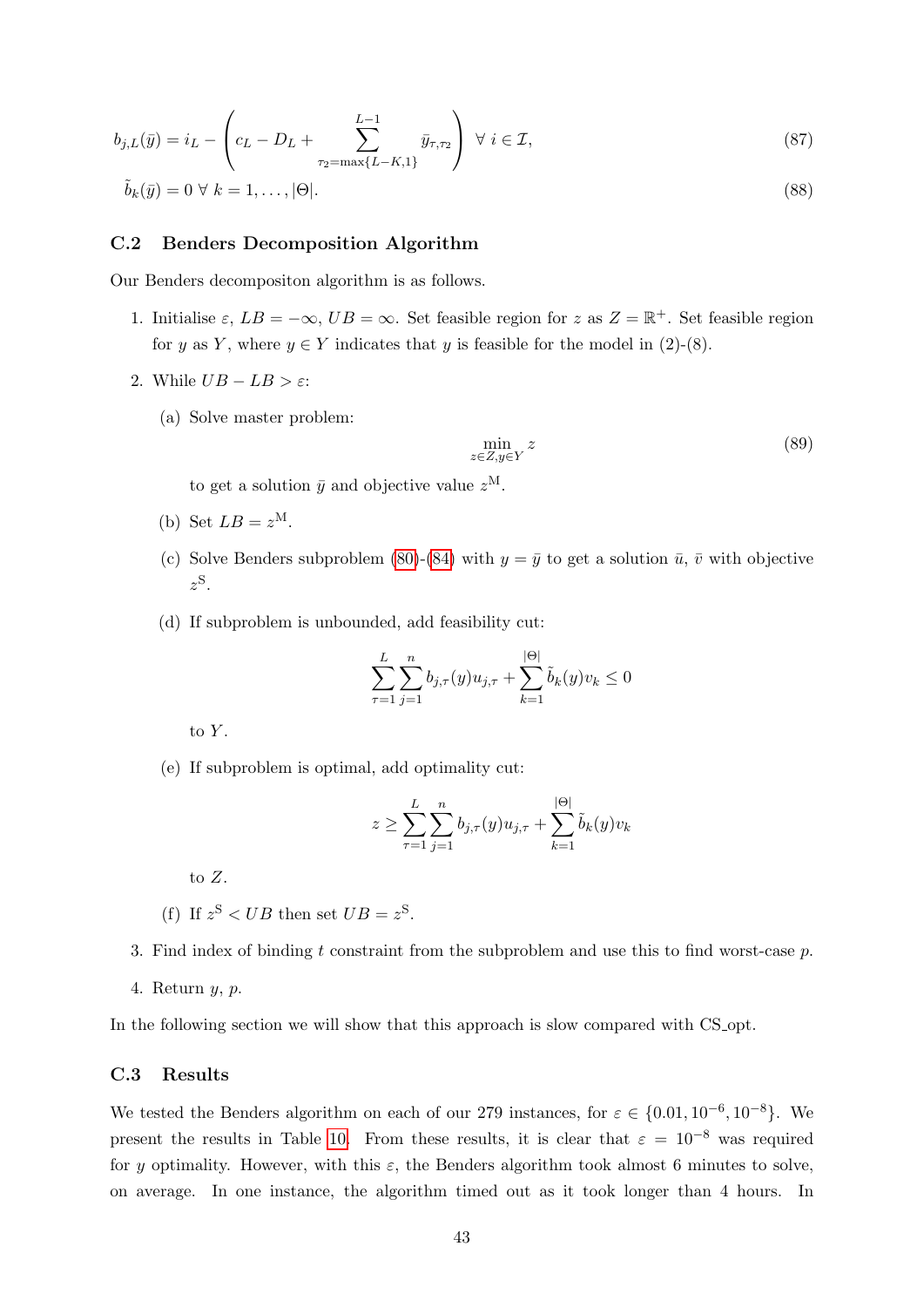$$
b_{j,L}(\bar{y}) = i_L - \left(c_L - D_L + \sum_{\tau_2 = \max\{L - K, 1\}}^{L-1} \bar{y}_{\tau, \tau_2}\right) \ \forall \ i \in \mathcal{I},\tag{87}
$$

$$
\tilde{b}_k(\bar{y}) = 0 \ \forall \ k = 1, \dots, |\Theta|.
$$
\n
$$
(88)
$$

#### <span id="page-44-0"></span>C.2 Benders Decomposition Algorithm

Our Benders decompositon algorithm is as follows.

- 1. Initialise  $\varepsilon$ ,  $LB = -\infty$ ,  $UB = \infty$ . Set feasible region for z as  $Z = \mathbb{R}^+$ . Set feasible region for y as Y, where  $y \in Y$  indicates that y is feasible for the model in (2)-(8).
- 2. While  $UB LB > \varepsilon$ :
	- (a) Solve master problem:

$$
\min_{z \in Z, y \in Y} z \tag{89}
$$

to get a solution  $\bar{y}$  and objective value  $z^{\text{M}}$ .

- (b) Set  $LB = z^M$ .
- (c) Solve Benders subproblem [\(80\)](#page-43-1)-[\(84\)](#page-43-2) with  $y = \bar{y}$  to get a solution  $\bar{u}$ ,  $\bar{v}$  with objective  $z^{\rm S}$ .
- (d) If subproblem is unbounded, add feasibility cut:

$$
\sum_{\tau=1}^{L} \sum_{j=1}^{n} b_{j,\tau}(y) u_{j,\tau} + \sum_{k=1}^{|\Theta|} \tilde{b}_k(y) v_k \le 0
$$

to  $Y$ .

(e) If subproblem is optimal, add optimality cut:

$$
z \ge \sum_{\tau=1}^{L} \sum_{j=1}^{n} b_{j,\tau}(y) u_{j,\tau} + \sum_{k=1}^{|\Theta|} \tilde{b}_k(y) v_k
$$

to Z.

- (f) If  $z^{\text{S}} < UB$  then set  $UB = z^{\text{S}}$ .
- 3. Find index of binding t constraint from the subproblem and use this to find worst-case  $p$ .
- 4. Return y, p.

In the following section we will show that this approach is slow compared with CS opt.

#### <span id="page-44-1"></span>C.3 Results

We tested the Benders algorithm on each of our 279 instances, for  $\varepsilon \in \{0.01, 10^{-6}, 10^{-8}\}$ . We present the results in Table [10.](#page-45-0) From these results, it is clear that  $\varepsilon = 10^{-8}$  was required for y optimality. However, with this  $\varepsilon$ , the Benders algorithm took almost 6 minutes to solve, on average. In one instance, the algorithm timed out as it took longer than 4 hours. In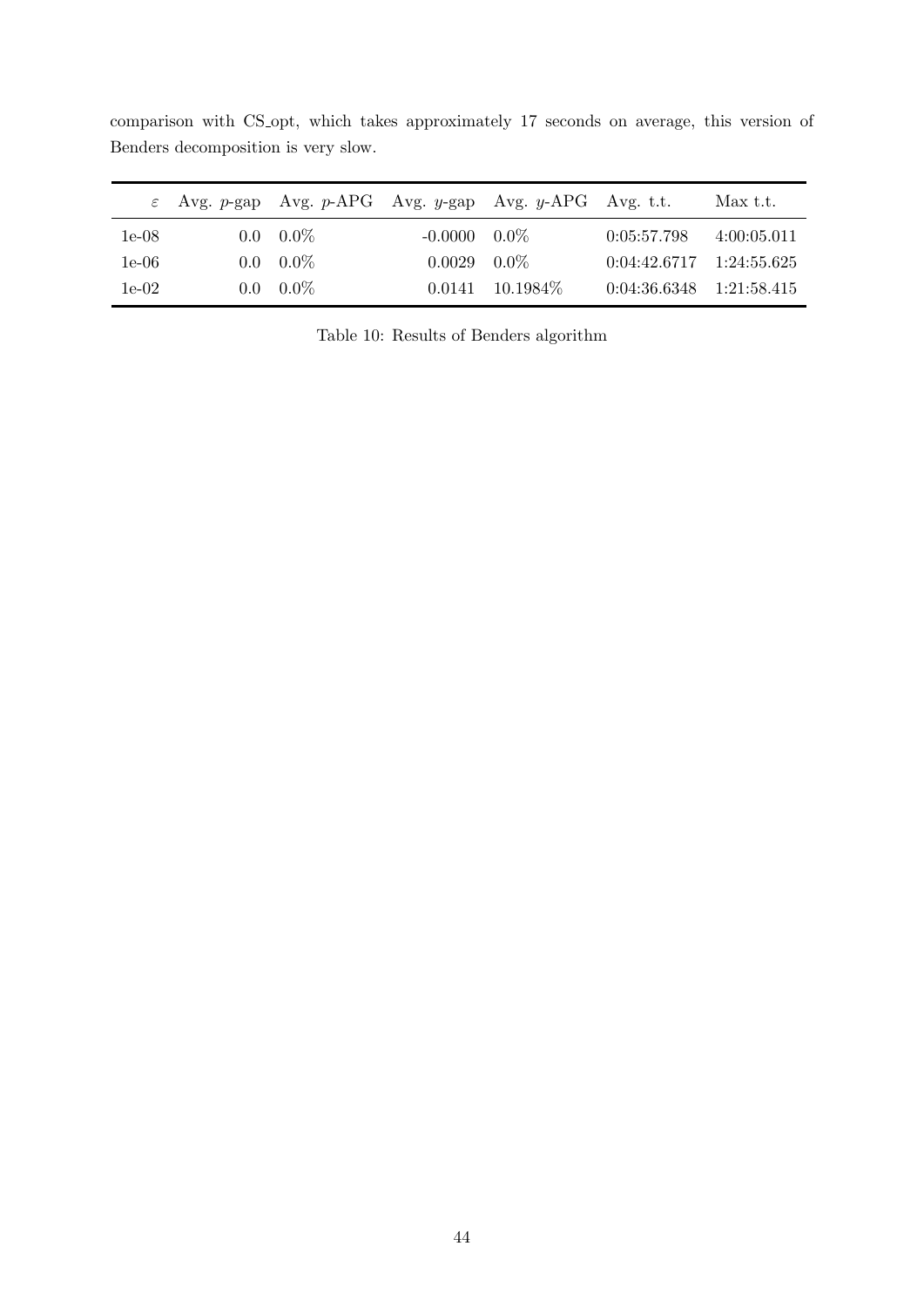<span id="page-45-0"></span>

|         | $\varepsilon$ Avg. p-gap Avg. p-APG Avg. y-gap Avg. y-APG Avg. t.t. |                       |             |                              | $Max$ t.t.  |
|---------|---------------------------------------------------------------------|-----------------------|-------------|------------------------------|-------------|
| $1e-08$ | $0.0\quad 0.0\%$                                                    | $-0.0000 \quad 0.0\%$ |             | 0:05:57.798                  | 4:00:05.011 |
| $1e-06$ | $0.0\quad 0.0\%$                                                    | 0.0029                | $0.0\%$     | $0:04:42.6717$ $1:24:55.625$ |             |
| $1e-02$ | $0.0\quad 0.0\%$                                                    | 0.0141                | $10.1984\%$ | $0:04:36.6348$ $1:21:58.415$ |             |

comparison with CS opt, which takes approximately 17 seconds on average, this version of Benders decomposition is very slow.

Table 10: Results of Benders algorithm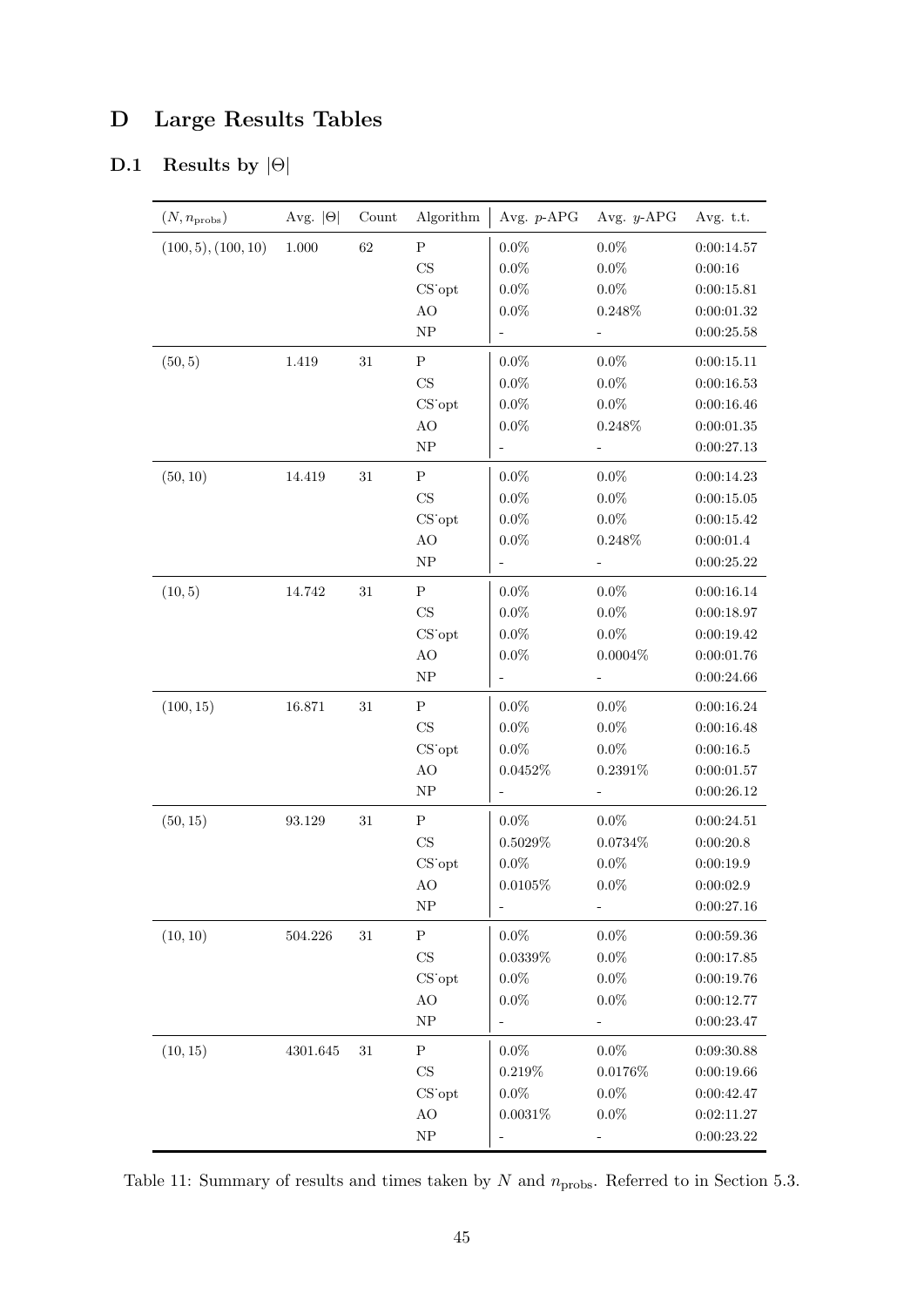## <span id="page-46-0"></span>D Large Results Tables

## <span id="page-46-1"></span>D.1 Results by  $|\Theta|$

| $(N, n_{\mathrm{probs}})$ | Avg. $ \Theta $ | Count  | Algorithm                  | Avg. $p$ -APG                | Avg. $y$ -APG            | Avg. t.t.                    |
|---------------------------|-----------------|--------|----------------------------|------------------------------|--------------------------|------------------------------|
| (100, 5), (100, 10)       | 1.000           | 62     | ${\bf P}$                  | $0.0\%$                      | $0.0\%$                  | 0:00:14.57                   |
|                           |                 |        | $\rm CS$                   | $0.0\%$                      | $0.0\%$                  | 0:00:16                      |
|                           |                 |        | $CS$ opt                   | $0.0\%$                      | $0.0\%$                  | 0:00:15.81                   |
|                           |                 |        | $\rm AO$                   | $0.0\%$                      | $0.248\%$                | $0\!\!:\!\!00\!\!:\!\!01.32$ |
|                           |                 |        | ${\rm NP}$                 |                              |                          | 0:00:25.58                   |
| (50, 5)                   | 1.419           | $31\,$ | ${\bf P}$                  | $0.0\%$                      | $0.0\%$                  | 0:00:15.11                   |
|                           |                 |        | $\rm CS$                   | $0.0\%$                      | $0.0\%$                  | 0:00:16.53                   |
|                           |                 |        | CS opt                     | $0.0\%$                      | $0.0\%$                  | 0:00:16.46                   |
|                           |                 |        | $\rm AO$                   | $0.0\%$                      | $0.248\%$                | $0\!\!:\!\!00\!\!:\!\!01.35$ |
|                           |                 |        | ${\rm NP}$                 | ÷                            | $\overline{\phantom{0}}$ | 0:00:27.13                   |
| (50, 10)                  | 14.419          | $31\,$ | ${\bf P}$                  | $0.0\%$                      | $0.0\%$                  | 0:00:14.23                   |
|                           |                 |        | $\rm CS$                   | $0.0\%$                      | $0.0\%$                  | $0\!\!:\!\!00\!\!:\!\!15.05$ |
|                           |                 |        | CS opt                     | $0.0\%$                      | $0.0\%$                  | 0:00:15.42                   |
|                           |                 |        | AO                         | $0.0\%$                      | $0.248\%$                | 0:00:01.4                    |
|                           |                 |        | ${\rm NP}$                 | $\qquad \qquad \blacksquare$ | $\frac{1}{2}$            | 0:00:25.22                   |
| (10, 5)                   | 14.742          | $31\,$ | ${\bf P}$                  | $0.0\%$                      | $0.0\%$                  | 0:00:16.14                   |
|                           |                 |        | $\rm CS$                   | $0.0\%$                      | $0.0\%$                  | 0:00:18.97                   |
|                           |                 |        | $CS$ opt                   | $0.0\%$                      | $0.0\%$                  | 0:00:19.42                   |
|                           |                 |        | AO                         | $0.0\%$                      | $0.0004\%$               | 0:00:01.76                   |
|                           |                 |        | ${\rm NP}$                 |                              | $\overline{\phantom{0}}$ | 0:00:24.66                   |
| (100, 15)                 | 16.871          | $31\,$ | ${\bf P}$                  | $0.0\%$                      | $0.0\%$                  | 0:00:16.24                   |
|                           |                 |        | $\rm CS$                   | $0.0\%$                      | $0.0\%$                  | 0:00:16.48                   |
|                           |                 |        | CS opt                     | $0.0\%$                      | $0.0\%$                  | 0:00:16.5                    |
|                           |                 |        | $\rm AO$                   | $0.0452\%$                   | $0.2391\%$               | 0:00:01.57                   |
|                           |                 |        | ${\rm NP}$                 |                              | ÷                        | 0:00:26.12                   |
| (50, 15)                  | 93.129          | $31\,$ | ${\bf P}$                  | $0.0\%$                      | $0.0\%$                  | 0:00:24.51                   |
|                           |                 |        | $\mathop{\rm CS}\nolimits$ | $0.5029\%$                   | $0.0734\%$               | 0:00:20.8                    |
|                           |                 |        | CS opt                     | $0.0\%$                      | $0.0\%$                  | 0:00:19.9                    |
|                           |                 |        | AO                         | $0.0105\%$                   | $0.0\%$                  | 0:00:02.9                    |
|                           |                 |        | ${\rm NP}$                 | ÷                            |                          | 0:00:27.16                   |
| (10, 10)                  | 504.226         | $31\,$ | ${\bf P}$                  | $0.0\%$                      | $0.0\%$                  | $0\!\!:\!\!00\!\!:\!\!59.36$ |
|                           |                 |        | $_{\rm CS}$                | $0.0339\%$                   | $0.0\%$                  | 0:00:17.85                   |
|                           |                 |        | $CS$ opt                   | $0.0\%$                      | $0.0\%$                  | 0:00:19.76                   |
|                           |                 |        | AO                         | $0.0\%$                      | $0.0\%$                  | 0:00:12.77                   |
|                           |                 |        | ${\rm NP}$                 |                              | $\overline{\phantom{0}}$ | 0:00:23.47                   |
| (10, 15)                  | $4301.645\,$    | $31\,$ | ${\bf P}$                  | $0.0\%$                      | $0.0\%$                  | 0:09:30.88                   |
|                           |                 |        | $_{\rm CS}$                | 0.219%                       | $0.0176\%$               | 0:00:19.66                   |
|                           |                 |        | CS opt                     | $0.0\%$                      | $0.0\%$                  | 0:00:42.47                   |
|                           |                 |        | $\rm AO$                   | $0.0031\%$                   | $0.0\%$                  | 0:02:11.27                   |
|                           |                 |        | ${\rm NP}$                 |                              |                          | 0:00:23.22                   |

Table 11: Summary of results and times taken by  $N$  and  $n_{\mathrm{probs}}$ . Referred to in Section 5.3.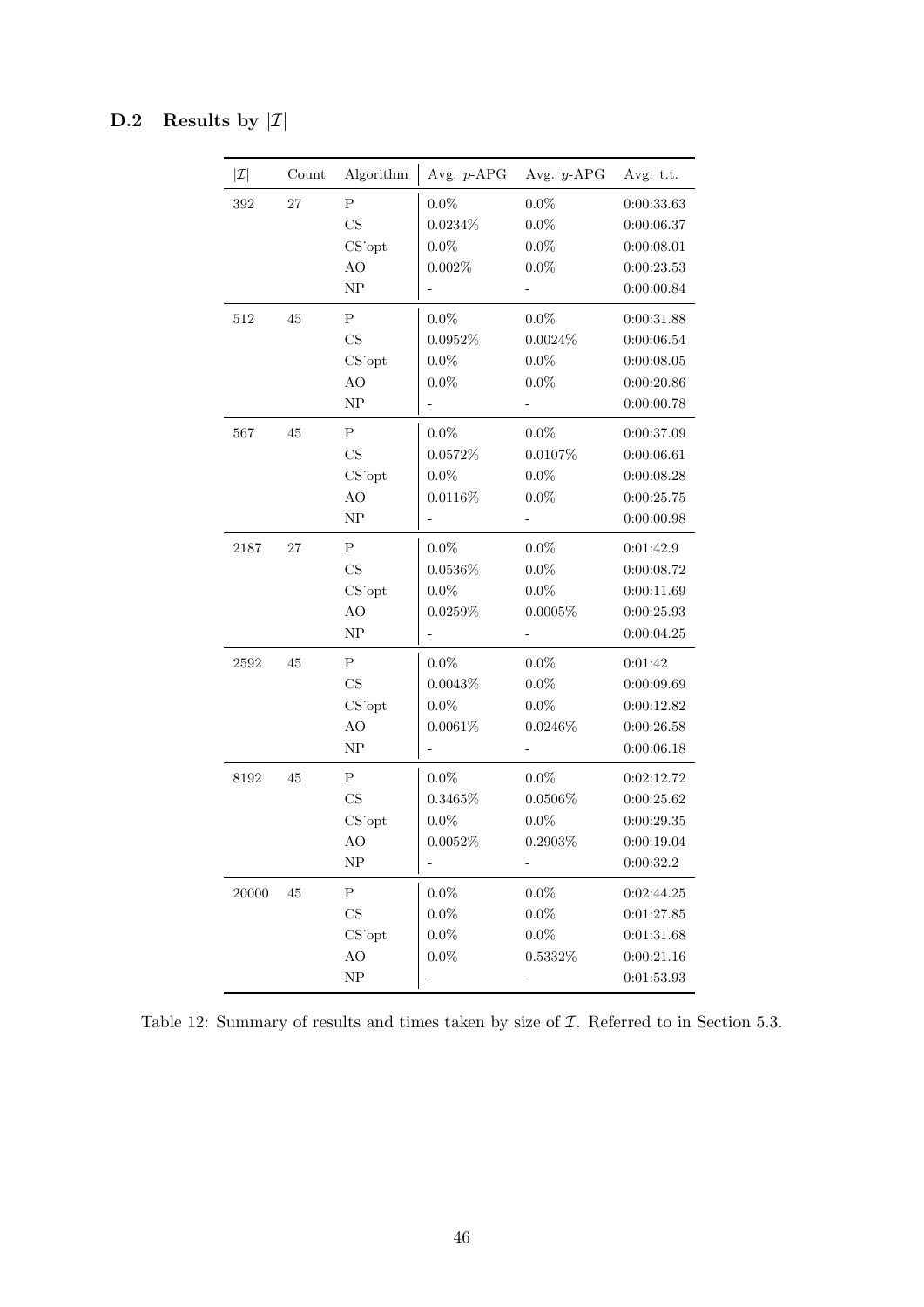## <span id="page-47-0"></span>D.2 Results by  $|\mathcal{I}|$

| $ \mathcal{I} $ | Count | Algorithm   | Avg. $p$ -APG | Avg. $y$ -APG            | Avg. t.t.  |
|-----------------|-------|-------------|---------------|--------------------------|------------|
| 392             | 27    | $\mathbf P$ | $0.0\%$       | $0.0\%$                  | 0:00:33.63 |
|                 |       | CS          | $0.0234\%$    | $0.0\%$                  | 0:00:06.37 |
|                 |       | CS opt      | $0.0\%$       | $0.0\%$                  | 0:00:08.01 |
|                 |       | AO          | $0.002\%$     | $0.0\%$                  | 0:00:23.53 |
|                 |       | NP          |               |                          | 0:00:00.84 |
| $512\,$         | 45    | ${\bf P}$   | $0.0\%$       | $0.0\%$                  | 0:00:31.88 |
|                 |       | $_{\rm CS}$ | $0.0952\%$    | $0.0024\%$               | 0:00:06.54 |
|                 |       | CS opt      | $0.0\%$       | $0.0\%$                  | 0:00:08.05 |
|                 |       | AO          | $0.0\%$       | $0.0\%$                  | 0:00:20.86 |
|                 |       | NP          |               |                          | 0:00:00.78 |
| 567             | 45    | ${\bf P}$   | $0.0\%$       | $0.0\%$                  | 0:00:37.09 |
|                 |       | CS          | 0.0572%       | 0.0107%                  | 0:00:06.61 |
|                 |       | CS opt      | $0.0\%$       | $0.0\%$                  | 0:00:08.28 |
|                 |       | AO          | $0.0116\%$    | $0.0\%$                  | 0:00:25.75 |
|                 |       | NP          |               | $\overline{\phantom{a}}$ | 0:00:00.98 |
| 2187            | 27    | $\mathbf P$ | $0.0\%$       | $0.0\%$                  | 0:01:42.9  |
|                 |       | CS          | $0.0536\%$    | $0.0\%$                  | 0:00:08.72 |
|                 |       | CS opt      | $0.0\%$       | $0.0\%$                  | 0:00:11.69 |
|                 |       | AO          | $0.0259\%$    | $0.0005\%$               | 0:00:25.93 |
|                 |       | ${\rm NP}$  |               |                          | 0:00:04.25 |
| 2592            | 45    | ${\bf P}$   | $0.0\%$       | $0.0\%$                  | 0:01:42    |
|                 |       | CS          | $0.0043\%$    | $0.0\%$                  | 0:00:09.69 |
|                 |       | CS opt      | $0.0\%$       | $0.0\%$                  | 0:00:12.82 |
|                 |       | AO          | $0.0061\%$    | $0.0246\%$               | 0:00:26.58 |
|                 |       | ${\rm NP}$  |               |                          | 0:00:06.18 |
| 8192            | 45    | ${\bf P}$   | $0.0\%$       | $0.0\%$                  | 0:02:12.72 |
|                 |       | CS          | 0.3465%       | $0.0506\%$               | 0:00:25.62 |
|                 |       | CS opt      | $0.0\%$       | $0.0\%$                  | 0:00:29.35 |
|                 |       | AO          | $0.0052\%$    | $0.2903\%$               | 0:00:19.04 |
|                 |       | NP          |               |                          | 0:00:32.2  |
| 20000           | 45    | ${\bf P}$   | $0.0\%$       | $0.0\%$                  | 0:02:44.25 |
|                 |       | $_{\rm CS}$ | $0.0\%$       | $0.0\%$                  | 0:01:27.85 |
|                 |       | CS opt      | $0.0\%$       | $0.0\%$                  | 0:01:31.68 |
|                 |       | $\rm AO$    | $0.0\%$       | $0.5332\%$               | 0:00:21.16 |
|                 |       | ${\rm NP}$  |               |                          | 0:01:53.93 |

Table 12: Summary of results and times taken by size of  $\mathcal I$ . Referred to in Section 5.3.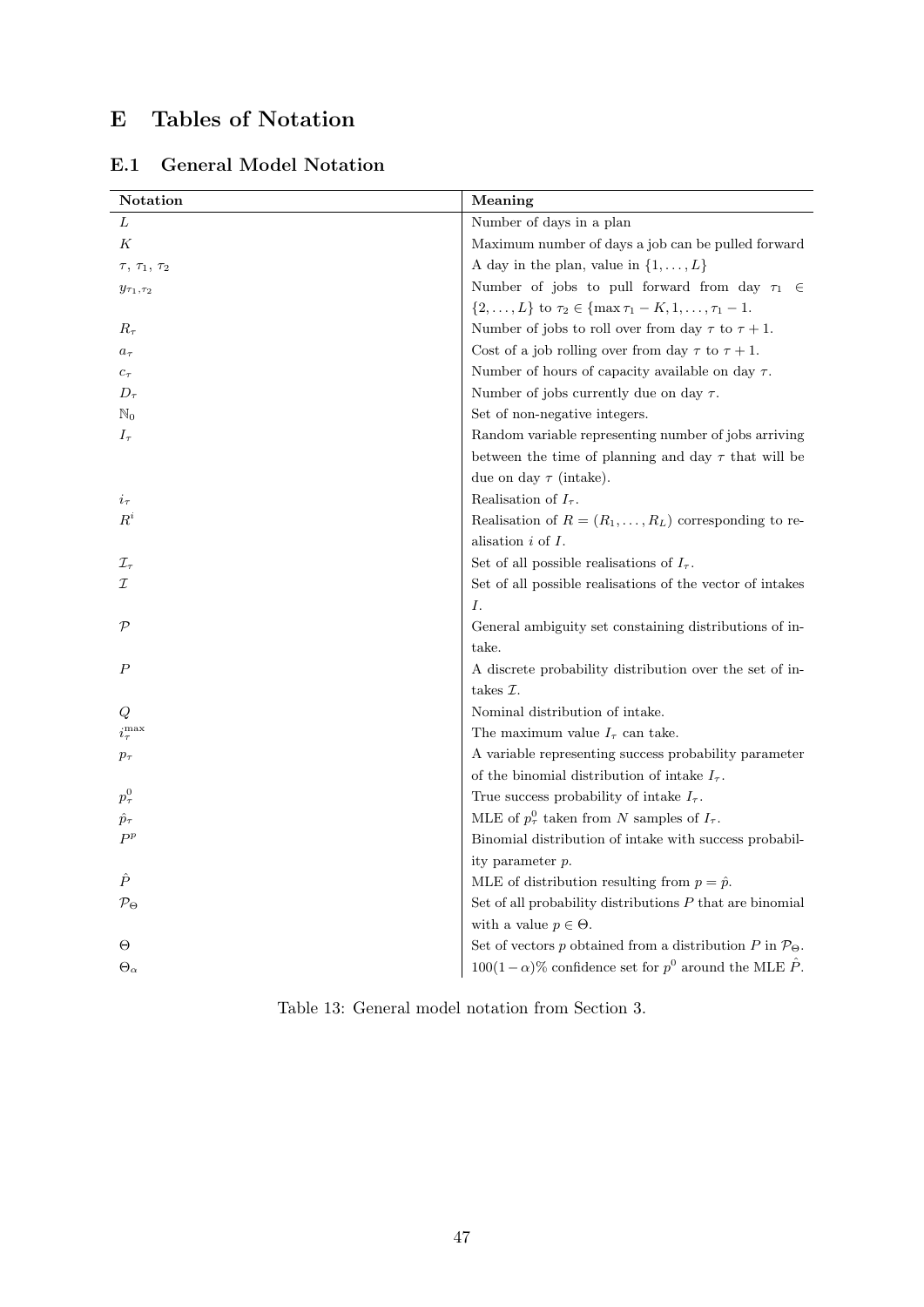# <span id="page-48-0"></span>E Tables of Notation

| Notation                     | Meaning                                                                      |
|------------------------------|------------------------------------------------------------------------------|
| L                            | Number of days in a plan                                                     |
| Κ                            | Maximum number of days a job can be pulled forward                           |
| $\tau$ , $\tau_1$ , $\tau_2$ | A day in the plan, value in $\{1, \ldots, L\}$                               |
| $y_{\tau_1, \tau_2}$         | Number of jobs to pull forward from day $\tau_1$<br>$\epsilon$               |
|                              | $\{2,\ldots,L\}$ to $\tau_2 \in \{\max \tau_1 - K, 1,\ldots, \tau_1 - 1\}$ . |
| $R_{\tau}$                   | Number of jobs to roll over from day $\tau$ to $\tau + 1$ .                  |
| $a_{\tau}$                   | Cost of a job rolling over from day $\tau$ to $\tau + 1$ .                   |
| $c_{\tau}$                   | Number of hours of capacity available on day $\tau$ .                        |
| $D_{\tau}$                   | Number of jobs currently due on day $\tau$ .                                 |
| $\mathbb{N}_0$               | Set of non-negative integers.                                                |
| $I_{\tau}$                   | Random variable representing number of jobs arriving                         |
|                              | between the time of planning and day $\tau$ that will be                     |
|                              | due on day $\tau$ (intake).                                                  |
| $i_{\tau}$                   | Realisation of $I_{\tau}$ .                                                  |
| $R^i$                        | Realisation of $R = (R_1, \ldots, R_L)$ corresponding to re-                 |
|                              | alisation $i$ of $I$ .                                                       |
| $\mathcal{I}_{\tau}$         | Set of all possible realisations of $I_{\tau}$ .                             |
| I                            | Set of all possible realisations of the vector of intakes                    |
|                              | Ι.                                                                           |
| $\mathcal{P}$                | General ambiguity set constaining distributions of in-                       |
|                              | take.                                                                        |
| $\boldsymbol{P}$             | A discrete probability distribution over the set of in-                      |
|                              | takes $\mathcal{I}.$                                                         |
| Q                            | Nominal distribution of intake.                                              |
| $i_{\tau}^{\max}$            | The maximum value $I_{\tau}$ can take.                                       |
| $p_{\tau}$                   | A variable representing success probability parameter                        |
|                              | of the binomial distribution of intake $I_{\tau}.$                           |
| $p^0_\tau$                   | True success probability of intake $I_{\tau}$ .                              |
| $\hat{p}_{\tau}$             | MLE of $p_\tau^0$ taken from N samples of $I_\tau$ .                         |
| $P^p$                        | Binomial distribution of intake with success probabil-                       |
|                              | ity parameter p.                                                             |
| Ê                            | MLE of distribution resulting from $p = \hat{p}$ .                           |
| $\mathcal{P}_\Theta$         | Set of all probability distributions $P$ that are binomial                   |
|                              | with a value $p \in \Theta$ .                                                |
| Θ                            | Set of vectors p obtained from a distribution P in $\mathcal{P}_{\Theta}$ .  |
| $\Theta_{\alpha}$            | $100(1-\alpha)\%$ confidence set for $p^0$ around the MLE $\hat{P}$ .        |
|                              |                                                                              |

<span id="page-48-1"></span>E.1 General Model Notation

Table 13: General model notation from Section 3.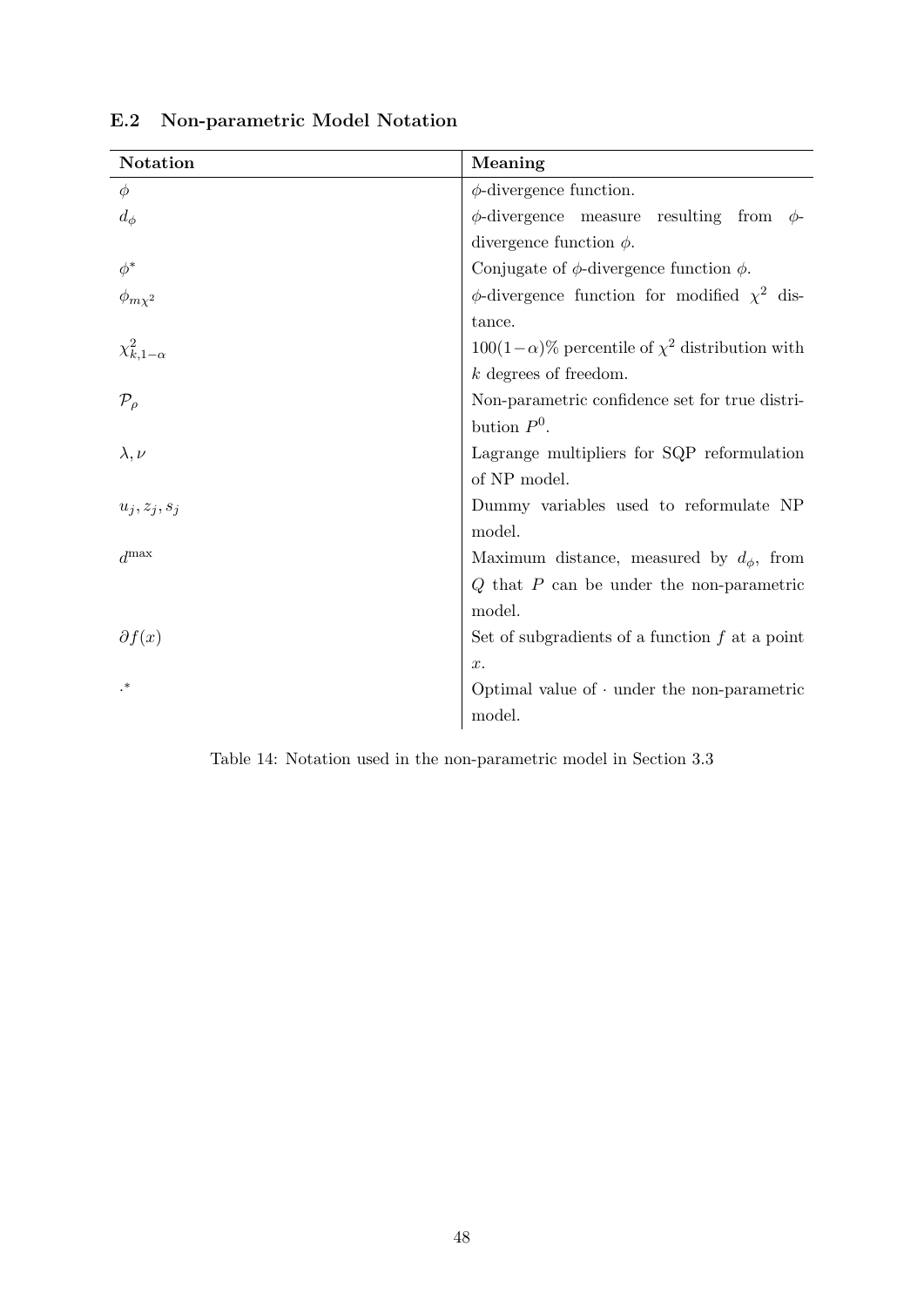| Notation              | Meaning                                                    |
|-----------------------|------------------------------------------------------------|
| $\phi$                | $\phi\text{-divergence function.}$                         |
| $d_{\phi}$            | $\phi$ -divergence measure resulting from $\phi$ -         |
|                       | divergence function $\phi$ .                               |
| $\phi^*$              | Conjugate of $\phi$ -divergence function $\phi$ .          |
| $\phi_{m\chi^2}$      | $\phi$ -divergence function for modified $\chi^2$ dis-     |
|                       | tance.                                                     |
| $\chi^2_{k,1-\alpha}$ | $100(1-\alpha)\%$ percentile of $\chi^2$ distribution with |
|                       | $k$ degrees of freedom.                                    |
| $\mathcal{P}_{\rho}$  | Non-parametric confidence set for true distri-             |
|                       | bution $P^0$ .                                             |
| $\lambda, \nu$        | Lagrange multipliers for SQP reformulation                 |
|                       | of NP model.                                               |
| $u_j, z_j, s_j$       | Dummy variables used to reformulate NP                     |
|                       | model.                                                     |
| $d^{\max}$            | Maximum distance, measured by $d_{\phi}$ , from            |
|                       | $Q$ that $P$ can be under the non-parametric               |
|                       | model.                                                     |
| $\partial f(x)$       | Set of subgradients of a function $f$ at a point           |
|                       | x.                                                         |
| .∗                    | Optimal value of $\cdot$ under the non-parametric          |
|                       | model.                                                     |

<span id="page-49-0"></span>E.2 Non-parametric Model Notation

Table 14: Notation used in the non-parametric model in Section 3.3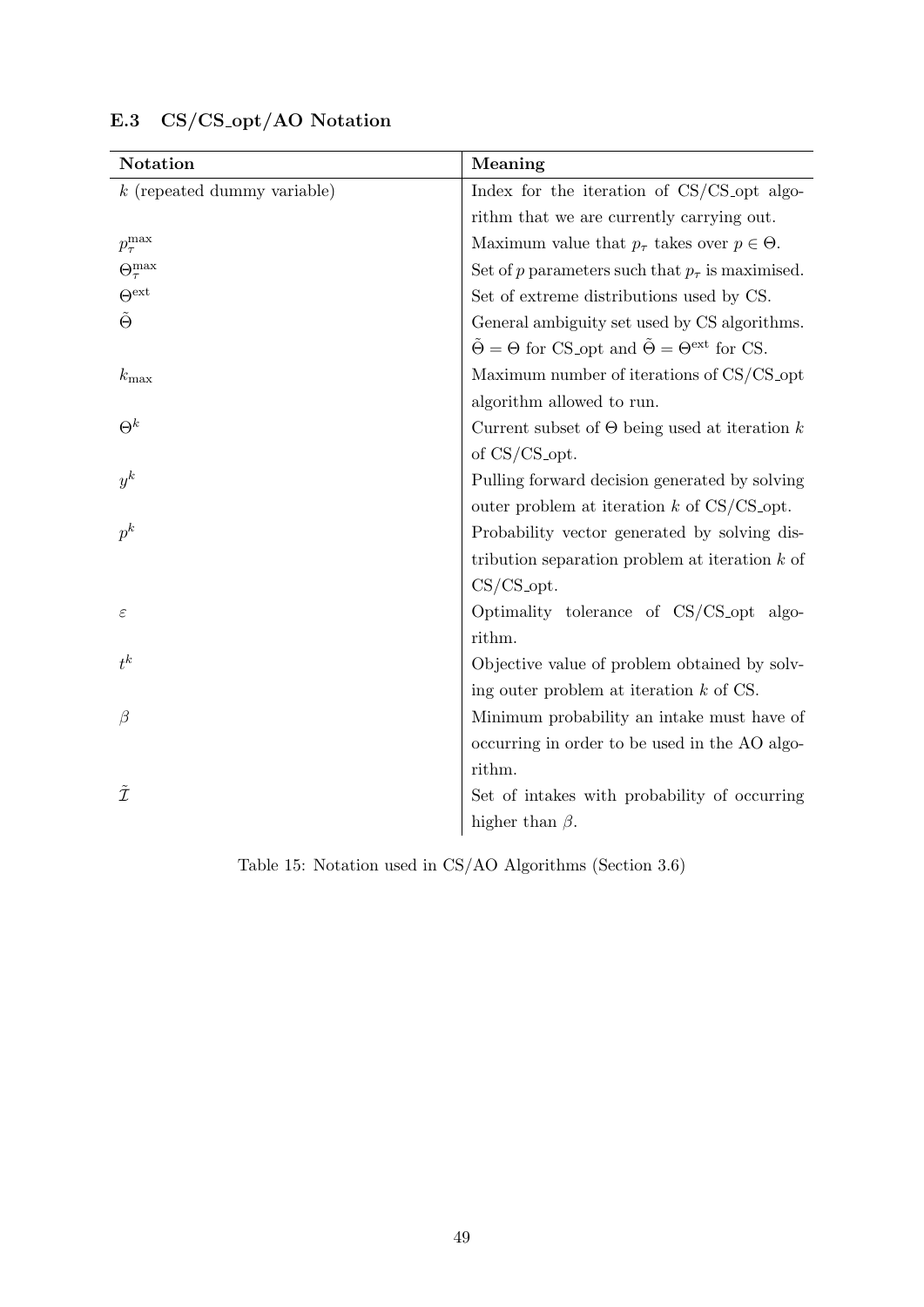| Notation                      | Meaning                                                                                 |
|-------------------------------|-----------------------------------------------------------------------------------------|
| $k$ (repeated dummy variable) | Index for the iteration of CS/CS_opt algo-                                              |
|                               | rithm that we are currently carrying out.                                               |
| $p_{\tau}^{\mathrm{max}}$     | Maximum value that $p_{\tau}$ takes over $p \in \Theta$ .                               |
| $\Theta^{\max}_{\tau}$        | Set of p parameters such that $p_{\tau}$ is maximised.                                  |
| $\Theta^{\text{ext}}$         | Set of extreme distributions used by CS.                                                |
| $\tilde{\Theta}$              | General ambiguity set used by CS algorithms.                                            |
|                               | $\tilde{\Theta} = \Theta$ for CS_opt and $\tilde{\Theta} = \Theta^{\text{ext}}$ for CS. |
| $k_{\rm max}$                 | Maximum number of iterations of CS/CS_opt                                               |
|                               | algorithm allowed to run.                                                               |
| $\Theta^k$                    | Current subset of $\Theta$ being used at iteration k                                    |
|                               | of $CS/CS$ -opt.                                                                        |
| $y^k$                         | Pulling forward decision generated by solving                                           |
|                               | outer problem at iteration $k$ of CS/CS_opt.                                            |
| $p^k$                         | Probability vector generated by solving dis-                                            |
|                               | tribution separation problem at iteration $k$ of                                        |
|                               | $CS/CS_$ -opt.                                                                          |
| ε                             | Optimality tolerance of CS/CS_opt algo-                                                 |
|                               | rithm.                                                                                  |
| $t^k$                         | Objective value of problem obtained by solv-                                            |
|                               | ing outer problem at iteration $k$ of CS.                                               |
| $\beta$                       | Minimum probability an intake must have of                                              |
|                               | occurring in order to be used in the AO algo-                                           |
|                               | rithm.                                                                                  |
| $\tilde{\mathcal{I}}$         | Set of intakes with probability of occurring                                            |
|                               | higher than $\beta$ .                                                                   |

## <span id="page-50-0"></span>E.3 CS/CS opt/AO Notation

Table 15: Notation used in CS/AO Algorithms (Section 3.6)